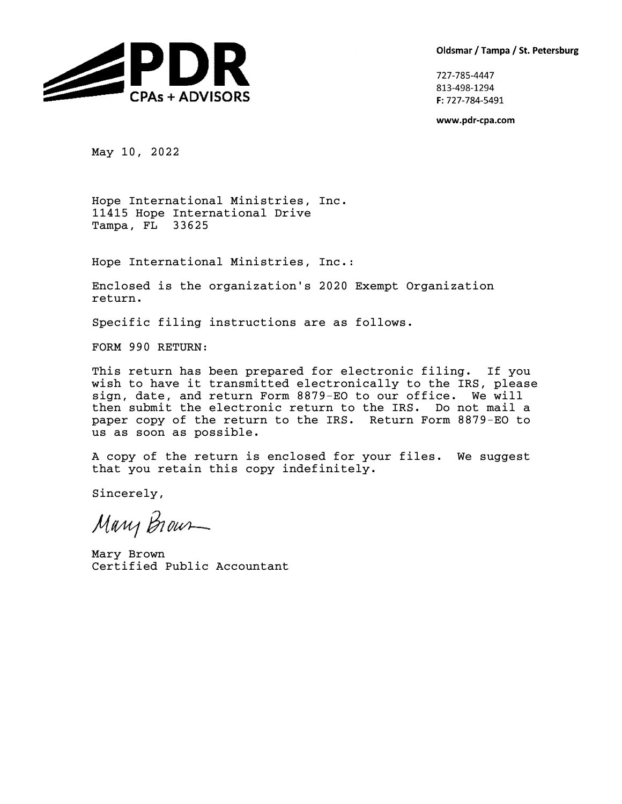Oldsmar / Tampa / St. Petersburg



727-785-4447 813-498-1294 F: 727-784-5491

www.pdr-cpa.com

May 10, 2022

Hope International Ministries, Inc. 11415 Hope International Drive Tampa, FL 33625

Hope International Ministries, Inc.:

Enclosed is the organization's 2020 Exempt Organization return.

Specific filing instructions are as follows.

FORM 990 RETURN:

This return has been prepared for electronic filing. If you wish to have it transmitted electronically to the IRS, please sign, date, and return Form 8879-EO to our office. We will then submit the electronic return to the IRS. Do not mail a paper copy of the return to the IRS. Return Form 8879-EO to us as soon as possible.

A copy of the return is enclosed for your files. We suggest that you retain this copy indefinitely.

Sincerely,

Mary Brown

Mary Brown Certified Public Accountant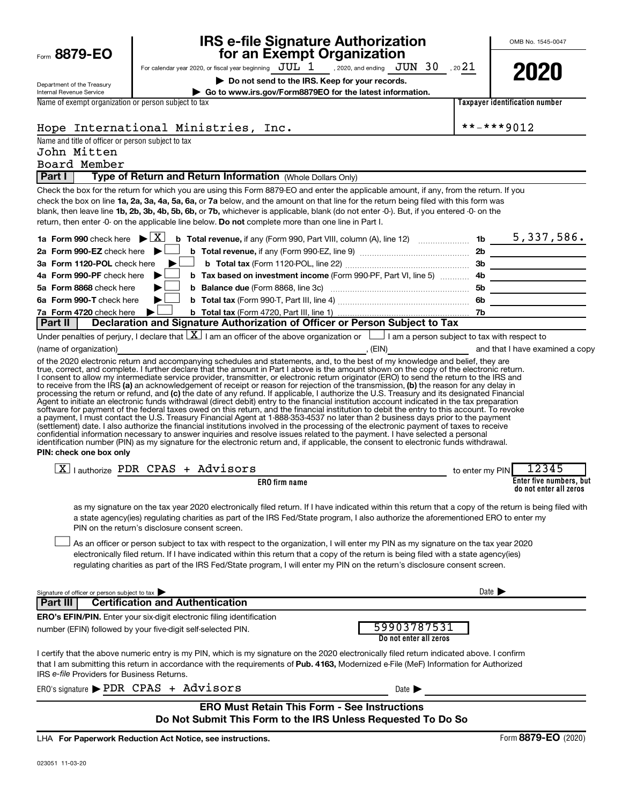| Form 8879-EO                                                      |                                                                              | <b>IRS e-file Signature Authorization</b><br>for an Exempt Organization                                                                                                                                                                                                                                                                                                                                                                                                                                                                                                                                                                                                                                                                                                                                                                                                                                                                                                                                                                                                                                                                                                                                                                                                                |                                       |                            | OMB No. 1545-0047                                 |
|-------------------------------------------------------------------|------------------------------------------------------------------------------|----------------------------------------------------------------------------------------------------------------------------------------------------------------------------------------------------------------------------------------------------------------------------------------------------------------------------------------------------------------------------------------------------------------------------------------------------------------------------------------------------------------------------------------------------------------------------------------------------------------------------------------------------------------------------------------------------------------------------------------------------------------------------------------------------------------------------------------------------------------------------------------------------------------------------------------------------------------------------------------------------------------------------------------------------------------------------------------------------------------------------------------------------------------------------------------------------------------------------------------------------------------------------------------|---------------------------------------|----------------------------|---------------------------------------------------|
|                                                                   |                                                                              | For calendar year 2020, or fiscal year beginning $JUL$ , $1$ , 2020, and ending $JUN$ 30, 20 21                                                                                                                                                                                                                                                                                                                                                                                                                                                                                                                                                                                                                                                                                                                                                                                                                                                                                                                                                                                                                                                                                                                                                                                        |                                       |                            | 2020                                              |
| Department of the Treasury<br>Internal Revenue Service            |                                                                              | Do not send to the IRS. Keep for your records.<br>Go to www.irs.gov/Form8879EO for the latest information.                                                                                                                                                                                                                                                                                                                                                                                                                                                                                                                                                                                                                                                                                                                                                                                                                                                                                                                                                                                                                                                                                                                                                                             |                                       |                            |                                                   |
| Name of exempt organization or person subject to tax              |                                                                              |                                                                                                                                                                                                                                                                                                                                                                                                                                                                                                                                                                                                                                                                                                                                                                                                                                                                                                                                                                                                                                                                                                                                                                                                                                                                                        |                                       |                            | <b>Taxpayer identification number</b>             |
|                                                                   |                                                                              |                                                                                                                                                                                                                                                                                                                                                                                                                                                                                                                                                                                                                                                                                                                                                                                                                                                                                                                                                                                                                                                                                                                                                                                                                                                                                        |                                       |                            |                                                   |
|                                                                   | Hope International Ministries, Inc.                                          |                                                                                                                                                                                                                                                                                                                                                                                                                                                                                                                                                                                                                                                                                                                                                                                                                                                                                                                                                                                                                                                                                                                                                                                                                                                                                        |                                       |                            | **-***9012                                        |
| Name and title of officer or person subject to tax<br>John Mitten |                                                                              |                                                                                                                                                                                                                                                                                                                                                                                                                                                                                                                                                                                                                                                                                                                                                                                                                                                                                                                                                                                                                                                                                                                                                                                                                                                                                        |                                       |                            |                                                   |
| Board Member                                                      |                                                                              |                                                                                                                                                                                                                                                                                                                                                                                                                                                                                                                                                                                                                                                                                                                                                                                                                                                                                                                                                                                                                                                                                                                                                                                                                                                                                        |                                       |                            |                                                   |
| Part I                                                            |                                                                              | Type of Return and Return Information (Whole Dollars Only)                                                                                                                                                                                                                                                                                                                                                                                                                                                                                                                                                                                                                                                                                                                                                                                                                                                                                                                                                                                                                                                                                                                                                                                                                             |                                       |                            |                                                   |
| 1a Form 990 check here $\blacktriangleright \boxed{X}$            |                                                                              | Check the box for the return for which you are using this Form 8879-EO and enter the applicable amount, if any, from the return. If you<br>check the box on line 1a, 2a, 3a, 4a, 5a, 6a, or 7a below, and the amount on that line for the return being filed with this form was<br>blank, then leave line 1b, 2b, 3b, 4b, 5b, 6b, or 7b, whichever is applicable, blank (do not enter -0-). But, if you entered -0- on the<br>return, then enter -0- on the applicable line below. Do not complete more than one line in Part I.                                                                                                                                                                                                                                                                                                                                                                                                                                                                                                                                                                                                                                                                                                                                                       |                                       |                            |                                                   |
| 2a Form 990-EZ check here $\blacktriangleright$                   |                                                                              |                                                                                                                                                                                                                                                                                                                                                                                                                                                                                                                                                                                                                                                                                                                                                                                                                                                                                                                                                                                                                                                                                                                                                                                                                                                                                        |                                       |                            |                                                   |
| 3a Form 1120-POL check here                                       |                                                                              |                                                                                                                                                                                                                                                                                                                                                                                                                                                                                                                                                                                                                                                                                                                                                                                                                                                                                                                                                                                                                                                                                                                                                                                                                                                                                        |                                       |                            |                                                   |
| 4a Form 990-PF check here                                         |                                                                              |                                                                                                                                                                                                                                                                                                                                                                                                                                                                                                                                                                                                                                                                                                                                                                                                                                                                                                                                                                                                                                                                                                                                                                                                                                                                                        |                                       |                            |                                                   |
| 5a Form 8868 check here                                           |                                                                              |                                                                                                                                                                                                                                                                                                                                                                                                                                                                                                                                                                                                                                                                                                                                                                                                                                                                                                                                                                                                                                                                                                                                                                                                                                                                                        |                                       |                            |                                                   |
| 6a Form 990-T check here                                          |                                                                              |                                                                                                                                                                                                                                                                                                                                                                                                                                                                                                                                                                                                                                                                                                                                                                                                                                                                                                                                                                                                                                                                                                                                                                                                                                                                                        |                                       |                            | <u> 1989 - Johann Barbara, martin a</u>           |
| 7a Form 4720 check here                                           |                                                                              |                                                                                                                                                                                                                                                                                                                                                                                                                                                                                                                                                                                                                                                                                                                                                                                                                                                                                                                                                                                                                                                                                                                                                                                                                                                                                        |                                       |                            |                                                   |
| <b>Part II</b>                                                    |                                                                              | Declaration and Signature Authorization of Officer or Person Subject to Tax<br>Under penalties of perjury, I declare that $\boxed{\mathbf{X}}$ I am an officer of the above organization or $\boxed{\phantom{\mathbf{X}}}$ I am a person subject to tax with respect to                                                                                                                                                                                                                                                                                                                                                                                                                                                                                                                                                                                                                                                                                                                                                                                                                                                                                                                                                                                                                |                                       |                            |                                                   |
| (name of organization)                                            |                                                                              |                                                                                                                                                                                                                                                                                                                                                                                                                                                                                                                                                                                                                                                                                                                                                                                                                                                                                                                                                                                                                                                                                                                                                                                                                                                                                        |                                       |                            |                                                   |
| PIN: check one box only                                           |                                                                              | I consent to allow my intermediate service provider, transmitter, or electronic return originator (ERO) to send the return to the IRS and<br>to receive from the IRS (a) an acknowledgement of receipt or reason for rejection of the transmission, (b) the reason for any delay in<br>processing the return or refund, and (c) the date of any refund. If applicable, I authorize the U.S. Treasury and its designated Financial<br>Agent to initiate an electronic funds withdrawal (direct debit) entry to the financial institution account indicated in the tax preparation<br>software for payment of the federal taxes owed on this return, and the financial institution to debit the entry to this account. To revoke<br>a payment, I must contact the U.S. Treasury Financial Agent at 1-888-353-4537 no later than 2 business days prior to the payment<br>(settlement) date. I also authorize the financial institutions involved in the processing of the electronic payment of taxes to receive<br>confidential information necessary to answer inquiries and resolve issues related to the payment. I have selected a personal<br>identification number (PIN) as my signature for the electronic return and, if applicable, the consent to electronic funds withdrawal. |                                       |                            |                                                   |
|                                                                   | $\boxed{\text{X}}$   authorize PDR CPAS + Advisors                           |                                                                                                                                                                                                                                                                                                                                                                                                                                                                                                                                                                                                                                                                                                                                                                                                                                                                                                                                                                                                                                                                                                                                                                                                                                                                                        |                                       | to enter my PIN            | 12345                                             |
|                                                                   | PIN on the return's disclosure consent screen.                               | <b>ERO</b> firm name<br>as my signature on the tax year 2020 electronically filed return. If I have indicated within this return that a copy of the return is being filed with<br>a state agency(ies) regulating charities as part of the IRS Fed/State program, I also authorize the aforementioned ERO to enter my                                                                                                                                                                                                                                                                                                                                                                                                                                                                                                                                                                                                                                                                                                                                                                                                                                                                                                                                                                   |                                       |                            | Enter five numbers, but<br>do not enter all zeros |
|                                                                   |                                                                              | As an officer or person subject to tax with respect to the organization, I will enter my PIN as my signature on the tax year 2020<br>electronically filed return. If I have indicated within this return that a copy of the return is being filed with a state agency(ies)<br>regulating charities as part of the IRS Fed/State program, I will enter my PIN on the return's disclosure consent screen.                                                                                                                                                                                                                                                                                                                                                                                                                                                                                                                                                                                                                                                                                                                                                                                                                                                                                |                                       |                            |                                                   |
| Signature of officer or person subject to tax                     |                                                                              |                                                                                                                                                                                                                                                                                                                                                                                                                                                                                                                                                                                                                                                                                                                                                                                                                                                                                                                                                                                                                                                                                                                                                                                                                                                                                        |                                       | Date $\blacktriangleright$ |                                                   |
| <b>Part III</b>                                                   | <b>Certification and Authentication</b>                                      |                                                                                                                                                                                                                                                                                                                                                                                                                                                                                                                                                                                                                                                                                                                                                                                                                                                                                                                                                                                                                                                                                                                                                                                                                                                                                        |                                       |                            |                                                   |
|                                                                   | <b>ERO's EFIN/PIN.</b> Enter your six-digit electronic filing identification |                                                                                                                                                                                                                                                                                                                                                                                                                                                                                                                                                                                                                                                                                                                                                                                                                                                                                                                                                                                                                                                                                                                                                                                                                                                                                        |                                       |                            |                                                   |
|                                                                   | number (EFIN) followed by your five-digit self-selected PIN.                 |                                                                                                                                                                                                                                                                                                                                                                                                                                                                                                                                                                                                                                                                                                                                                                                                                                                                                                                                                                                                                                                                                                                                                                                                                                                                                        | 59903787531<br>Do not enter all zeros |                            |                                                   |
| IRS e-file Providers for Business Returns.                        |                                                                              | I certify that the above numeric entry is my PIN, which is my signature on the 2020 electronically filed return indicated above. I confirm<br>that I am submitting this return in accordance with the requirements of Pub. 4163, Modernized e-File (MeF) Information for Authorized                                                                                                                                                                                                                                                                                                                                                                                                                                                                                                                                                                                                                                                                                                                                                                                                                                                                                                                                                                                                    |                                       |                            |                                                   |
|                                                                   | ERO's signature PDR CPAS + Advisors                                          |                                                                                                                                                                                                                                                                                                                                                                                                                                                                                                                                                                                                                                                                                                                                                                                                                                                                                                                                                                                                                                                                                                                                                                                                                                                                                        | Date $\blacktriangleright$            |                            |                                                   |
|                                                                   |                                                                              | <b>ERO Must Retain This Form - See Instructions</b><br>Do Not Submit This Form to the IRS Unless Requested To Do So                                                                                                                                                                                                                                                                                                                                                                                                                                                                                                                                                                                                                                                                                                                                                                                                                                                                                                                                                                                                                                                                                                                                                                    |                                       |                            |                                                   |
|                                                                   | LHA For Paperwork Reduction Act Notice, see instructions.                    |                                                                                                                                                                                                                                                                                                                                                                                                                                                                                                                                                                                                                                                                                                                                                                                                                                                                                                                                                                                                                                                                                                                                                                                                                                                                                        |                                       |                            | Form 8879-EO (2020)                               |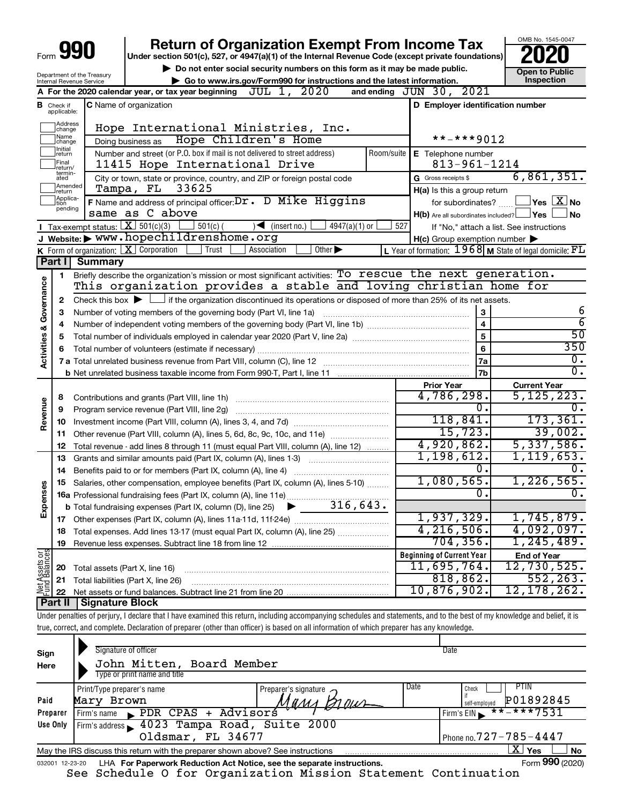# **990** Return of Organization Exempt From Income Tax <br>
Under section 501(c), 527, or 4947(a)(1) of the Internal Revenue Code (except private foundations)<br> **PO20**

and ending  $JUN$  30,

▶ Do not enter social security numbers on this form as it may be made public. **Dependent Open to Public**<br>► Go to www.irs.gov/Form990 for instructions and the latest information. Inspection ▶ Go to www.irs.gov/Form990 for instructions and the latest information.<br>ax year beginning JUL 1, 2020 and ending JUN 30, 2021

OMB No. 1545-0047

| Department of the Treasury<br>Internal Revenue Service | <b>P.</b> DU NUL UNIU UUUNI UUUMI ILI NAMDU U UM<br>Go to www.irs.gov/Form990 for instrue |  |  |
|--------------------------------------------------------|-------------------------------------------------------------------------------------------|--|--|
|                                                        | A For the 2020 calendar year, or tax year beginning $JUL$ 1, $2020$                       |  |  |
| <b>B</b> Check if                                      | <b>IC</b> Name of organization                                                            |  |  |

| В                                  | Check if<br>applicable: | <b>C</b> Name of organization                                                                                                               |            | D Employer identification number                    |                                                             |
|------------------------------------|-------------------------|---------------------------------------------------------------------------------------------------------------------------------------------|------------|-----------------------------------------------------|-------------------------------------------------------------|
|                                    | Address<br>change       | Hope International Ministries, Inc.                                                                                                         |            |                                                     |                                                             |
|                                    | Name<br>change          | Hope Children's Home<br>Doing business as                                                                                                   |            | **-***9012                                          |                                                             |
|                                    | Initial<br>return       | Number and street (or P.O. box if mail is not delivered to street address)                                                                  | Room/suite | E Telephone number                                  |                                                             |
|                                    | Final<br> return/       | 11415 Hope International Drive                                                                                                              |            | $813 - 961 - 1214$                                  |                                                             |
|                                    | termin-<br>ated         | City or town, state or province, country, and ZIP or foreign postal code                                                                    |            | G Gross receipts \$                                 | 6,861,351.                                                  |
|                                    | Amended<br>return       | Tampa, FL 33625                                                                                                                             |            | H(a) Is this a group return                         |                                                             |
|                                    | Applica-<br>tion        | F Name and address of principal officer: Dr. D Mike Higgins                                                                                 |            | for subordinates?                                   | $\Box$ Yes $\Box X$ No                                      |
|                                    | pending                 | same as C above                                                                                                                             |            | $H(b)$ Are all subordinates included? $\Box$ Yes    | <b>No</b>                                                   |
|                                    |                         | Tax-exempt status: $X \mid 501(c)(3)$<br>$501(c)$ (<br>$\sqrt{\frac{1}{1}}$ (insert no.)<br>$4947(a)(1)$ or                                 | 527        |                                                     | If "No," attach a list. See instructions                    |
|                                    |                         | J Website: > WWW.hopechildrenshome.org                                                                                                      |            | $H(c)$ Group exemption number $\blacktriangleright$ |                                                             |
|                                    |                         | K Form of organization:   X Corporation<br>Association<br>Other $\blacktriangleright$<br>Trust                                              |            |                                                     | L Year of formation: $1968$ M State of legal domicile: $FL$ |
|                                    | Part I                  | <b>Summary</b>                                                                                                                              |            |                                                     |                                                             |
|                                    | 1                       | Briefly describe the organization's mission or most significant activities: To rescue the next generation.                                  |            |                                                     |                                                             |
| <b>Activities &amp; Governance</b> |                         | This organization provides a stable and loving christian home for                                                                           |            |                                                     |                                                             |
|                                    | 2                       | Check this box $\blacktriangleright$ $\Box$ if the organization discontinued its operations or disposed of more than 25% of its net assets. |            |                                                     |                                                             |
|                                    | З                       | Number of voting members of the governing body (Part VI, line 1a)                                                                           |            | 3                                                   | 6                                                           |
|                                    | 4                       |                                                                                                                                             |            | $\overline{\mathbf{4}}$                             | $\overline{6}$                                              |
|                                    | 5                       |                                                                                                                                             |            | 5                                                   | $\overline{50}$                                             |
|                                    | 6                       |                                                                                                                                             |            | 6                                                   | 350                                                         |
|                                    |                         | 7 a Total unrelated business revenue from Part VIII, column (C), line 12                                                                    |            | 7a                                                  | 0.                                                          |
|                                    |                         |                                                                                                                                             |            | 7b                                                  | $\overline{0}$ .                                            |
|                                    |                         |                                                                                                                                             |            | <b>Prior Year</b>                                   | <b>Current Year</b>                                         |
|                                    | 8                       | Contributions and grants (Part VIII, line 1h)                                                                                               |            | 4,786,298.                                          | 5, 125, 223.                                                |
| Revenue                            | 9                       | Program service revenue (Part VIII, line 2g)                                                                                                |            | О.<br>118,841.                                      | 0.                                                          |
|                                    | 10                      |                                                                                                                                             |            | 15,723.                                             | 173,361.<br>39,002.                                         |
|                                    | 11                      | Other revenue (Part VIII, column (A), lines 5, 6d, 8c, 9c, 10c, and 11e)                                                                    |            | 4,920,862.                                          | 5,337,586.                                                  |
|                                    | 12                      | Total revenue - add lines 8 through 11 (must equal Part VIII, column (A), line 12)                                                          |            | 1,198,612.                                          | 1, 119, 653.                                                |
|                                    | 13                      | Grants and similar amounts paid (Part IX, column (A), lines 1-3)                                                                            |            | О.                                                  | 0.                                                          |
|                                    | 14                      |                                                                                                                                             |            | 1,080,565.                                          | 1,226,565.                                                  |
| Expenses                           | 15                      | Salaries, other compensation, employee benefits (Part IX, column (A), lines 5-10)                                                           |            | Ω.                                                  | Ο.                                                          |
|                                    |                         |                                                                                                                                             |            |                                                     |                                                             |
|                                    |                         |                                                                                                                                             |            | 1,937,329.                                          | 1,745,879.                                                  |
|                                    |                         |                                                                                                                                             |            | 4, 216, 506.                                        | 4,092,097.                                                  |
|                                    | 18                      | Total expenses. Add lines 13-17 (must equal Part IX, column (A), line 25)                                                                   |            | 704, 356.                                           | 1, 245, 489.                                                |
| 등<br>이                             | 19                      |                                                                                                                                             |            | <b>Beginning of Current Year</b>                    | <b>End of Year</b>                                          |
|                                    |                         |                                                                                                                                             |            | 11,695,764.                                         | 12,730,525.                                                 |
| Assets                             | 20                      | Total assets (Part X, line 16)                                                                                                              |            | 818,862.                                            | 552, 263.                                                   |
| Aet<br>PLITO                       | 21                      | Total liabilities (Part X, line 26)                                                                                                         |            | 10,876,902.                                         | 12, 178, 262.                                               |
|                                    | 22<br>Part II           | Signature Block                                                                                                                             |            |                                                     |                                                             |
|                                    |                         |                                                                                                                                             |            |                                                     |                                                             |

Under penalties of perjury, I declare that I have examined this return, including accompanying schedules and statements, and to the best of my knowledge and belief, it is true, correct, and complete. Declaration of preparer (other than officer) is based on all information of which preparer has any knowledge.

| Sign<br>Here | Signature of officer<br>John Mitten, Board Member<br>Type or print name and title                            | Date                                                |  |  |  |  |  |  |  |
|--------------|--------------------------------------------------------------------------------------------------------------|-----------------------------------------------------|--|--|--|--|--|--|--|
| Paid         | Print/Type preparer's name<br>Preparer's signature $\rightarrow$<br>Mary Brown<br>МИМЛ                       | Date<br>PTIN<br>Check<br>P01892845<br>self-emploved |  |  |  |  |  |  |  |
| Preparer     | PDR CPAS + Advisors<br>Firm's name                                                                           | $***$ ** ** 7531<br>Firm's $EIN$                    |  |  |  |  |  |  |  |
| Use Only     | Firm's address 1023 Tampa Road, Suite 2000                                                                   |                                                     |  |  |  |  |  |  |  |
|              | Oldsmar, FL 34677                                                                                            | Phone no. $727 - 785 - 4447$                        |  |  |  |  |  |  |  |
|              | X <br><b>No</b><br>Yes<br>May the IRS discuss this return with the preparer shown above? See instructions    |                                                     |  |  |  |  |  |  |  |
|              | Form 990 (2020)<br>LHA For Paperwork Reduction Act Notice, see the separate instructions.<br>032001 12-23-20 |                                                     |  |  |  |  |  |  |  |

See Schedule O for Organization Mission Statement Continuation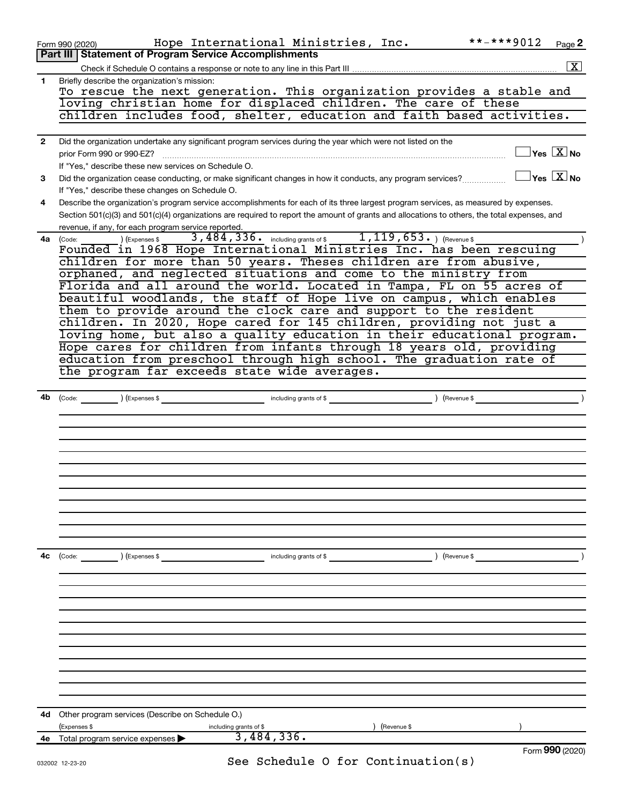|              | **-***9012<br>Hope International Ministries, Inc.<br>Page 2<br>Form 990 (2020)                                                                                    |
|--------------|-------------------------------------------------------------------------------------------------------------------------------------------------------------------|
|              | Part III   Statement of Program Service Accomplishments                                                                                                           |
|              | $\boxed{\textbf{X}}$                                                                                                                                              |
| 1            | Briefly describe the organization's mission:                                                                                                                      |
|              | To rescue the next generation. This organization provides a stable and                                                                                            |
|              | loving christian home for displaced children. The care of these                                                                                                   |
|              | children includes food, shelter, education and faith based activities.                                                                                            |
|              |                                                                                                                                                                   |
| $\mathbf{2}$ | Did the organization undertake any significant program services during the year which were not listed on the                                                      |
|              | $\overline{\ }$ Yes $\overline{\ \text{X}}$ No<br>prior Form 990 or 990-EZ?                                                                                       |
|              | If "Yes," describe these new services on Schedule O.                                                                                                              |
| 3            | $\sqrt{}$ Yes $\sqrt{}\,\overline{\mathrm{X}}$ No<br>Did the organization cease conducting, or make significant changes in how it conducts, any program services? |
|              | If "Yes," describe these changes on Schedule O.                                                                                                                   |
| 4            | Describe the organization's program service accomplishments for each of its three largest program services, as measured by expenses.                              |
|              | Section 501(c)(3) and 501(c)(4) organizations are required to report the amount of grants and allocations to others, the total expenses, and                      |
|              | revenue, if any, for each program service reported.                                                                                                               |
|              | 3,484,336. including grants of \$1,119,653. (Revenue \$1,119)<br>) (Expenses \$<br>4a (Code:                                                                      |
|              | Founded in 1968 Hope International Ministries Inc. has been rescuing                                                                                              |
|              | children for more than 50 years. Theses children are from abusive,                                                                                                |
|              | orphaned, and neglected situations and come to the ministry from                                                                                                  |
|              | Florida and all around the world. Located in Tampa, FL on 55 acres of                                                                                             |
|              | beautiful woodlands, the staff of Hope live on campus, which enables                                                                                              |
|              | them to provide around the clock care and support to the resident                                                                                                 |
|              | children. In 2020, Hope cared for 145 children, providing not just a                                                                                              |
|              | loving home, but also a quality education in their educational program.                                                                                           |
|              | Hope cares for children from infants through 18 years old, providing                                                                                              |
|              | education from preschool through high school. The graduation rate of                                                                                              |
|              | the program far exceeds state wide averages.                                                                                                                      |
|              |                                                                                                                                                                   |
|              |                                                                                                                                                                   |
| 4b           | including grants of \$<br>(Expenses \$<br>) (Revenue \$<br>(Code:                                                                                                 |
|              |                                                                                                                                                                   |
|              |                                                                                                                                                                   |
|              |                                                                                                                                                                   |
|              |                                                                                                                                                                   |
|              |                                                                                                                                                                   |
|              |                                                                                                                                                                   |
|              |                                                                                                                                                                   |
|              |                                                                                                                                                                   |
|              |                                                                                                                                                                   |
|              |                                                                                                                                                                   |
|              |                                                                                                                                                                   |
|              |                                                                                                                                                                   |
| 4c           | ) (Expenses \$<br>including grants of \$<br>) (Revenue \$<br>(Code:                                                                                               |
|              |                                                                                                                                                                   |
|              |                                                                                                                                                                   |
|              |                                                                                                                                                                   |
|              |                                                                                                                                                                   |
|              |                                                                                                                                                                   |
|              |                                                                                                                                                                   |
|              |                                                                                                                                                                   |
|              |                                                                                                                                                                   |
|              |                                                                                                                                                                   |
|              |                                                                                                                                                                   |
|              |                                                                                                                                                                   |
|              |                                                                                                                                                                   |
| 4d           | Other program services (Describe on Schedule O.)                                                                                                                  |
|              | (Expenses \$<br>including grants of \$<br>(Revenue \$                                                                                                             |
| 4е           | 3,484,336.<br>Total program service expenses                                                                                                                      |
|              | Form 990 (2020)                                                                                                                                                   |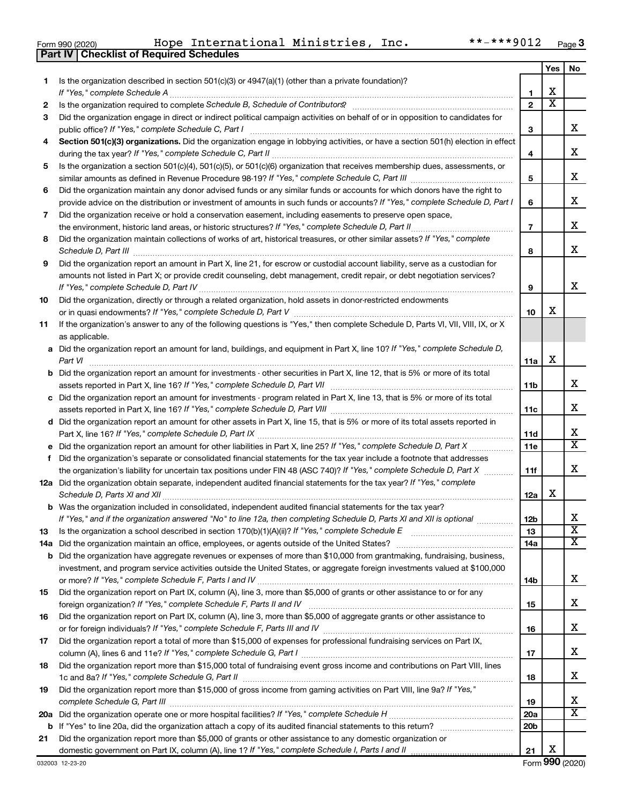|  | Form 990 (2020) |
|--|-----------------|

**Part IV Checklist of Required Schedules**

|     |                                                                                                                                                                                                                                                   |                 | Yes                     | No                           |
|-----|---------------------------------------------------------------------------------------------------------------------------------------------------------------------------------------------------------------------------------------------------|-----------------|-------------------------|------------------------------|
| 1.  | Is the organization described in section $501(c)(3)$ or $4947(a)(1)$ (other than a private foundation)?                                                                                                                                           |                 |                         |                              |
|     | If "Yes," complete Schedule A                                                                                                                                                                                                                     | 1               | х                       |                              |
| 2   |                                                                                                                                                                                                                                                   | $\mathbf{2}$    | $\overline{\textbf{x}}$ |                              |
| 3   | Did the organization engage in direct or indirect political campaign activities on behalf of or in opposition to candidates for                                                                                                                   |                 |                         |                              |
|     | public office? If "Yes," complete Schedule C, Part I                                                                                                                                                                                              | 3               |                         | x                            |
| 4   | Section 501(c)(3) organizations. Did the organization engage in lobbying activities, or have a section 501(h) election in effect                                                                                                                  |                 |                         |                              |
|     |                                                                                                                                                                                                                                                   | 4               |                         | x                            |
| 5   | Is the organization a section 501(c)(4), 501(c)(5), or 501(c)(6) organization that receives membership dues, assessments, or                                                                                                                      | 5               |                         | x                            |
|     | Did the organization maintain any donor advised funds or any similar funds or accounts for which donors have the right to                                                                                                                         |                 |                         |                              |
| 6   | provide advice on the distribution or investment of amounts in such funds or accounts? If "Yes," complete Schedule D, Part I                                                                                                                      | 6               |                         | х                            |
| 7   | Did the organization receive or hold a conservation easement, including easements to preserve open space,                                                                                                                                         |                 |                         |                              |
|     | the environment, historic land areas, or historic structures? If "Yes," complete Schedule D, Part II                                                                                                                                              | $\overline{7}$  |                         | x                            |
| 8   | Did the organization maintain collections of works of art, historical treasures, or other similar assets? If "Yes," complete                                                                                                                      |                 |                         |                              |
|     | Schedule D, Part III                                                                                                                                                                                                                              | 8               |                         | х                            |
| 9   | Did the organization report an amount in Part X, line 21, for escrow or custodial account liability, serve as a custodian for                                                                                                                     |                 |                         |                              |
|     | amounts not listed in Part X; or provide credit counseling, debt management, credit repair, or debt negotiation services?                                                                                                                         |                 |                         |                              |
|     |                                                                                                                                                                                                                                                   | 9               |                         | x                            |
| 10  | Did the organization, directly or through a related organization, hold assets in donor-restricted endowments                                                                                                                                      |                 |                         |                              |
|     |                                                                                                                                                                                                                                                   | 10              | х                       |                              |
| 11  | If the organization's answer to any of the following questions is "Yes," then complete Schedule D, Parts VI, VII, VIII, IX, or X                                                                                                                  |                 |                         |                              |
|     | as applicable.                                                                                                                                                                                                                                    |                 |                         |                              |
|     | a Did the organization report an amount for land, buildings, and equipment in Part X, line 10? If "Yes," complete Schedule D,                                                                                                                     |                 |                         |                              |
|     | Part VI                                                                                                                                                                                                                                           | 11a             | х                       |                              |
|     | <b>b</b> Did the organization report an amount for investments - other securities in Part X, line 12, that is 5% or more of its total                                                                                                             |                 |                         |                              |
|     | assets reported in Part X, line 16? If "Yes," complete Schedule D, Part VII [11] [11] [12] [12] [12] [12] [13] [                                                                                                                                  | 11 <sub>b</sub> |                         | x                            |
|     | c Did the organization report an amount for investments - program related in Part X, line 13, that is 5% or more of its total                                                                                                                     |                 |                         |                              |
|     |                                                                                                                                                                                                                                                   | 11c             |                         | x                            |
|     | d Did the organization report an amount for other assets in Part X, line 15, that is 5% or more of its total assets reported in                                                                                                                   |                 |                         |                              |
|     |                                                                                                                                                                                                                                                   | 11d             |                         | x<br>$\overline{\mathtt{x}}$ |
|     |                                                                                                                                                                                                                                                   | <b>11e</b>      |                         |                              |
| f.  | Did the organization's separate or consolidated financial statements for the tax year include a footnote that addresses<br>the organization's liability for uncertain tax positions under FIN 48 (ASC 740)? If "Yes," complete Schedule D, Part X | 11f             |                         | x                            |
|     | 12a Did the organization obtain separate, independent audited financial statements for the tax year? If "Yes," complete                                                                                                                           |                 |                         |                              |
|     | Schedule D, Parts XI and XII                                                                                                                                                                                                                      | 12a             | x                       |                              |
|     | b Was the organization included in consolidated, independent audited financial statements for the tax year?                                                                                                                                       |                 |                         |                              |
|     | If "Yes," and if the organization answered "No" to line 12a, then completing Schedule D, Parts XI and XII is optional www.                                                                                                                        | 12 <sub>b</sub> |                         | х                            |
| 13  |                                                                                                                                                                                                                                                   | 13              |                         | $\overline{\textbf{x}}$      |
| 14a | Did the organization maintain an office, employees, or agents outside of the United States?                                                                                                                                                       | 14a             |                         | X                            |
|     | <b>b</b> Did the organization have aggregate revenues or expenses of more than \$10,000 from grantmaking, fundraising, business,                                                                                                                  |                 |                         |                              |
|     | investment, and program service activities outside the United States, or aggregate foreign investments valued at \$100,000                                                                                                                        |                 |                         |                              |
|     |                                                                                                                                                                                                                                                   | 14b             |                         | X.                           |
| 15  | Did the organization report on Part IX, column (A), line 3, more than \$5,000 of grants or other assistance to or for any                                                                                                                         |                 |                         |                              |
|     |                                                                                                                                                                                                                                                   | 15              |                         | x                            |
| 16  | Did the organization report on Part IX, column (A), line 3, more than \$5,000 of aggregate grants or other assistance to                                                                                                                          |                 |                         |                              |
|     | or for foreign individuals? If "Yes," complete Schedule F, Parts III and IV [11] mann and intermal manufacture                                                                                                                                    | 16              |                         | X.                           |
| 17  | Did the organization report a total of more than \$15,000 of expenses for professional fundraising services on Part IX,                                                                                                                           |                 |                         |                              |
|     |                                                                                                                                                                                                                                                   | 17              |                         | x                            |
| 18  | Did the organization report more than \$15,000 total of fundraising event gross income and contributions on Part VIII, lines                                                                                                                      |                 |                         | x                            |
| 19  | Did the organization report more than \$15,000 of gross income from gaming activities on Part VIII, line 9a? If "Yes,"                                                                                                                            | 18              |                         |                              |
|     |                                                                                                                                                                                                                                                   | 19              |                         | х                            |
| 20a |                                                                                                                                                                                                                                                   | 20a             |                         | $\overline{\mathbf{X}}$      |
|     |                                                                                                                                                                                                                                                   | 20b             |                         |                              |
| 21  | Did the organization report more than \$5,000 of grants or other assistance to any domestic organization or                                                                                                                                       |                 |                         |                              |
|     |                                                                                                                                                                                                                                                   | 21              | х                       |                              |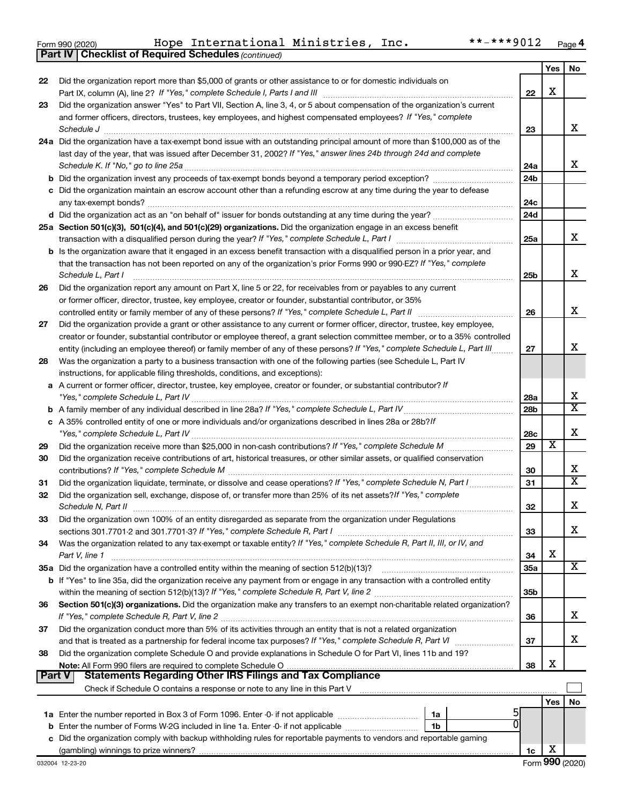|  | Form 990 (2020) |
|--|-----------------|

**Part IV Checklist of Required Schedules**

*(continued)*

|               |                                                                                                                                    |                 | Yes | No                      |
|---------------|------------------------------------------------------------------------------------------------------------------------------------|-----------------|-----|-------------------------|
| 22            | Did the organization report more than \$5,000 of grants or other assistance to or for domestic individuals on                      |                 |     |                         |
|               | Part IX, column (A), line 2? If "Yes," complete Schedule I, Parts I and III [11]] [11]] [11] [11] [11] [11] [1                     | 22              | х   |                         |
| 23            | Did the organization answer "Yes" to Part VII, Section A, line 3, 4, or 5 about compensation of the organization's current         |                 |     |                         |
|               | and former officers, directors, trustees, key employees, and highest compensated employees? If "Yes," complete                     |                 |     |                         |
|               | Schedule J                                                                                                                         | 23              |     | х                       |
|               | 24a Did the organization have a tax-exempt bond issue with an outstanding principal amount of more than \$100,000 as of the        |                 |     |                         |
|               | last day of the year, that was issued after December 31, 2002? If "Yes," answer lines 24b through 24d and complete                 |                 |     |                         |
|               | Schedule K. If "No," go to line 25a                                                                                                | 24a             |     | х                       |
|               |                                                                                                                                    | 24 <sub>b</sub> |     |                         |
|               | c Did the organization maintain an escrow account other than a refunding escrow at any time during the year to defease             |                 |     |                         |
|               | any tax-exempt bonds?                                                                                                              | 24c             |     |                         |
|               |                                                                                                                                    | 24d             |     |                         |
|               | 25a Section 501(c)(3), 501(c)(4), and 501(c)(29) organizations. Did the organization engage in an excess benefit                   |                 |     |                         |
|               |                                                                                                                                    | 25a             |     | х                       |
|               | b Is the organization aware that it engaged in an excess benefit transaction with a disqualified person in a prior year, and       |                 |     |                         |
|               | that the transaction has not been reported on any of the organization's prior Forms 990 or 990-EZ? If "Yes," complete              |                 |     |                         |
|               | Schedule L, Part I                                                                                                                 | 25b             |     | х                       |
| 26            | Did the organization report any amount on Part X, line 5 or 22, for receivables from or payables to any current                    |                 |     |                         |
|               | or former officer, director, trustee, key employee, creator or founder, substantial contributor, or 35%                            |                 |     |                         |
|               | controlled entity or family member of any of these persons? If "Yes," complete Schedule L, Part II                                 | 26              |     | х                       |
| 27            | Did the organization provide a grant or other assistance to any current or former officer, director, trustee, key employee,        |                 |     |                         |
|               | creator or founder, substantial contributor or employee thereof, a grant selection committee member, or to a 35% controlled        |                 |     | x                       |
|               | entity (including an employee thereof) or family member of any of these persons? If "Yes," complete Schedule L, Part III           | 27              |     |                         |
| 28            | Was the organization a party to a business transaction with one of the following parties (see Schedule L, Part IV                  |                 |     |                         |
|               | instructions, for applicable filing thresholds, conditions, and exceptions):                                                       |                 |     |                         |
| а             | A current or former officer, director, trustee, key employee, creator or founder, or substantial contributor? If                   | 28a             |     | х                       |
| b             | "Yes," complete Schedule L, Part IV [111] [12] www.marrows.com/marrows.com/marrows/marrows/marrows/                                | 28 <sub>b</sub> |     | $\overline{\mathtt{x}}$ |
|               | c A 35% controlled entity of one or more individuals and/or organizations described in lines 28a or 28b?/f                         |                 |     |                         |
|               |                                                                                                                                    | 28c             |     | х                       |
| 29            |                                                                                                                                    | 29              | X   |                         |
| 30            | Did the organization receive contributions of art, historical treasures, or other similar assets, or qualified conservation        |                 |     |                         |
|               |                                                                                                                                    | 30              |     | х                       |
| 31            | Did the organization liquidate, terminate, or dissolve and cease operations? If "Yes," complete Schedule N, Part I                 | 31              |     | $\overline{\text{x}}$   |
| 32            | Did the organization sell, exchange, dispose of, or transfer more than 25% of its net assets? If "Yes," complete                   |                 |     |                         |
|               | Schedule N, Part II                                                                                                                | 32              |     | х                       |
| 33            | Did the organization own 100% of an entity disregarded as separate from the organization under Regulations                         |                 |     |                         |
|               |                                                                                                                                    | 33              |     | x                       |
| 34            | Was the organization related to any tax-exempt or taxable entity? If "Yes," complete Schedule R, Part II, III, or IV, and          |                 |     |                         |
|               | Part V, line 1                                                                                                                     | 34              | X   |                         |
|               | 35a Did the organization have a controlled entity within the meaning of section 512(b)(13)?                                        | 35a             |     | X                       |
|               | <b>b</b> If "Yes" to line 35a, did the organization receive any payment from or engage in any transaction with a controlled entity |                 |     |                         |
|               |                                                                                                                                    | 35 <sub>b</sub> |     |                         |
| 36            | Section 501(c)(3) organizations. Did the organization make any transfers to an exempt non-charitable related organization?         |                 |     |                         |
|               |                                                                                                                                    | 36              |     | x                       |
| 37            | Did the organization conduct more than 5% of its activities through an entity that is not a related organization                   |                 |     |                         |
|               | and that is treated as a partnership for federal income tax purposes? If "Yes," complete Schedule R, Part VI                       | 37              |     | x                       |
| 38            | Did the organization complete Schedule O and provide explanations in Schedule O for Part VI, lines 11b and 19?                     |                 |     |                         |
|               | Note: All Form 990 filers are required to complete Schedule O                                                                      | 38              | х   |                         |
| <b>Part V</b> | <b>Statements Regarding Other IRS Filings and Tax Compliance</b>                                                                   |                 |     |                         |
|               |                                                                                                                                    |                 |     |                         |
|               |                                                                                                                                    |                 | Yes | No                      |
|               | 1a Enter the number reported in Box 3 of Form 1096. Enter -0- if not applicable <i>manumerane comparement</i><br>1a                |                 |     |                         |
| b             | Enter the number of Forms W-2G included in line 1a. Enter -0- if not applicable<br>1b                                              |                 |     |                         |
| с             | Did the organization comply with backup withholding rules for reportable payments to vendors and reportable gaming                 |                 |     |                         |
|               |                                                                                                                                    | 1c              | x   |                         |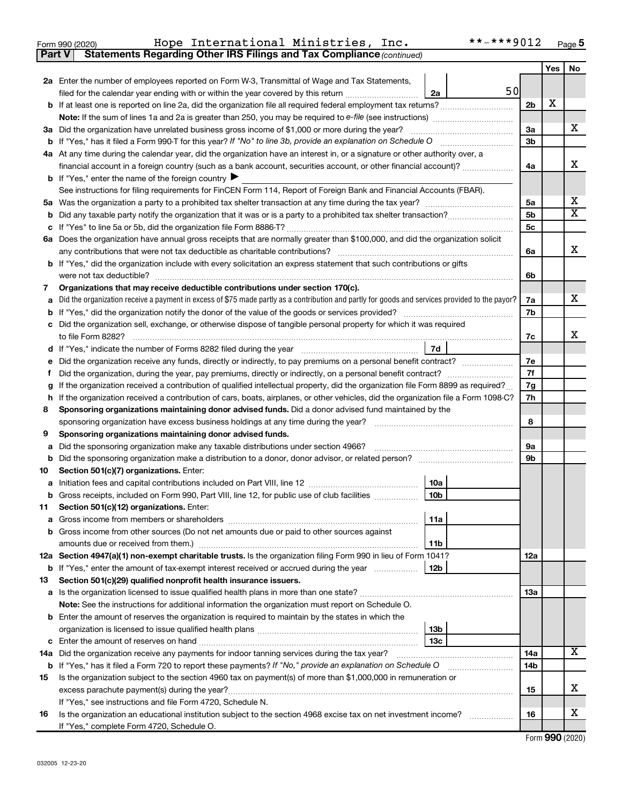| Form 990 (2020) |  |  | Hope International Ministries, |  | Inc. | **-***9012 <sub>Page</sub> |  |  |
|-----------------|--|--|--------------------------------|--|------|----------------------------|--|--|
|-----------------|--|--|--------------------------------|--|------|----------------------------|--|--|

**Part V Statements Regarding Other IRS Filings and Tax Compliance**

*(continued)*

|    |                                                                                                                                                                                             |                 |    |                | <b>Yes</b> | No                      |
|----|---------------------------------------------------------------------------------------------------------------------------------------------------------------------------------------------|-----------------|----|----------------|------------|-------------------------|
|    | 2a Enter the number of employees reported on Form W-3, Transmittal of Wage and Tax Statements,                                                                                              |                 |    |                |            |                         |
|    | filed for the calendar year ending with or within the year covered by this return                                                                                                           | 2a              | 50 |                |            |                         |
|    | b If at least one is reported on line 2a, did the organization file all required federal employment tax returns?                                                                            |                 |    | 2 <sub>b</sub> | х          |                         |
|    |                                                                                                                                                                                             |                 |    |                |            |                         |
|    | 3a Did the organization have unrelated business gross income of \$1,000 or more during the year?                                                                                            |                 |    | За             |            | x                       |
|    |                                                                                                                                                                                             |                 |    | 3b             |            |                         |
|    | 4a At any time during the calendar year, did the organization have an interest in, or a signature or other authority over, a                                                                |                 |    |                |            |                         |
|    | financial account in a foreign country (such as a bank account, securities account, or other financial account)?                                                                            |                 |    | 4a             |            | x                       |
|    | <b>b</b> If "Yes," enter the name of the foreign country $\blacktriangleright$                                                                                                              |                 |    |                |            |                         |
|    | See instructions for filing requirements for FinCEN Form 114, Report of Foreign Bank and Financial Accounts (FBAR).                                                                         |                 |    |                |            |                         |
| 5а |                                                                                                                                                                                             |                 |    | 5a             |            | х                       |
| b  |                                                                                                                                                                                             |                 |    | 5b             |            | $\overline{\textbf{X}}$ |
|    |                                                                                                                                                                                             |                 |    | 5c             |            |                         |
|    | 6a Does the organization have annual gross receipts that are normally greater than \$100,000, and did the organization solicit                                                              |                 |    |                |            |                         |
|    | any contributions that were not tax deductible as charitable contributions?                                                                                                                 |                 |    | 6a             |            | х                       |
|    | b If "Yes," did the organization include with every solicitation an express statement that such contributions or gifts                                                                      |                 |    |                |            |                         |
|    | were not tax deductible?                                                                                                                                                                    |                 |    | 6b             |            |                         |
| 7  | Organizations that may receive deductible contributions under section 170(c).                                                                                                               |                 |    |                |            |                         |
|    | Did the organization receive a payment in excess of \$75 made partly as a contribution and partly for goods and services provided to the payor?                                             |                 |    | 7a             |            | х                       |
|    |                                                                                                                                                                                             |                 |    | 7b             |            |                         |
|    | Did the organization sell, exchange, or otherwise dispose of tangible personal property for which it was required                                                                           |                 |    |                |            |                         |
|    |                                                                                                                                                                                             |                 |    | 7c             |            | x                       |
|    |                                                                                                                                                                                             | 7d              |    |                |            |                         |
|    | Did the organization receive any funds, directly or indirectly, to pay premiums on a personal benefit contract?                                                                             |                 |    | 7e<br>7f       |            |                         |
| t  | Did the organization, during the year, pay premiums, directly or indirectly, on a personal benefit contract?                                                                                |                 |    |                |            |                         |
|    | If the organization received a contribution of qualified intellectual property, did the organization file Form 8899 as required?                                                            |                 |    |                |            |                         |
| h  | If the organization received a contribution of cars, boats, airplanes, or other vehicles, did the organization file a Form 1098-C?                                                          |                 |    |                |            |                         |
| 8  | Sponsoring organizations maintaining donor advised funds. Did a donor advised fund maintained by the                                                                                        |                 |    |                |            |                         |
|    |                                                                                                                                                                                             |                 |    |                |            |                         |
| 9  | Sponsoring organizations maintaining donor advised funds.                                                                                                                                   |                 |    |                |            |                         |
| а  | Did the sponsoring organization make any taxable distributions under section 4966?                                                                                                          |                 |    | 9a             |            |                         |
| b  | Did the sponsoring organization make a distribution to a donor, donor advisor, or related person? [[[[[[[[[[[                                                                               |                 |    | 9b             |            |                         |
| 10 | Section 501(c)(7) organizations. Enter:                                                                                                                                                     |                 |    |                |            |                         |
| а  |                                                                                                                                                                                             | 10a             |    |                |            |                         |
| b  | Gross receipts, included on Form 990, Part VIII, line 12, for public use of club facilities                                                                                                 | 10 <sub>b</sub> |    |                |            |                         |
| 11 | Section 501(c)(12) organizations. Enter:                                                                                                                                                    |                 |    |                |            |                         |
|    |                                                                                                                                                                                             | 11a             |    |                |            |                         |
|    | b Gross income from other sources (Do not net amounts due or paid to other sources against                                                                                                  |                 |    |                |            |                         |
|    | 12a Section 4947(a)(1) non-exempt charitable trusts. Is the organization filing Form 990 in lieu of Form 1041?                                                                              | 11 <sub>b</sub> |    |                |            |                         |
|    |                                                                                                                                                                                             | 12 <sub>b</sub> |    | 12a            |            |                         |
|    | <b>b</b> If "Yes," enter the amount of tax-exempt interest received or accrued during the year                                                                                              |                 |    |                |            |                         |
| 13 | Section 501(c)(29) qualified nonprofit health insurance issuers.                                                                                                                            |                 |    |                |            |                         |
|    | a Is the organization licensed to issue qualified health plans in more than one state?<br>Note: See the instructions for additional information the organization must report on Schedule O. |                 |    | 13a            |            |                         |
|    | <b>b</b> Enter the amount of reserves the organization is required to maintain by the states in which the                                                                                   |                 |    |                |            |                         |
|    |                                                                                                                                                                                             | 13 <sub>b</sub> |    |                |            |                         |
|    |                                                                                                                                                                                             | 13 <sub>c</sub> |    |                |            |                         |
|    | 14a Did the organization receive any payments for indoor tanning services during the tax year?                                                                                              |                 |    | 14a            |            | x                       |
|    | <b>b</b> If "Yes," has it filed a Form 720 to report these payments? If "No," provide an explanation on Schedule O                                                                          |                 |    | 14b            |            |                         |
| 15 | Is the organization subject to the section 4960 tax on payment(s) of more than \$1,000,000 in remuneration or                                                                               |                 |    |                |            |                         |
|    | excess parachute payment(s) during the year?                                                                                                                                                |                 |    | 15             |            | х                       |
|    | If "Yes," see instructions and file Form 4720, Schedule N.                                                                                                                                  |                 |    |                |            |                         |
| 16 | Is the organization an educational institution subject to the section 4968 excise tax on net investment income?                                                                             |                 |    | 16             |            | х                       |
|    | If "Yes," complete Form 4720, Schedule O.                                                                                                                                                   |                 |    |                |            |                         |

Form (2020) **990**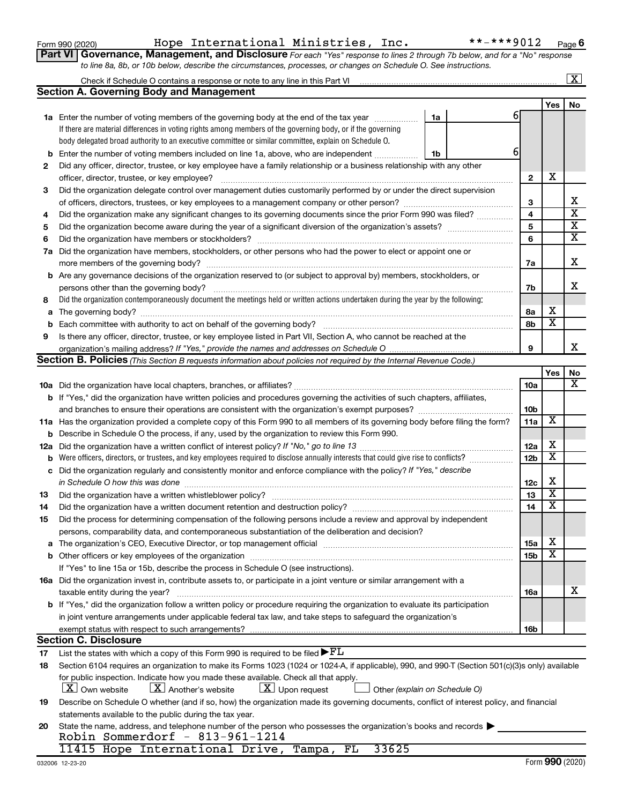|  | Form 990 (2020) |
|--|-----------------|
|  |                 |

## Form 990 (2020) Hope International Ministries, Inc. \*\*-\*\*\*9012 <sub>Page</sub>

**Part VI** Governance, Management, and Disclosure For each "Yes" response to lines 2 through 7b below, and for a "No" response *to line 8a, 8b, or 10b below, describe the circumstances, processes, or changes on Schedule O. See instructions.*

|     |                                                                                                                                                                          |    |   |                 |                         | $\mathbf{x}$            |
|-----|--------------------------------------------------------------------------------------------------------------------------------------------------------------------------|----|---|-----------------|-------------------------|-------------------------|
|     | <b>Section A. Governing Body and Management</b>                                                                                                                          |    |   |                 |                         |                         |
|     |                                                                                                                                                                          |    |   |                 | Yes                     | No                      |
|     | <b>1a</b> Enter the number of voting members of the governing body at the end of the tax year                                                                            | 1a | 6 |                 |                         |                         |
|     | If there are material differences in voting rights among members of the governing body, or if the governing                                                              |    |   |                 |                         |                         |
|     | body delegated broad authority to an executive committee or similar committee, explain on Schedule O.                                                                    |    |   |                 |                         |                         |
| b   | Enter the number of voting members included on line 1a, above, who are independent                                                                                       | 1b | 6 |                 |                         |                         |
| 2   | Did any officer, director, trustee, or key employee have a family relationship or a business relationship with any other                                                 |    |   |                 |                         |                         |
|     | officer, director, trustee, or key employee?                                                                                                                             |    |   | $\mathbf{2}$    | х                       |                         |
| 3   | Did the organization delegate control over management duties customarily performed by or under the direct supervision                                                    |    |   |                 |                         |                         |
|     |                                                                                                                                                                          |    |   | З               |                         | х                       |
| 4   | Did the organization make any significant changes to its governing documents since the prior Form 990 was filed?                                                         |    |   | 4               |                         | $\overline{\textbf{x}}$ |
| 5   |                                                                                                                                                                          |    |   | 5               |                         | $\overline{\textbf{x}}$ |
| 6   | Did the organization have members or stockholders?                                                                                                                       |    |   | 6               |                         | $\overline{\textbf{x}}$ |
| 7a  | Did the organization have members, stockholders, or other persons who had the power to elect or appoint one or                                                           |    |   |                 |                         |                         |
|     | more members of the governing body?                                                                                                                                      |    |   | 7a              |                         | х                       |
|     | <b>b</b> Are any governance decisions of the organization reserved to (or subject to approval by) members, stockholders, or                                              |    |   |                 |                         |                         |
|     | persons other than the governing body?                                                                                                                                   |    |   | 7b              |                         | x                       |
| 8   | Did the organization contemporaneously document the meetings held or written actions undertaken during the year by the following:                                        |    |   |                 |                         |                         |
| a   |                                                                                                                                                                          |    |   | 8а              | х                       |                         |
| b   |                                                                                                                                                                          |    |   | 8b              | $\overline{\textbf{x}}$ |                         |
| 9   | Is there any officer, director, trustee, or key employee listed in Part VII, Section A, who cannot be reached at the                                                     |    |   |                 |                         |                         |
|     |                                                                                                                                                                          |    |   | 9               |                         | x                       |
|     | <b>Section B. Policies</b> (This Section B requests information about policies not required by the Internal Revenue Code.)                                               |    |   |                 |                         |                         |
|     |                                                                                                                                                                          |    |   |                 | Yes                     | No                      |
|     |                                                                                                                                                                          |    |   | 10a             |                         | х                       |
|     | <b>b</b> If "Yes," did the organization have written policies and procedures governing the activities of such chapters, affiliates,                                      |    |   |                 |                         |                         |
|     |                                                                                                                                                                          |    |   | 10 <sub>b</sub> |                         |                         |
|     | 11a Has the organization provided a complete copy of this Form 990 to all members of its governing body before filing the form?                                          |    |   | 11a             | х                       |                         |
| b   | Describe in Schedule O the process, if any, used by the organization to review this Form 990.                                                                            |    |   |                 |                         |                         |
| 12a |                                                                                                                                                                          |    |   | 12a             | х                       |                         |
| b   | Were officers, directors, or trustees, and key employees required to disclose annually interests that could give rise to conflicts?                                      |    |   | 12 <sub>b</sub> | х                       |                         |
| с   | Did the organization regularly and consistently monitor and enforce compliance with the policy? If "Yes," describe                                                       |    |   |                 |                         |                         |
|     | in Schedule O how this was done                                                                                                                                          |    |   | 12c             | х                       |                         |
| 13  | Did the organization have a written whistleblower policy?                                                                                                                |    |   | 13              | $\overline{\textbf{x}}$ |                         |
| 14  | Did the organization have a written document retention and destruction policy? [111] [12] Did the organization have a written document retention and destruction policy? |    |   | 14              | $\overline{\textbf{x}}$ |                         |
| 15  | Did the process for determining compensation of the following persons include a review and approval by independent                                                       |    |   |                 |                         |                         |
|     | persons, comparability data, and contemporaneous substantiation of the deliberation and decision?                                                                        |    |   |                 |                         |                         |
| a   |                                                                                                                                                                          |    |   | <b>15a</b>      | х                       |                         |
|     |                                                                                                                                                                          |    |   | 15 <sub>b</sub> | х                       |                         |
|     | If "Yes" to line 15a or 15b, describe the process in Schedule O (see instructions).                                                                                      |    |   |                 |                         |                         |
|     | 16a Did the organization invest in, contribute assets to, or participate in a joint venture or similar arrangement with a                                                |    |   |                 |                         |                         |
|     | taxable entity during the year?                                                                                                                                          |    |   | 16a             |                         | х                       |
|     | b If "Yes," did the organization follow a written policy or procedure requiring the organization to evaluate its participation                                           |    |   |                 |                         |                         |
|     | in joint venture arrangements under applicable federal tax law, and take steps to safeguard the organization's                                                           |    |   |                 |                         |                         |
|     | exempt status with respect to such arrangements?                                                                                                                         |    |   | 16 <sub>b</sub> |                         |                         |
|     | <b>Section C. Disclosure</b>                                                                                                                                             |    |   |                 |                         |                         |
| 17  | List the states with which a copy of this Form 990 is required to be filed $\blacktriangleright$ $FL$                                                                    |    |   |                 |                         |                         |
| 18  | Section 6104 requires an organization to make its Forms 1023 (1024 or 1024-A, if applicable), 990, and 990-T (Section 501(c)(3)s only) available                         |    |   |                 |                         |                         |
|     | for public inspection. Indicate how you made these available. Check all that apply.                                                                                      |    |   |                 |                         |                         |
|     | $\lfloor \underline{X} \rfloor$ Upon request<br>$ \mathbf{X} $ Own website<br>$\lfloor X \rfloor$ Another's website<br>Other (explain on Schedule O)                     |    |   |                 |                         |                         |
| 19  | Describe on Schedule O whether (and if so, how) the organization made its governing documents, conflict of interest policy, and financial                                |    |   |                 |                         |                         |
|     | statements available to the public during the tax year.                                                                                                                  |    |   |                 |                         |                         |
| 20  | State the name, address, and telephone number of the person who possesses the organization's books and records                                                           |    |   |                 |                         |                         |
|     | Robin Sommerdorf - $813-961-1214$                                                                                                                                        |    |   |                 |                         |                         |
|     | 33625<br>11415 Hope International Drive, Tampa, FL                                                                                                                       |    |   |                 |                         |                         |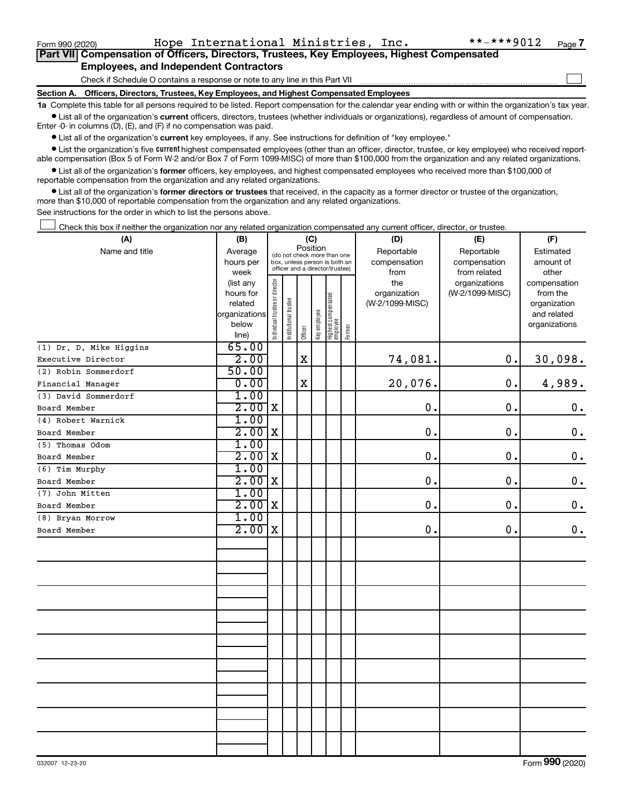$\Box$ 

|  |                                               |  | Part VII Compensation of Officers, Directors, Trustees, Key Employees, Highest Compensated |  |  |
|--|-----------------------------------------------|--|--------------------------------------------------------------------------------------------|--|--|
|  | <b>Employees, and Independent Contractors</b> |  |                                                                                            |  |  |

Check if Schedule O contains a response or note to any line in this Part VII

**Section A. Officers, Directors, Trustees, Key Employees, and Highest Compensated Employees**

**1a**  Complete this table for all persons required to be listed. Report compensation for the calendar year ending with or within the organization's tax year.  $\bullet$  List all of the organization's current officers, directors, trustees (whether individuals or organizations), regardless of amount of compensation.

Enter -0- in columns (D), (E), and (F) if no compensation was paid.

**•** List all of the organization's current key employees, if any. See instructions for definition of "key employee."

• List the organization's five *current* highest compensated employees (other than an officer, director, trustee, or key employee) who received reportable compensation (Box 5 of Form W-2 and/or Box 7 of Form 1099-MISC) of more than \$100,000 from the organization and any related organizations.

 $\bullet$  List all of the organization's former officers, key employees, and highest compensated employees who received more than \$100,000 of reportable compensation from the organization and any related organizations.

**•** List all of the organization's former directors or trustees that received, in the capacity as a former director or trustee of the organization, more than \$10,000 of reportable compensation from the organization and any related organizations.

See instructions for the order in which to list the persons above.

Check this box if neither the organization nor any related organization compensated any current officer, director, or trustee.  $\Box$ 

| (A)                     | (B)            |                                |                       |                                                                  | (C)          |                                   |        | (D)             | (E)             | (F)           |
|-------------------------|----------------|--------------------------------|-----------------------|------------------------------------------------------------------|--------------|-----------------------------------|--------|-----------------|-----------------|---------------|
| Name and title          | Average        |                                |                       | Position<br>(do not check more than one                          |              |                                   |        | Reportable      | Reportable      | Estimated     |
|                         | hours per      |                                |                       | box, unless person is both an<br>officer and a director/trustee) |              |                                   |        | compensation    | compensation    | amount of     |
|                         | week           |                                |                       |                                                                  |              |                                   |        | from            | from related    | other         |
|                         | (list any      |                                |                       |                                                                  |              |                                   |        | the             | organizations   | compensation  |
|                         | hours for      |                                |                       |                                                                  |              |                                   |        | organization    | (W-2/1099-MISC) | from the      |
|                         | related        |                                |                       |                                                                  |              |                                   |        | (W-2/1099-MISC) |                 | organization  |
|                         | organizations  |                                |                       |                                                                  |              |                                   |        |                 |                 | and related   |
|                         | below<br>line) | Individual trustee or director | Institutional trustee | Officer                                                          | Key employee | Highest compensated<br>  employee | Former |                 |                 | organizations |
| (1) Dr. D. Mike Higgins | 65.00          |                                |                       |                                                                  |              |                                   |        |                 |                 |               |
| Executive Director      | 2.00           |                                |                       | $\mathbf x$                                                      |              |                                   |        | 74,081.         | 0.              | 30,098.       |
| (2) Robin Sommerdorf    | 50.00          |                                |                       |                                                                  |              |                                   |        |                 |                 |               |
| Financial Manager       | 0.00           |                                |                       | $\mathbf X$                                                      |              |                                   |        | 20,076.         | 0.              | 4,989.        |
| (3) David Sommerdorf    | 1.00           |                                |                       |                                                                  |              |                                   |        |                 |                 |               |
| Board Member            | 2.00           | $\mathbf X$                    |                       |                                                                  |              |                                   |        | 0.              | 0.              | $\mathbf 0$ . |
| (4) Robert Warnick      | 1.00           |                                |                       |                                                                  |              |                                   |        |                 |                 |               |
| Board Member            | 2.00           | X                              |                       |                                                                  |              |                                   |        | 0.              | $\mathbf 0$ .   | 0.            |
| (5) Thomas Odom         | 1.00           |                                |                       |                                                                  |              |                                   |        |                 |                 |               |
| Board Member            | 2.00           | $\mathbf X$                    |                       |                                                                  |              |                                   |        | 0.              | $\mathbf 0$ .   | $\mathbf 0$ . |
| (6) Tim Murphy          | 1.00           |                                |                       |                                                                  |              |                                   |        |                 |                 |               |
| Board Member            | 2.00           | $\mathbf X$                    |                       |                                                                  |              |                                   |        | 0.              | 0.              | $0$ .         |
| (7) John Mitten         | 1.00           |                                |                       |                                                                  |              |                                   |        |                 |                 |               |
| Board Member            | 2.00           | $\mathbf X$                    |                       |                                                                  |              |                                   |        | 0.              | $\mathbf 0$ .   | $0$ .         |
| (8) Bryan Morrow        | 1.00           |                                |                       |                                                                  |              |                                   |        |                 |                 |               |
| Board Member            | 2.00           | $\mathbf X$                    |                       |                                                                  |              |                                   |        | 0.              | 0.              | 0.            |
|                         |                |                                |                       |                                                                  |              |                                   |        |                 |                 |               |
|                         |                |                                |                       |                                                                  |              |                                   |        |                 |                 |               |
|                         |                |                                |                       |                                                                  |              |                                   |        |                 |                 |               |
|                         |                |                                |                       |                                                                  |              |                                   |        |                 |                 |               |
|                         |                |                                |                       |                                                                  |              |                                   |        |                 |                 |               |
|                         |                |                                |                       |                                                                  |              |                                   |        |                 |                 |               |
|                         |                |                                |                       |                                                                  |              |                                   |        |                 |                 |               |
|                         |                |                                |                       |                                                                  |              |                                   |        |                 |                 |               |
|                         |                |                                |                       |                                                                  |              |                                   |        |                 |                 |               |
|                         |                |                                |                       |                                                                  |              |                                   |        |                 |                 |               |
|                         |                |                                |                       |                                                                  |              |                                   |        |                 |                 |               |
|                         |                |                                |                       |                                                                  |              |                                   |        |                 |                 |               |
|                         |                |                                |                       |                                                                  |              |                                   |        |                 |                 |               |
|                         |                |                                |                       |                                                                  |              |                                   |        |                 |                 |               |
|                         |                |                                |                       |                                                                  |              |                                   |        |                 |                 |               |
|                         |                |                                |                       |                                                                  |              |                                   |        |                 |                 |               |
|                         |                |                                |                       |                                                                  |              |                                   |        |                 |                 |               |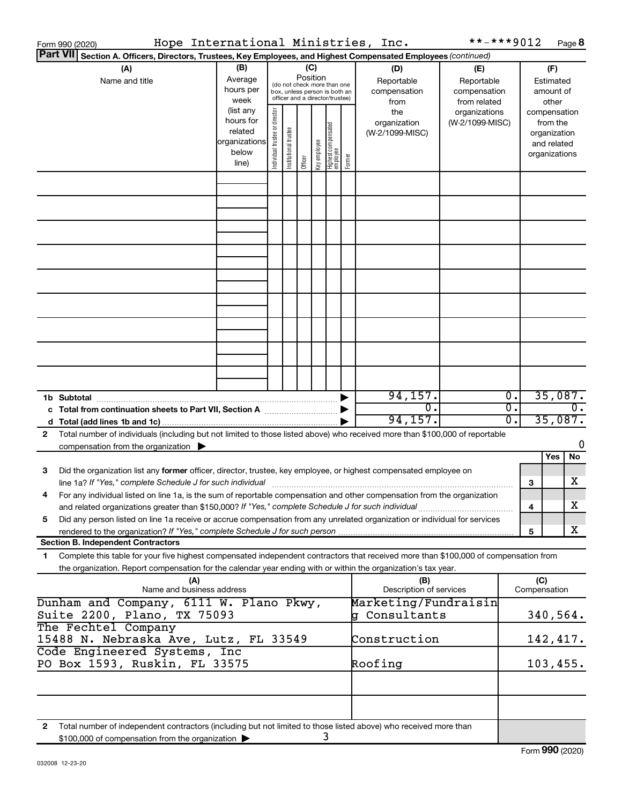| Form 990 (2020) | Hope International Ministries, Inc.                                                                                                                                                                                               |                                                                      |                                |                       |          |              |                                                                                                 |        |                                           | **-***9012                                        |                  |              |                                                                          | Page 8           |
|-----------------|-----------------------------------------------------------------------------------------------------------------------------------------------------------------------------------------------------------------------------------|----------------------------------------------------------------------|--------------------------------|-----------------------|----------|--------------|-------------------------------------------------------------------------------------------------|--------|-------------------------------------------|---------------------------------------------------|------------------|--------------|--------------------------------------------------------------------------|------------------|
|                 | Part VII Section A. Officers, Directors, Trustees, Key Employees, and Highest Compensated Employees (continued)                                                                                                                   |                                                                      |                                |                       |          |              |                                                                                                 |        |                                           |                                                   |                  |              |                                                                          |                  |
|                 | (A)<br>Name and title                                                                                                                                                                                                             | (B)<br>Average<br>hours per<br>week                                  |                                |                       | Position | (C)          | (do not check more than one<br>box, unless person is both an<br>officer and a director/trustee) |        | (D)<br>Reportable<br>compensation<br>from | (E)<br>Reportable<br>compensation<br>from related |                  |              | (F)<br>Estimated<br>amount of<br>other                                   |                  |
|                 |                                                                                                                                                                                                                                   | (list any<br>hours for<br>related<br>organizations<br>below<br>line) | Individual trustee or director | Institutional trustee | Officer  | Key employee | Highest compensated<br>  employee                                                               | Former | the<br>organization<br>(W-2/1099-MISC)    | organizations<br>(W-2/1099-MISC)                  |                  |              | compensation<br>from the<br>organization<br>and related<br>organizations |                  |
|                 |                                                                                                                                                                                                                                   |                                                                      |                                |                       |          |              |                                                                                                 |        |                                           |                                                   |                  |              |                                                                          |                  |
|                 |                                                                                                                                                                                                                                   |                                                                      |                                |                       |          |              |                                                                                                 |        |                                           |                                                   |                  |              |                                                                          |                  |
|                 |                                                                                                                                                                                                                                   |                                                                      |                                |                       |          |              |                                                                                                 |        |                                           |                                                   |                  |              |                                                                          |                  |
|                 |                                                                                                                                                                                                                                   |                                                                      |                                |                       |          |              |                                                                                                 |        |                                           |                                                   |                  |              |                                                                          |                  |
|                 |                                                                                                                                                                                                                                   |                                                                      |                                |                       |          |              |                                                                                                 |        |                                           |                                                   |                  |              |                                                                          |                  |
|                 |                                                                                                                                                                                                                                   |                                                                      |                                |                       |          |              |                                                                                                 |        |                                           |                                                   |                  |              |                                                                          |                  |
|                 |                                                                                                                                                                                                                                   |                                                                      |                                |                       |          |              |                                                                                                 |        |                                           |                                                   |                  |              |                                                                          |                  |
|                 |                                                                                                                                                                                                                                   |                                                                      |                                |                       |          |              |                                                                                                 |        |                                           |                                                   |                  |              |                                                                          |                  |
|                 |                                                                                                                                                                                                                                   |                                                                      |                                |                       |          |              |                                                                                                 |        | 94, 157.                                  |                                                   | $\overline{0}$ . |              | 35,087.                                                                  |                  |
| 1b Subtotal     | c Total from continuation sheets to Part VII, Section A manufactured by                                                                                                                                                           |                                                                      |                                |                       |          |              |                                                                                                 |        | $\overline{0}$ .                          |                                                   | $\overline{0}$ . |              |                                                                          | $\overline{0}$ . |
|                 |                                                                                                                                                                                                                                   |                                                                      |                                |                       |          |              |                                                                                                 |        | 94, 157.                                  |                                                   | $0$ .            |              | 35,087.                                                                  |                  |
| 2               | Total number of individuals (including but not limited to those listed above) who received more than \$100,000 of reportable<br>compensation from the organization $\blacktriangleright$                                          |                                                                      |                                |                       |          |              |                                                                                                 |        |                                           |                                                   |                  |              |                                                                          | 0                |
|                 |                                                                                                                                                                                                                                   |                                                                      |                                |                       |          |              |                                                                                                 |        |                                           |                                                   |                  |              | Yes                                                                      | No               |
| 3               | Did the organization list any former officer, director, trustee, key employee, or highest compensated employee on                                                                                                                 |                                                                      |                                |                       |          |              |                                                                                                 |        |                                           |                                                   |                  | 3            |                                                                          | х                |
|                 | For any individual listed on line 1a, is the sum of reportable compensation and other compensation from the organization                                                                                                          |                                                                      |                                |                       |          |              |                                                                                                 |        |                                           |                                                   |                  |              |                                                                          | х                |
| 5               | and related organizations greater than \$150,000? If "Yes," complete Schedule J for such individual<br>Did any person listed on line 1a receive or accrue compensation from any unrelated organization or individual for services |                                                                      |                                |                       |          |              |                                                                                                 |        |                                           |                                                   |                  | 4            |                                                                          |                  |
|                 | <b>Section B. Independent Contractors</b>                                                                                                                                                                                         |                                                                      |                                |                       |          |              |                                                                                                 |        |                                           |                                                   |                  | 5            |                                                                          | х                |
| 1.              | Complete this table for your five highest compensated independent contractors that received more than \$100,000 of compensation from                                                                                              |                                                                      |                                |                       |          |              |                                                                                                 |        |                                           |                                                   |                  |              |                                                                          |                  |
|                 | the organization. Report compensation for the calendar year ending with or within the organization's tax year.<br>(A)                                                                                                             |                                                                      |                                |                       |          |              |                                                                                                 |        | (B)                                       |                                                   |                  | (C)          |                                                                          |                  |
|                 | Name and business address                                                                                                                                                                                                         |                                                                      |                                |                       |          |              |                                                                                                 |        | Description of services                   |                                                   |                  | Compensation |                                                                          |                  |
|                 | Dunham and Company, 6111 W. Plano Pkwy,<br>Suite 2200, Plano, TX 75093                                                                                                                                                            |                                                                      |                                |                       |          |              |                                                                                                 |        | Marketing/Fundraisin<br>g Consultants     |                                                   |                  |              | 340,564.                                                                 |                  |
|                 | The Fechtel Company<br>15488 N. Nebraska Ave, Lutz, FL 33549                                                                                                                                                                      |                                                                      |                                |                       |          |              |                                                                                                 |        | Construction                              |                                                   |                  |              | 142,417.                                                                 |                  |
|                 | Code Engineered Systems, Inc<br>PO Box 1593, Ruskin, FL 33575                                                                                                                                                                     |                                                                      |                                |                       |          |              |                                                                                                 |        | Roofing                                   |                                                   |                  |              | 103,455.                                                                 |                  |
|                 |                                                                                                                                                                                                                                   |                                                                      |                                |                       |          |              |                                                                                                 |        |                                           |                                                   |                  |              |                                                                          |                  |
|                 | Total number of independent contractors (including but not limited to those listed above) who received more than                                                                                                                  |                                                                      |                                |                       |          |              |                                                                                                 |        |                                           |                                                   |                  |              |                                                                          |                  |
| 2               | \$100,000 of compensation from the organization                                                                                                                                                                                   |                                                                      |                                |                       |          |              | 3                                                                                               |        |                                           |                                                   |                  |              |                                                                          |                  |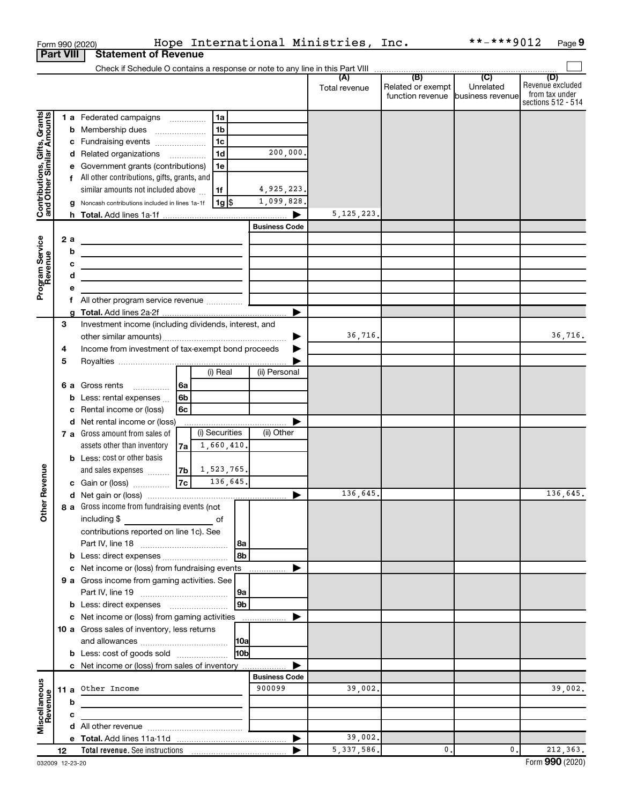|                                                           |                  | Form 990 (2020)                                                                                                      |                  |                                | Hope International Ministries, Inc. |                                   | **-***9012 | Page 9                               |
|-----------------------------------------------------------|------------------|----------------------------------------------------------------------------------------------------------------------|------------------|--------------------------------|-------------------------------------|-----------------------------------|------------|--------------------------------------|
|                                                           | <b>Part VIII</b> | <b>Statement of Revenue</b>                                                                                          |                  |                                |                                     |                                   |            |                                      |
|                                                           |                  |                                                                                                                      |                  |                                | (A)                                 | (B)                               | (C)        | (D)                                  |
|                                                           |                  |                                                                                                                      |                  |                                | Total revenue                       | Related or exempt                 | Unrelated  | Revenue excluded                     |
|                                                           |                  |                                                                                                                      |                  |                                |                                     | function revenue business revenue |            | from tax under<br>sections 512 - 514 |
|                                                           |                  | 1 a Federated campaigns                                                                                              | 1a               |                                |                                     |                                   |            |                                      |
|                                                           |                  | <b>b</b> Membership dues                                                                                             | 1 <sub>b</sub>   |                                |                                     |                                   |            |                                      |
|                                                           |                  | c Fundraising events                                                                                                 | 1c               |                                |                                     |                                   |            |                                      |
| Contributions, Gifts, Grants<br>and Other Similar Amounts |                  | d Related organizations                                                                                              | 1 <sub>d</sub>   | 200,000.                       |                                     |                                   |            |                                      |
|                                                           |                  | e Government grants (contributions)                                                                                  | 1e               |                                |                                     |                                   |            |                                      |
|                                                           |                  | f All other contributions, gifts, grants, and                                                                        |                  |                                |                                     |                                   |            |                                      |
|                                                           |                  | similar amounts not included above                                                                                   | 1f               | 4,925,223.                     |                                     |                                   |            |                                      |
|                                                           |                  | g Noncash contributions included in lines 1a-1f                                                                      | $1g$ \$          | 1,099,828.                     |                                     |                                   |            |                                      |
|                                                           |                  |                                                                                                                      |                  |                                | 5, 125, 223.                        |                                   |            |                                      |
|                                                           |                  |                                                                                                                      |                  | <b>Business Code</b>           |                                     |                                   |            |                                      |
|                                                           | 2 a              |                                                                                                                      |                  |                                |                                     |                                   |            |                                      |
|                                                           | b<br>c           | <u> 1989 - Johann Barbara, martxa alemaniar a</u>                                                                    |                  |                                |                                     |                                   |            |                                      |
|                                                           | d                | <u> 1980 - Johann Barbara, martxa alemaniar arg</u>                                                                  |                  |                                |                                     |                                   |            |                                      |
| Program Service<br>Revenue                                | е                | the control of the control of the control of the control of the control of                                           |                  |                                |                                     |                                   |            |                                      |
|                                                           | f                | All other program service revenue  [                                                                                 |                  |                                |                                     |                                   |            |                                      |
|                                                           |                  |                                                                                                                      |                  |                                |                                     |                                   |            |                                      |
|                                                           | З                | Investment income (including dividends, interest, and                                                                |                  |                                |                                     |                                   |            |                                      |
|                                                           |                  |                                                                                                                      |                  |                                | 36,716.                             |                                   |            | 36,716.                              |
|                                                           | 4                | Income from investment of tax-exempt bond proceeds                                                                   |                  |                                |                                     |                                   |            |                                      |
|                                                           | 5                |                                                                                                                      |                  |                                |                                     |                                   |            |                                      |
|                                                           |                  |                                                                                                                      | $(i)$ Real       | (ii) Personal                  |                                     |                                   |            |                                      |
|                                                           |                  | 6 a Gross rents                                                                                                      | 6a               |                                |                                     |                                   |            |                                      |
|                                                           |                  | <b>b</b> Less: rental expenses $\ldots$<br>Rental income or (loss)                                                   | 6b<br>6с         |                                |                                     |                                   |            |                                      |
|                                                           | c                | d Net rental income or (loss)                                                                                        |                  |                                |                                     |                                   |            |                                      |
|                                                           |                  | 7 a Gross amount from sales of                                                                                       | (i) Securities   | (ii) Other                     |                                     |                                   |            |                                      |
|                                                           |                  | assets other than inventory                                                                                          | 1,660,410.<br>7a |                                |                                     |                                   |            |                                      |
|                                                           |                  | <b>b</b> Less: cost or other basis                                                                                   |                  |                                |                                     |                                   |            |                                      |
| venue                                                     |                  | and sales expenses                                                                                                   | 1,523,765.<br>7b |                                |                                     |                                   |            |                                      |
|                                                           |                  | c Gain or (loss)                                                                                                     | 7c<br>136,645.   |                                |                                     |                                   |            |                                      |
| č                                                         |                  |                                                                                                                      |                  |                                | 136,645.                            |                                   |            | 136,645.                             |
| Other                                                     |                  | 8 a Gross income from fundraising events (not                                                                        |                  |                                |                                     |                                   |            |                                      |
|                                                           |                  |                                                                                                                      | of               |                                |                                     |                                   |            |                                      |
|                                                           |                  | contributions reported on line 1c). See                                                                              |                  | 8a                             |                                     |                                   |            |                                      |
|                                                           |                  |                                                                                                                      |                  | 8b                             |                                     |                                   |            |                                      |
|                                                           |                  | Net income or (loss) from fundraising events                                                                         |                  | .                              |                                     |                                   |            |                                      |
|                                                           |                  | 9 a Gross income from gaming activities. See                                                                         |                  |                                |                                     |                                   |            |                                      |
|                                                           |                  |                                                                                                                      |                  | 9a                             |                                     |                                   |            |                                      |
|                                                           |                  |                                                                                                                      |                  | 9b                             |                                     |                                   |            |                                      |
|                                                           |                  | c Net income or (loss) from gaming activities                                                                        |                  |                                |                                     |                                   |            |                                      |
|                                                           |                  | 10 a Gross sales of inventory, less returns                                                                          |                  |                                |                                     |                                   |            |                                      |
|                                                           |                  |                                                                                                                      |                  | <b>10a</b>                     |                                     |                                   |            |                                      |
|                                                           |                  | <b>b</b> Less: cost of goods sold                                                                                    |                  | l10bl                          |                                     |                                   |            |                                      |
|                                                           |                  | c Net income or (loss) from sales of inventory                                                                       |                  |                                |                                     |                                   |            |                                      |
|                                                           |                  | 11 a Other Income                                                                                                    |                  | <b>Business Code</b><br>900099 | 39,002.                             |                                   |            | 39,002.                              |
| Miscellaneous<br>Revenue                                  | b                |                                                                                                                      |                  |                                |                                     |                                   |            |                                      |
|                                                           | c                | <u> 1989 - Johann Barn, mars ann an t-Amhain Aonaich an t-Aonaich an t-Aonaich ann an t-Aonaich ann an t-Aonaich</u> |                  |                                |                                     |                                   |            |                                      |
|                                                           |                  |                                                                                                                      |                  |                                |                                     |                                   |            |                                      |
|                                                           |                  |                                                                                                                      |                  |                                | 39,002.                             |                                   |            |                                      |
|                                                           | 12               |                                                                                                                      |                  |                                | 5, 337, 586.                        | 0.                                | 0.         | 212,363.                             |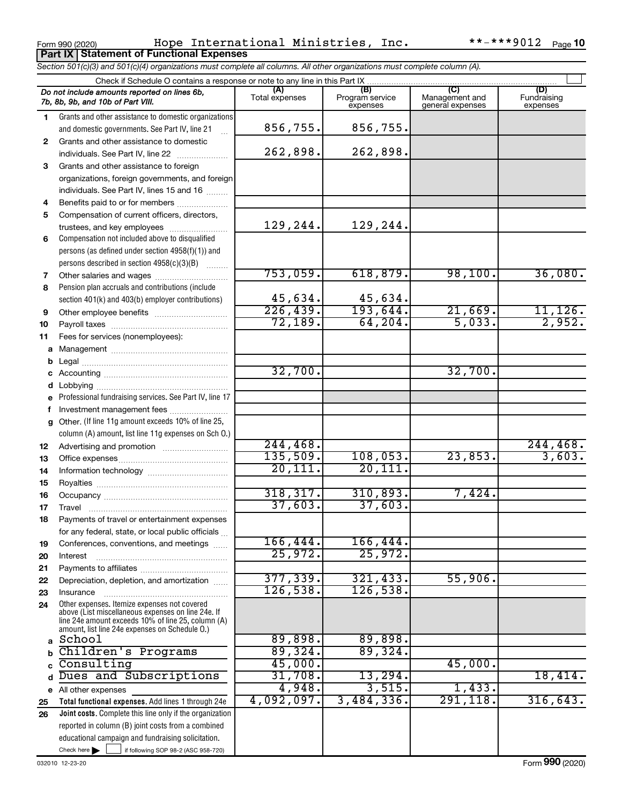**Part IX Statement of Functional Expenses**

Form 990 (2020) Page Hope International Ministries, Inc. \*\*-\*\*\*9012

|    | Section 501(c)(3) and 501(c)(4) organizations must complete all columns. All other organizations must complete column (A).                                 |                       |                             |                                    |                         |
|----|------------------------------------------------------------------------------------------------------------------------------------------------------------|-----------------------|-----------------------------|------------------------------------|-------------------------|
|    | Check if Schedule O contains a response or note to any line in this Part IX                                                                                | (A)                   | (B)                         | (C)                                | (D)                     |
|    | Do not include amounts reported on lines 6b,<br>7b, 8b, 9b, and 10b of Part VIII.                                                                          | Total expenses        | Program service<br>expenses | Management and<br>general expenses | Fundraising<br>expenses |
| 1. | Grants and other assistance to domestic organizations                                                                                                      |                       |                             |                                    |                         |
|    | and domestic governments. See Part IV, line 21                                                                                                             | 856,755.              | 856,755.                    |                                    |                         |
| 2  | Grants and other assistance to domestic                                                                                                                    |                       |                             |                                    |                         |
|    | individuals. See Part IV, line 22                                                                                                                          | 262,898.              | 262,898.                    |                                    |                         |
| 3  | Grants and other assistance to foreign                                                                                                                     |                       |                             |                                    |                         |
|    | organizations, foreign governments, and foreign                                                                                                            |                       |                             |                                    |                         |
|    | individuals. See Part IV, lines 15 and 16                                                                                                                  |                       |                             |                                    |                         |
| 4  | Benefits paid to or for members                                                                                                                            |                       |                             |                                    |                         |
| 5  | Compensation of current officers, directors,                                                                                                               |                       |                             |                                    |                         |
|    | trustees, and key employees                                                                                                                                | 129,244.              | 129,244.                    |                                    |                         |
| 6  | Compensation not included above to disqualified                                                                                                            |                       |                             |                                    |                         |
|    | persons (as defined under section 4958(f)(1)) and                                                                                                          |                       |                             |                                    |                         |
|    | persons described in section 4958(c)(3)(B)<br>$\overline{\phantom{a}}$                                                                                     |                       |                             |                                    |                         |
| 7  | Other salaries and wages                                                                                                                                   | 753,059.              | 618,879.                    | 98,100.                            | 36,080.                 |
| 8  | Pension plan accruals and contributions (include                                                                                                           |                       |                             |                                    |                         |
|    | section 401(k) and 403(b) employer contributions)                                                                                                          | 45,634.               | 45,634.                     |                                    |                         |
| 9  |                                                                                                                                                            | 226, 439.             | 193,644.                    | 21,669.                            | $\frac{11,126}{2,952}$  |
| 10 |                                                                                                                                                            | 72,189.               | 64, 204.                    | 5,033.                             |                         |
| 11 | Fees for services (nonemployees):                                                                                                                          |                       |                             |                                    |                         |
| а  |                                                                                                                                                            |                       |                             |                                    |                         |
| b  |                                                                                                                                                            |                       |                             |                                    |                         |
| с  |                                                                                                                                                            | 32,700.               |                             | 32,700.                            |                         |
| d  |                                                                                                                                                            |                       |                             |                                    |                         |
| е  | Professional fundraising services. See Part IV, line 17                                                                                                    |                       |                             |                                    |                         |
| f  | Investment management fees                                                                                                                                 |                       |                             |                                    |                         |
| g  | Other. (If line 11g amount exceeds 10% of line 25,                                                                                                         |                       |                             |                                    |                         |
|    | column (A) amount, list line 11g expenses on Sch O.)                                                                                                       |                       |                             |                                    |                         |
| 12 |                                                                                                                                                            | 244, 468.<br>135,509. | 108,053.                    |                                    | 244, 468.<br>3,603.     |
| 13 |                                                                                                                                                            | 20,111.               | 20,111.                     | 23,853.                            |                         |
| 14 |                                                                                                                                                            |                       |                             |                                    |                         |
| 15 |                                                                                                                                                            | 318, 317.             | 310,893.                    | 7,424.                             |                         |
| 16 |                                                                                                                                                            | 37,603.               | 37,603.                     |                                    |                         |
| 17 |                                                                                                                                                            |                       |                             |                                    |                         |
| 18 | Payments of travel or entertainment expenses                                                                                                               |                       |                             |                                    |                         |
|    | for any federal, state, or local public officials                                                                                                          | 166, 444.             |                             |                                    |                         |
| 19 | Conferences, conventions, and meetings                                                                                                                     | 25,972.               | 166,444.<br>25,972.         |                                    |                         |
| 20 | Interest                                                                                                                                                   |                       |                             |                                    |                         |
| 21 |                                                                                                                                                            | 377, 339.             | 321, 433.                   | 55,906.                            |                         |
| 22 | Depreciation, depletion, and amortization                                                                                                                  | 126,538.              | 126,538.                    |                                    |                         |
| 23 | Insurance<br>Other expenses. Itemize expenses not covered                                                                                                  |                       |                             |                                    |                         |
| 24 | above (List miscellaneous expenses on line 24e. If<br>line 24e amount exceeds 10% of line 25, column (A)<br>amount, list line 24e expenses on Schedule O.) |                       |                             |                                    |                         |
|    | a School                                                                                                                                                   | 89,898.               | 89,898.                     |                                    |                         |
| b  | Children's Programs                                                                                                                                        | 89,324.               | 89,324.                     |                                    |                         |
| C. | Consulting                                                                                                                                                 | 45,000.               |                             | 45,000.                            |                         |
| d  | Dues and Subscriptions                                                                                                                                     | 31,708.               | 13,294.                     |                                    | 18,414.                 |
|    | e All other expenses                                                                                                                                       | 4,948.                | 3,515.                      | 1,433.                             |                         |
| 25 | Total functional expenses. Add lines 1 through 24e                                                                                                         | 4,092,097.            | 3,484,336.                  | 291,118.                           | 316, 643.               |
| 26 | <b>Joint costs.</b> Complete this line only if the organization                                                                                            |                       |                             |                                    |                         |
|    | reported in column (B) joint costs from a combined                                                                                                         |                       |                             |                                    |                         |
|    | educational campaign and fundraising solicitation.                                                                                                         |                       |                             |                                    |                         |
|    | Check here $\blacktriangleright$<br>if following SOP 98-2 (ASC 958-720)                                                                                    |                       |                             |                                    |                         |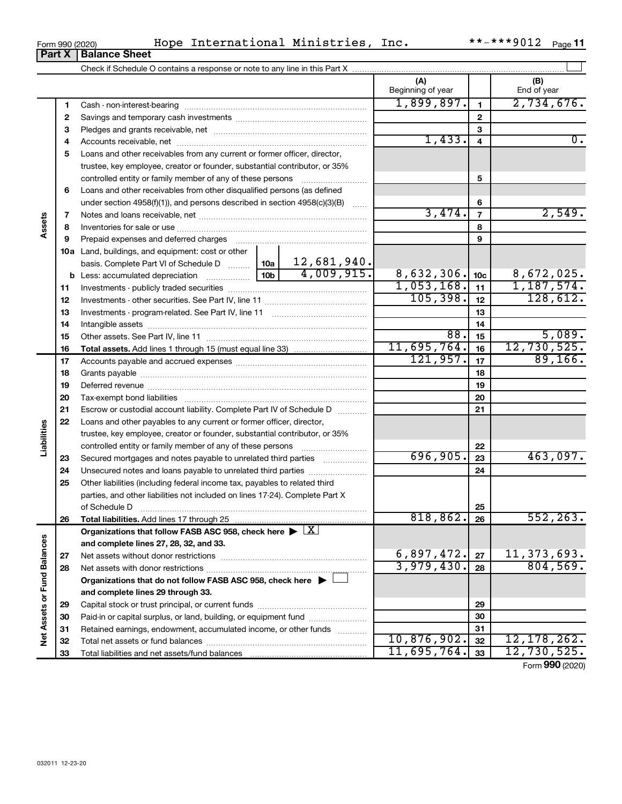| Form 990 (2020) |  |  | Hope International Ministries, | Inc. | **-***9012 $_{\text{Page}}$ 11 |  |
|-----------------|--|--|--------------------------------|------|--------------------------------|--|
|-----------------|--|--|--------------------------------|------|--------------------------------|--|

|                             |          | <b>Part X   Balance Sheet</b>                                                                          |                                  |                                 |                 |                       |
|-----------------------------|----------|--------------------------------------------------------------------------------------------------------|----------------------------------|---------------------------------|-----------------|-----------------------|
|                             |          |                                                                                                        |                                  |                                 |                 |                       |
|                             |          |                                                                                                        |                                  | (A)<br>Beginning of year        |                 | (B)<br>End of year    |
|                             | 1        |                                                                                                        |                                  | 1,899,897.                      | $\mathbf{1}$    | 2,734,676.            |
|                             | 2        |                                                                                                        |                                  |                                 | $\mathbf{2}$    |                       |
|                             | з        |                                                                                                        |                                  |                                 | 3               |                       |
|                             | 4        |                                                                                                        |                                  | 1,433.                          | 4               | $\overline{0}$ .      |
|                             | 5        | Loans and other receivables from any current or former officer, director,                              |                                  |                                 |                 |                       |
|                             |          | trustee, key employee, creator or founder, substantial contributor, or 35%                             |                                  |                                 |                 |                       |
|                             |          |                                                                                                        |                                  |                                 | 5               |                       |
|                             | 6        | Loans and other receivables from other disqualified persons (as defined                                |                                  |                                 |                 |                       |
|                             |          | under section $4958(f)(1)$ , and persons described in section $4958(c)(3)(B)$                          | <b>Carlos</b>                    |                                 | 6               |                       |
|                             | 7        |                                                                                                        |                                  | 3,474.                          | $\overline{7}$  | 2,549.                |
| Assets                      | 8        |                                                                                                        |                                  |                                 | 8               |                       |
|                             | 9        | Prepaid expenses and deferred charges                                                                  |                                  |                                 | 9               |                       |
|                             |          | 10a Land, buildings, and equipment: cost or other                                                      |                                  |                                 |                 |                       |
|                             |          | basis. Complete Part VI of Schedule D  10a                                                             | $\frac{12,681,940.}{4,009,915.}$ |                                 |                 |                       |
|                             | b        |                                                                                                        |                                  | 8,632,306.                      | 10 <sub>c</sub> | 8,672,025.            |
|                             | 11       |                                                                                                        |                                  | 1,053,168.                      | 11              | 1, 187, 574.          |
|                             | 12       |                                                                                                        |                                  | 105, 398.                       | 12              | 128,612.              |
|                             | 13       |                                                                                                        |                                  |                                 | 13              |                       |
|                             | 14       |                                                                                                        |                                  |                                 | 14              |                       |
|                             | 15       |                                                                                                        |                                  | 88.<br>11,695,764.              | 15              | 5,089.<br>12,730,525. |
|                             | 16       |                                                                                                        |                                  | 121,957.                        | 16              | 89,166.               |
|                             | 17       |                                                                                                        |                                  |                                 | 17              |                       |
|                             | 18       |                                                                                                        |                                  |                                 | 18              |                       |
|                             | 19       |                                                                                                        |                                  |                                 | 19              |                       |
|                             | 20       |                                                                                                        |                                  |                                 | 20              |                       |
|                             | 21<br>22 | Escrow or custodial account liability. Complete Part IV of Schedule D                                  |                                  |                                 | 21              |                       |
| Liabilities                 |          | Loans and other payables to any current or former officer, director,                                   |                                  |                                 |                 |                       |
|                             |          | trustee, key employee, creator or founder, substantial contributor, or 35%                             |                                  |                                 | 22              |                       |
|                             | 23       | Secured mortgages and notes payable to unrelated third parties                                         |                                  | 696,905.                        | 23              | 463,097.              |
|                             | 24       | Unsecured notes and loans payable to unrelated third parties                                           |                                  |                                 | 24              |                       |
|                             | 25       | Other liabilities (including federal income tax, payables to related third                             |                                  |                                 |                 |                       |
|                             |          | parties, and other liabilities not included on lines 17-24). Complete Part X                           |                                  |                                 |                 |                       |
|                             |          | of Schedule D                                                                                          |                                  |                                 | 25              |                       |
|                             | 26       | Total liabilities. Add lines 17 through 25                                                             |                                  | 818, 862.                       | 26              | 552, 263.             |
|                             |          | Organizations that follow FASB ASC 958, check here $\blacktriangleright \lfloor \underline{X} \rfloor$ |                                  |                                 |                 |                       |
|                             |          | and complete lines 27, 28, 32, and 33.                                                                 |                                  |                                 |                 |                       |
|                             | 27       |                                                                                                        |                                  | $\frac{6,897,472.}{3,979,430.}$ | 27              | 11, 373, 693.         |
|                             | 28       |                                                                                                        |                                  |                                 | 28              | 804, 569.             |
|                             |          | Organizations that do not follow FASB ASC 958, check here $\blacktriangleright$                        |                                  |                                 |                 |                       |
|                             |          | and complete lines 29 through 33.                                                                      |                                  |                                 |                 |                       |
|                             | 29       |                                                                                                        |                                  |                                 | 29              |                       |
|                             | 30       | Paid-in or capital surplus, or land, building, or equipment fund                                       |                                  |                                 | 30              |                       |
| Net Assets or Fund Balances | 31       | Retained earnings, endowment, accumulated income, or other funds                                       |                                  |                                 | 31              |                       |
|                             | 32       |                                                                                                        |                                  | 10,876,902.                     | 32              | 12, 178, 262.         |
|                             | 33       |                                                                                                        |                                  | 11,695,764.                     | 33              | 12,730,525.           |
|                             |          |                                                                                                        |                                  |                                 |                 | Form 990 (2020)       |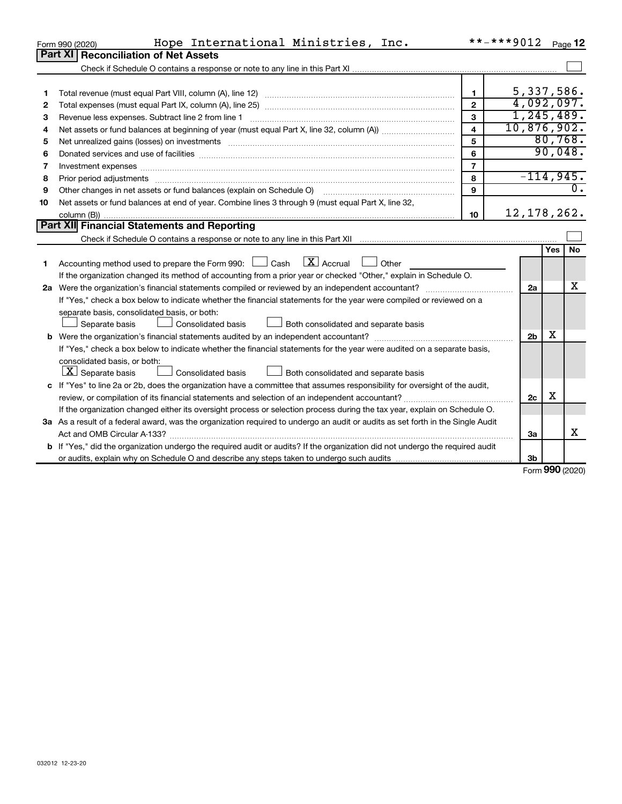|    | Hope International Ministries, Inc.<br>Form 990 (2020)                                                                                                                                                                         |                | **-***9012     |            | Page 12   |
|----|--------------------------------------------------------------------------------------------------------------------------------------------------------------------------------------------------------------------------------|----------------|----------------|------------|-----------|
|    | Part XI<br><b>Reconciliation of Net Assets</b>                                                                                                                                                                                 |                |                |            |           |
|    |                                                                                                                                                                                                                                |                |                |            |           |
|    |                                                                                                                                                                                                                                |                |                |            |           |
| 1  |                                                                                                                                                                                                                                | $\mathbf{1}$   | 5,337,586.     |            |           |
| 2  |                                                                                                                                                                                                                                | $\overline{2}$ | 4,092,097.     |            |           |
| З  | Revenue less expenses. Subtract line 2 from line 1                                                                                                                                                                             | 3              | 1, 245, 489.   |            |           |
| 4  |                                                                                                                                                                                                                                | 4              | 10,876,902.    |            |           |
| 5  |                                                                                                                                                                                                                                | 5              |                |            | 80,768.   |
| 6  |                                                                                                                                                                                                                                | 6              |                |            | 90,048.   |
| 7  |                                                                                                                                                                                                                                | $\overline{7}$ |                |            |           |
| 8  | Prior period adjustments manufactured and content and content and all the manufactured adjustments manufacture                                                                                                                 | 8              | $-114,945.$    |            |           |
| 9  | Other changes in net assets or fund balances (explain on Schedule O) [11] [12] manument changes in net assets or fund balances (explain on Schedule O) [12] manument changes in net assets or fund balances (explain on Schedu | 9              |                |            | 0.        |
| 10 | Net assets or fund balances at end of year. Combine lines 3 through 9 (must equal Part X, line 32,                                                                                                                             |                |                |            |           |
|    |                                                                                                                                                                                                                                | 10             | 12, 178, 262.  |            |           |
|    | Part XII Financial Statements and Reporting                                                                                                                                                                                    |                |                |            |           |
|    |                                                                                                                                                                                                                                |                |                |            |           |
|    |                                                                                                                                                                                                                                |                |                | <b>Yes</b> | <b>No</b> |
| 1. | Accounting method used to prepare the Form 990: $\Box$ Cash $\Box$ Accrual $\Box$ Other                                                                                                                                        |                |                |            |           |
|    | If the organization changed its method of accounting from a prior year or checked "Other," explain in Schedule O.                                                                                                              |                |                |            |           |
|    |                                                                                                                                                                                                                                |                | 2a             |            | X         |
|    | If "Yes," check a box below to indicate whether the financial statements for the year were compiled or reviewed on a                                                                                                           |                |                |            |           |
|    | separate basis, consolidated basis, or both:                                                                                                                                                                                   |                |                |            |           |
|    | Both consolidated and separate basis<br>Separate basis<br>Consolidated basis                                                                                                                                                   |                |                |            |           |
|    |                                                                                                                                                                                                                                |                | 2 <sub>b</sub> | X          |           |
|    | If "Yes," check a box below to indicate whether the financial statements for the year were audited on a separate basis,                                                                                                        |                |                |            |           |
|    | consolidated basis, or both:                                                                                                                                                                                                   |                |                |            |           |
|    | $ \mathbf{X} $ Separate basis<br>Consolidated basis<br>Both consolidated and separate basis                                                                                                                                    |                |                |            |           |
|    | c If "Yes" to line 2a or 2b, does the organization have a committee that assumes responsibility for oversight of the audit,                                                                                                    |                |                |            |           |
|    |                                                                                                                                                                                                                                |                | 2c             | X          |           |
|    | If the organization changed either its oversight process or selection process during the tax year, explain on Schedule O.                                                                                                      |                |                |            |           |
|    | 3a As a result of a federal award, was the organization required to undergo an audit or audits as set forth in the Single Audit                                                                                                |                |                |            |           |
|    | Act and OMB Circular A-133?                                                                                                                                                                                                    |                | За             |            | х         |
|    | b If "Yes," did the organization undergo the required audit or audits? If the organization did not undergo the required audit                                                                                                  |                |                |            |           |
|    |                                                                                                                                                                                                                                |                | 3b             | nnn -      |           |

Form (2020) **990**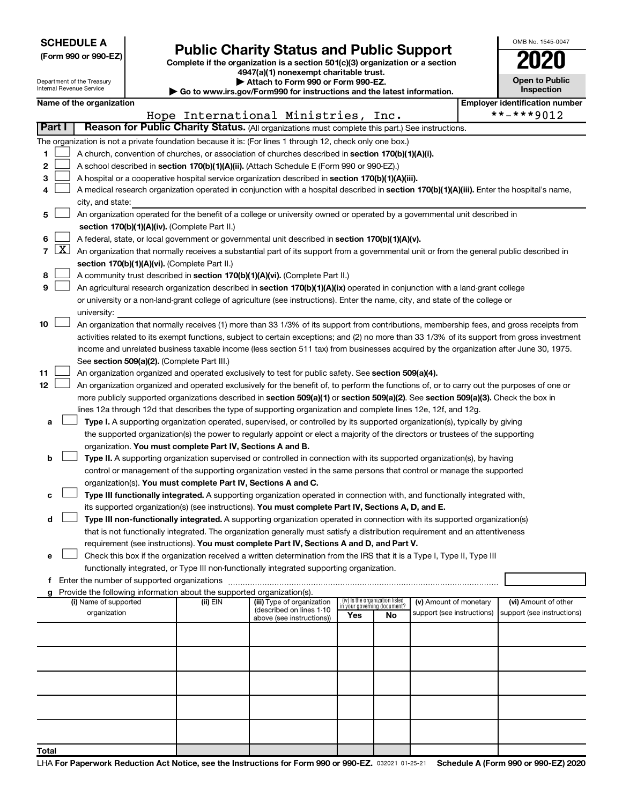|  |  | <b>SCHEDULE A</b> |  |
|--|--|-------------------|--|
|  |  |                   |  |

|  |  |  |  |  | (Form 990 or 990-EZ) |  |
|--|--|--|--|--|----------------------|--|
|--|--|--|--|--|----------------------|--|

## Form 990 or 990-EZ) **Public Charity Status and Public Support**<br>
Complete if the organization is a section 501(c)(3) organization or a section<br> **2020**

**4947(a)(1) nonexempt charitable trust.**

| OMB No. 1545-0047                   |
|-------------------------------------|
| U20                                 |
| <b>Open to Public</b><br>Inspection |
|                                     |

1

|    | Attach to Form 990 or Form 990-EZ.<br>Department of the Treasury<br>Internal Revenue Service                             |  |                       |  |                                                                                    |                                                                                                                                              | <b>Open to Public</b><br>Inspection |                                       |                            |  |                            |
|----|--------------------------------------------------------------------------------------------------------------------------|--|-----------------------|--|------------------------------------------------------------------------------------|----------------------------------------------------------------------------------------------------------------------------------------------|-------------------------------------|---------------------------------------|----------------------------|--|----------------------------|
|    | $\blacktriangleright$ Go to www.irs.gov/Form990 for instructions and the latest information.<br>Name of the organization |  |                       |  |                                                                                    |                                                                                                                                              |                                     | <b>Employer identification number</b> |                            |  |                            |
|    |                                                                                                                          |  |                       |  |                                                                                    | Hope International Ministries, Inc.                                                                                                          |                                     |                                       |                            |  | **-***9012                 |
|    | Part I                                                                                                                   |  |                       |  |                                                                                    | Reason for Public Charity Status. (All organizations must complete this part.) See instructions.                                             |                                     |                                       |                            |  |                            |
|    |                                                                                                                          |  |                       |  |                                                                                    | The organization is not a private foundation because it is: (For lines 1 through 12, check only one box.)                                    |                                     |                                       |                            |  |                            |
| 1. |                                                                                                                          |  |                       |  |                                                                                    | A church, convention of churches, or association of churches described in section 170(b)(1)(A)(i).                                           |                                     |                                       |                            |  |                            |
| 2  |                                                                                                                          |  |                       |  |                                                                                    | A school described in section 170(b)(1)(A)(ii). (Attach Schedule E (Form 990 or 990-EZ).)                                                    |                                     |                                       |                            |  |                            |
| з  |                                                                                                                          |  |                       |  |                                                                                    | A hospital or a cooperative hospital service organization described in section 170(b)(1)(A)(iii).                                            |                                     |                                       |                            |  |                            |
|    |                                                                                                                          |  |                       |  |                                                                                    | A medical research organization operated in conjunction with a hospital described in section 170(b)(1)(A)(iii). Enter the hospital's name,   |                                     |                                       |                            |  |                            |
|    |                                                                                                                          |  | city, and state:      |  |                                                                                    |                                                                                                                                              |                                     |                                       |                            |  |                            |
| 5  |                                                                                                                          |  |                       |  |                                                                                    | An organization operated for the benefit of a college or university owned or operated by a governmental unit described in                    |                                     |                                       |                            |  |                            |
|    |                                                                                                                          |  |                       |  | section 170(b)(1)(A)(iv). (Complete Part II.)                                      |                                                                                                                                              |                                     |                                       |                            |  |                            |
| 6  |                                                                                                                          |  |                       |  |                                                                                    | A federal, state, or local government or governmental unit described in section 170(b)(1)(A)(v).                                             |                                     |                                       |                            |  |                            |
|    | $7 \mid X \mid$                                                                                                          |  |                       |  |                                                                                    | An organization that normally receives a substantial part of its support from a governmental unit or from the general public described in    |                                     |                                       |                            |  |                            |
|    |                                                                                                                          |  |                       |  | section 170(b)(1)(A)(vi). (Complete Part II.)                                      |                                                                                                                                              |                                     |                                       |                            |  |                            |
| 8  |                                                                                                                          |  |                       |  |                                                                                    | A community trust described in section 170(b)(1)(A)(vi). (Complete Part II.)                                                                 |                                     |                                       |                            |  |                            |
| 9  |                                                                                                                          |  |                       |  |                                                                                    | An agricultural research organization described in section 170(b)(1)(A)(ix) operated in conjunction with a land-grant college                |                                     |                                       |                            |  |                            |
|    |                                                                                                                          |  |                       |  |                                                                                    | or university or a non-land-grant college of agriculture (see instructions). Enter the name, city, and state of the college or               |                                     |                                       |                            |  |                            |
|    |                                                                                                                          |  | university:           |  |                                                                                    |                                                                                                                                              |                                     |                                       |                            |  |                            |
| 10 |                                                                                                                          |  |                       |  |                                                                                    | An organization that normally receives (1) more than 33 1/3% of its support from contributions, membership fees, and gross receipts from     |                                     |                                       |                            |  |                            |
|    |                                                                                                                          |  |                       |  |                                                                                    | activities related to its exempt functions, subject to certain exceptions; and (2) no more than 33 1/3% of its support from gross investment |                                     |                                       |                            |  |                            |
|    |                                                                                                                          |  |                       |  |                                                                                    | income and unrelated business taxable income (less section 511 tax) from businesses acquired by the organization after June 30, 1975.        |                                     |                                       |                            |  |                            |
|    |                                                                                                                          |  |                       |  | See section 509(a)(2). (Complete Part III.)                                        |                                                                                                                                              |                                     |                                       |                            |  |                            |
| 11 |                                                                                                                          |  |                       |  |                                                                                    | An organization organized and operated exclusively to test for public safety. See section 509(a)(4).                                         |                                     |                                       |                            |  |                            |
| 12 |                                                                                                                          |  |                       |  |                                                                                    | An organization organized and operated exclusively for the benefit of, to perform the functions of, or to carry out the purposes of one or   |                                     |                                       |                            |  |                            |
|    |                                                                                                                          |  |                       |  |                                                                                    | more publicly supported organizations described in section 509(a)(1) or section 509(a)(2). See section 509(a)(3). Check the box in           |                                     |                                       |                            |  |                            |
|    |                                                                                                                          |  |                       |  |                                                                                    | lines 12a through 12d that describes the type of supporting organization and complete lines 12e, 12f, and 12g.                               |                                     |                                       |                            |  |                            |
| а  |                                                                                                                          |  |                       |  |                                                                                    | Type I. A supporting organization operated, supervised, or controlled by its supported organization(s), typically by giving                  |                                     |                                       |                            |  |                            |
|    |                                                                                                                          |  |                       |  |                                                                                    | the supported organization(s) the power to regularly appoint or elect a majority of the directors or trustees of the supporting              |                                     |                                       |                            |  |                            |
|    |                                                                                                                          |  |                       |  | organization. You must complete Part IV, Sections A and B.                         |                                                                                                                                              |                                     |                                       |                            |  |                            |
| b  |                                                                                                                          |  |                       |  |                                                                                    | Type II. A supporting organization supervised or controlled in connection with its supported organization(s), by having                      |                                     |                                       |                            |  |                            |
|    |                                                                                                                          |  |                       |  |                                                                                    | control or management of the supporting organization vested in the same persons that control or manage the supported                         |                                     |                                       |                            |  |                            |
|    |                                                                                                                          |  |                       |  | organization(s). You must complete Part IV, Sections A and C.                      |                                                                                                                                              |                                     |                                       |                            |  |                            |
| c  |                                                                                                                          |  |                       |  |                                                                                    | Type III functionally integrated. A supporting organization operated in connection with, and functionally integrated with,                   |                                     |                                       |                            |  |                            |
|    |                                                                                                                          |  |                       |  |                                                                                    | its supported organization(s) (see instructions). You must complete Part IV, Sections A, D, and E.                                           |                                     |                                       |                            |  |                            |
| d  |                                                                                                                          |  |                       |  |                                                                                    | Type III non-functionally integrated. A supporting organization operated in connection with its supported organization(s)                    |                                     |                                       |                            |  |                            |
|    |                                                                                                                          |  |                       |  |                                                                                    | that is not functionally integrated. The organization generally must satisfy a distribution requirement and an attentiveness                 |                                     |                                       |                            |  |                            |
|    |                                                                                                                          |  |                       |  |                                                                                    | requirement (see instructions). You must complete Part IV, Sections A and D, and Part V.                                                     |                                     |                                       |                            |  |                            |
| е  |                                                                                                                          |  |                       |  |                                                                                    | Check this box if the organization received a written determination from the IRS that it is a Type I, Type II, Type III                      |                                     |                                       |                            |  |                            |
|    |                                                                                                                          |  |                       |  |                                                                                    | functionally integrated, or Type III non-functionally integrated supporting organization.                                                    |                                     |                                       |                            |  |                            |
|    |                                                                                                                          |  |                       |  |                                                                                    |                                                                                                                                              |                                     |                                       |                            |  |                            |
|    |                                                                                                                          |  | (i) Name of supported |  | Provide the following information about the supported organization(s).<br>(ii) EIN | (iii) Type of organization                                                                                                                   | (iv) Is the organization listed     |                                       | (v) Amount of monetary     |  | (vi) Amount of other       |
|    |                                                                                                                          |  | organization          |  |                                                                                    | (described on lines 1-10                                                                                                                     |                                     | in vour aovernina document?           | support (see instructions) |  | support (see instructions) |
|    |                                                                                                                          |  |                       |  |                                                                                    | above (see instructions))                                                                                                                    | Yes                                 | No                                    |                            |  |                            |
|    |                                                                                                                          |  |                       |  |                                                                                    |                                                                                                                                              |                                     |                                       |                            |  |                            |
|    |                                                                                                                          |  |                       |  |                                                                                    |                                                                                                                                              |                                     |                                       |                            |  |                            |
|    |                                                                                                                          |  |                       |  |                                                                                    |                                                                                                                                              |                                     |                                       |                            |  |                            |
|    |                                                                                                                          |  |                       |  |                                                                                    |                                                                                                                                              |                                     |                                       |                            |  |                            |
|    |                                                                                                                          |  |                       |  |                                                                                    |                                                                                                                                              |                                     |                                       |                            |  |                            |
|    |                                                                                                                          |  |                       |  |                                                                                    |                                                                                                                                              |                                     |                                       |                            |  |                            |
|    |                                                                                                                          |  |                       |  |                                                                                    |                                                                                                                                              |                                     |                                       |                            |  |                            |
|    |                                                                                                                          |  |                       |  |                                                                                    |                                                                                                                                              |                                     |                                       |                            |  |                            |
|    |                                                                                                                          |  |                       |  |                                                                                    |                                                                                                                                              |                                     |                                       |                            |  |                            |
|    |                                                                                                                          |  |                       |  |                                                                                    |                                                                                                                                              |                                     |                                       |                            |  |                            |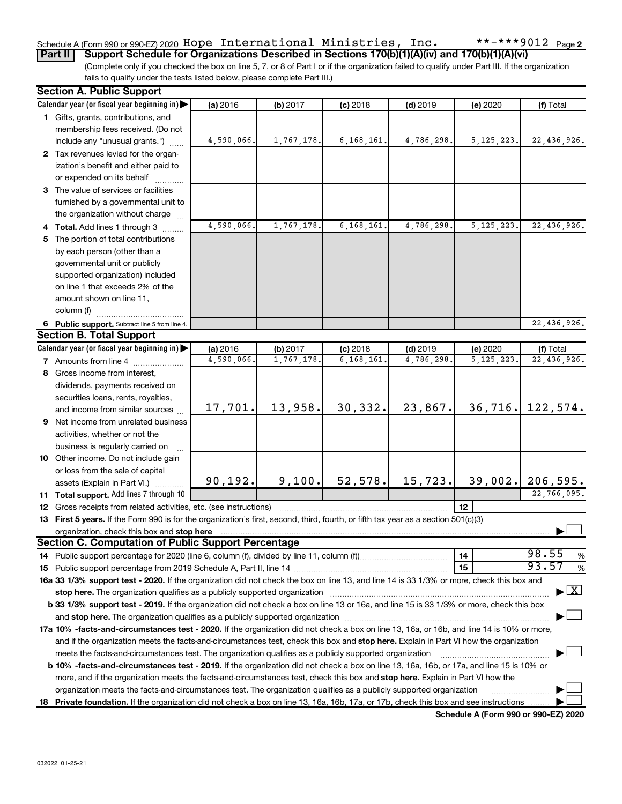#### $***$   $***$  9012 Page 2 Schedule A (Form 990 or 990-EZ) 2020 <code>Hope International Ministries</code> , <code>Inc.</code>  $\small{\textbf{***}}$   $\small{\textbf{***}}$  9012 <code>Page</code>

(Complete only if you checked the box on line 5, 7, or 8 of Part I or if the organization failed to qualify under Part III. If the organization fails to qualify under the tests listed below, please complete Part III.) **Part II Support Schedule for Organizations Described in Sections 170(b)(1)(A)(iv) and 170(b)(1)(A)(vi)**

|     | <b>Section A. Public Support</b>                                                                                                                                                                                               |            |            |              |            |              |                                    |
|-----|--------------------------------------------------------------------------------------------------------------------------------------------------------------------------------------------------------------------------------|------------|------------|--------------|------------|--------------|------------------------------------|
|     | Calendar year (or fiscal year beginning in)                                                                                                                                                                                    | (a) 2016   | (b) 2017   | $(c)$ 2018   | $(d)$ 2019 | (e) 2020     | (f) Total                          |
|     | 1 Gifts, grants, contributions, and                                                                                                                                                                                            |            |            |              |            |              |                                    |
|     | membership fees received. (Do not                                                                                                                                                                                              |            |            |              |            |              |                                    |
|     | include any "unusual grants.")                                                                                                                                                                                                 | 4,590,066. | 1,767,178. | 6, 168, 161. | 4,786,298. | 5, 125, 223. | 22,436,926.                        |
|     | 2 Tax revenues levied for the organ-                                                                                                                                                                                           |            |            |              |            |              |                                    |
|     | ization's benefit and either paid to                                                                                                                                                                                           |            |            |              |            |              |                                    |
|     | or expended on its behalf                                                                                                                                                                                                      |            |            |              |            |              |                                    |
|     | 3 The value of services or facilities                                                                                                                                                                                          |            |            |              |            |              |                                    |
|     | furnished by a governmental unit to                                                                                                                                                                                            |            |            |              |            |              |                                    |
|     | the organization without charge                                                                                                                                                                                                |            |            |              |            |              |                                    |
|     | 4 Total. Add lines 1 through 3                                                                                                                                                                                                 | 4,590,066. | 1,767,178. | 6,168,161    | 4,786,298  | 5, 125, 223. | 22,436,926.                        |
| 5.  | The portion of total contributions                                                                                                                                                                                             |            |            |              |            |              |                                    |
|     | by each person (other than a                                                                                                                                                                                                   |            |            |              |            |              |                                    |
|     | governmental unit or publicly                                                                                                                                                                                                  |            |            |              |            |              |                                    |
|     | supported organization) included                                                                                                                                                                                               |            |            |              |            |              |                                    |
|     | on line 1 that exceeds 2% of the                                                                                                                                                                                               |            |            |              |            |              |                                    |
|     | amount shown on line 11,                                                                                                                                                                                                       |            |            |              |            |              |                                    |
|     | column (f)                                                                                                                                                                                                                     |            |            |              |            |              |                                    |
|     | 6 Public support. Subtract line 5 from line 4.                                                                                                                                                                                 |            |            |              |            |              | 22,436,926.                        |
|     | <b>Section B. Total Support</b>                                                                                                                                                                                                |            |            |              |            |              |                                    |
|     | Calendar year (or fiscal year beginning in)                                                                                                                                                                                    | (a) 2016   | (b) 2017   | $(c)$ 2018   | $(d)$ 2019 | (e) 2020     | (f) Total                          |
|     | <b>7</b> Amounts from line 4                                                                                                                                                                                                   | 4,590,066. | 1,767,178. | 6,168,161    | 4,786,298  | 5, 125, 223. | 22,436,926.                        |
|     | 8 Gross income from interest,                                                                                                                                                                                                  |            |            |              |            |              |                                    |
|     | dividends, payments received on                                                                                                                                                                                                |            |            |              |            |              |                                    |
|     | securities loans, rents, royalties,                                                                                                                                                                                            |            |            |              |            |              |                                    |
|     | and income from similar sources                                                                                                                                                                                                | 17,701.    | 13,958.    | 30,332.      | 23,867.    | 36,716.      | 122,574.                           |
|     | <b>9</b> Net income from unrelated business                                                                                                                                                                                    |            |            |              |            |              |                                    |
|     | activities, whether or not the                                                                                                                                                                                                 |            |            |              |            |              |                                    |
|     | business is regularly carried on                                                                                                                                                                                               |            |            |              |            |              |                                    |
|     | 10 Other income. Do not include gain                                                                                                                                                                                           |            |            |              |            |              |                                    |
|     | or loss from the sale of capital                                                                                                                                                                                               |            |            |              |            |              |                                    |
|     | assets (Explain in Part VI.)                                                                                                                                                                                                   | 90, 192.   | 9,100.     | 52, 578.     | 15, 723.   | 39,002.      | 206,595.                           |
|     | 11 Total support. Add lines 7 through 10                                                                                                                                                                                       |            |            |              |            |              | 22,766,095.                        |
|     | <b>12</b> Gross receipts from related activities, etc. (see instructions)                                                                                                                                                      |            |            |              |            | 12           |                                    |
|     | 13 First 5 years. If the Form 990 is for the organization's first, second, third, fourth, or fifth tax year as a section 501(c)(3)                                                                                             |            |            |              |            |              |                                    |
|     | organization, check this box and stop here                                                                                                                                                                                     |            |            |              |            |              |                                    |
|     | <b>Section C. Computation of Public Support Percentage</b>                                                                                                                                                                     |            |            |              |            |              |                                    |
|     |                                                                                                                                                                                                                                |            |            |              |            | 14           | 98.55<br>%                         |
|     |                                                                                                                                                                                                                                |            |            |              |            | 15           | 93.57<br>%                         |
|     | 16a 33 1/3% support test - 2020. If the organization did not check the box on line 13, and line 14 is 33 1/3% or more, check this box and                                                                                      |            |            |              |            |              |                                    |
|     | stop here. The organization qualifies as a publicly supported organization manufactured content and the content of the state of the state of the state of the state of the state of the state of the state of the state of the |            |            |              |            |              | $\blacktriangleright$ $\mathbf{X}$ |
|     | b 33 1/3% support test - 2019. If the organization did not check a box on line 13 or 16a, and line 15 is 33 1/3% or more, check this box                                                                                       |            |            |              |            |              |                                    |
|     |                                                                                                                                                                                                                                |            |            |              |            |              |                                    |
|     | 17a 10% -facts-and-circumstances test - 2020. If the organization did not check a box on line 13, 16a, or 16b, and line 14 is 10% or more,                                                                                     |            |            |              |            |              |                                    |
|     | and if the organization meets the facts-and-circumstances test, check this box and stop here. Explain in Part VI how the organization                                                                                          |            |            |              |            |              |                                    |
|     | meets the facts-and-circumstances test. The organization qualifies as a publicly supported organization                                                                                                                        |            |            |              |            |              |                                    |
|     | <b>b 10%</b> -facts-and-circumstances test - 2019. If the organization did not check a box on line 13, 16a, 16b, or 17a, and line 15 is 10% or                                                                                 |            |            |              |            |              |                                    |
|     | more, and if the organization meets the facts-and-circumstances test, check this box and stop here. Explain in Part VI how the                                                                                                 |            |            |              |            |              |                                    |
|     | organization meets the facts-and-circumstances test. The organization qualifies as a publicly supported organization                                                                                                           |            |            |              |            |              |                                    |
| 18. | Private foundation. If the organization did not check a box on line 13, 16a, 16b, 17a, or 17b, check this box and see instructions.                                                                                            |            |            |              |            |              |                                    |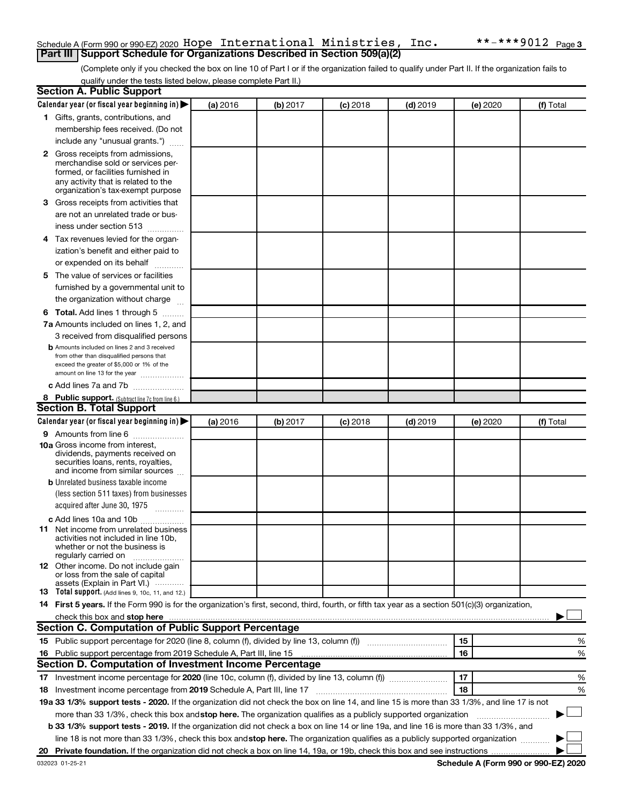## Schedule A (Form 990 or 990-EZ) 2020 <code>Hope International Ministries</code> , <code>Inc.</code>  $\small{\textbf{***}}$   $\small{\textbf{***}}$  9012 <code>Page</code> **Part III Support Schedule for Organizations Described in Section 509(a)(2)**

(Complete only if you checked the box on line 10 of Part I or if the organization failed to qualify under Part II. If the organization fails to qualify under the tests listed below, please complete Part II.)

| <b>Section A. Public Support</b>                                                                                                                 |          |          |            |            |          |           |
|--------------------------------------------------------------------------------------------------------------------------------------------------|----------|----------|------------|------------|----------|-----------|
| Calendar year (or fiscal year beginning in)                                                                                                      | (a) 2016 | (b) 2017 | $(c)$ 2018 | $(d)$ 2019 | (e) 2020 | (f) Total |
| 1 Gifts, grants, contributions, and                                                                                                              |          |          |            |            |          |           |
| membership fees received. (Do not                                                                                                                |          |          |            |            |          |           |
| include any "unusual grants.")                                                                                                                   |          |          |            |            |          |           |
| 2 Gross receipts from admissions,                                                                                                                |          |          |            |            |          |           |
| merchandise sold or services per-                                                                                                                |          |          |            |            |          |           |
| formed, or facilities furnished in                                                                                                               |          |          |            |            |          |           |
| any activity that is related to the<br>organization's tax-exempt purpose                                                                         |          |          |            |            |          |           |
| 3 Gross receipts from activities that                                                                                                            |          |          |            |            |          |           |
| are not an unrelated trade or bus-                                                                                                               |          |          |            |            |          |           |
| iness under section 513                                                                                                                          |          |          |            |            |          |           |
| 4 Tax revenues levied for the organ-                                                                                                             |          |          |            |            |          |           |
| ization's benefit and either paid to                                                                                                             |          |          |            |            |          |           |
| or expended on its behalf                                                                                                                        |          |          |            |            |          |           |
| 5 The value of services or facilities                                                                                                            |          |          |            |            |          |           |
| furnished by a governmental unit to                                                                                                              |          |          |            |            |          |           |
| the organization without charge                                                                                                                  |          |          |            |            |          |           |
| 6 Total. Add lines 1 through 5                                                                                                                   |          |          |            |            |          |           |
|                                                                                                                                                  |          |          |            |            |          |           |
| 7a Amounts included on lines 1, 2, and                                                                                                           |          |          |            |            |          |           |
| 3 received from disqualified persons<br><b>b</b> Amounts included on lines 2 and 3 received                                                      |          |          |            |            |          |           |
| from other than disqualified persons that                                                                                                        |          |          |            |            |          |           |
| exceed the greater of \$5,000 or 1% of the                                                                                                       |          |          |            |            |          |           |
| amount on line 13 for the year                                                                                                                   |          |          |            |            |          |           |
| c Add lines 7a and 7b                                                                                                                            |          |          |            |            |          |           |
| 8 Public support. (Subtract line 7c from line 6.)                                                                                                |          |          |            |            |          |           |
| <b>Section B. Total Support</b>                                                                                                                  |          |          |            |            |          |           |
| Calendar year (or fiscal year beginning in)                                                                                                      | (a) 2016 | (b) 2017 | $(c)$ 2018 | $(d)$ 2019 | (e) 2020 | (f) Total |
| <b>9</b> Amounts from line 6                                                                                                                     |          |          |            |            |          |           |
| <b>10a</b> Gross income from interest,<br>dividends, payments received on                                                                        |          |          |            |            |          |           |
| securities loans, rents, royalties,                                                                                                              |          |          |            |            |          |           |
| and income from similar sources                                                                                                                  |          |          |            |            |          |           |
| <b>b</b> Unrelated business taxable income                                                                                                       |          |          |            |            |          |           |
| (less section 511 taxes) from businesses                                                                                                         |          |          |            |            |          |           |
| acquired after June 30, 1975                                                                                                                     |          |          |            |            |          |           |
| c Add lines 10a and 10b                                                                                                                          |          |          |            |            |          |           |
| 11 Net income from unrelated business                                                                                                            |          |          |            |            |          |           |
| activities not included in line 10b.<br>whether or not the business is                                                                           |          |          |            |            |          |           |
| regularly carried on                                                                                                                             |          |          |            |            |          |           |
| <b>12</b> Other income. Do not include gain                                                                                                      |          |          |            |            |          |           |
| or loss from the sale of capital<br>assets (Explain in Part VI.)                                                                                 |          |          |            |            |          |           |
| <b>13</b> Total support. (Add lines 9, 10c, 11, and 12.)                                                                                         |          |          |            |            |          |           |
| 14 First 5 years. If the Form 990 is for the organization's first, second, third, fourth, or fifth tax year as a section 501(c)(3) organization, |          |          |            |            |          |           |
|                                                                                                                                                  |          |          |            |            |          |           |
| Section C. Computation of Public Support Percentage                                                                                              |          |          |            |            |          |           |
|                                                                                                                                                  |          |          |            |            | 15       | ℅         |
| 16 Public support percentage from 2019 Schedule A, Part III, line 15                                                                             |          |          |            |            | 16       | %         |
| Section D. Computation of Investment Income Percentage                                                                                           |          |          |            |            |          |           |
|                                                                                                                                                  |          |          |            |            | 17       | %         |
| 18 Investment income percentage from 2019 Schedule A, Part III, line 17                                                                          |          |          |            |            | 18       | %         |
| 19a 33 1/3% support tests - 2020. If the organization did not check the box on line 14, and line 15 is more than 33 1/3%, and line 17 is not     |          |          |            |            |          |           |
| more than 33 1/3%, check this box and stop here. The organization qualifies as a publicly supported organization                                 |          |          |            |            |          |           |
| b 33 1/3% support tests - 2019. If the organization did not check a box on line 14 or line 19a, and line 16 is more than 33 1/3%, and            |          |          |            |            |          |           |
| line 18 is not more than 33 1/3%, check this box and stop here. The organization qualifies as a publicly supported organization                  |          |          |            |            |          |           |
|                                                                                                                                                  |          |          |            |            |          |           |
|                                                                                                                                                  |          |          |            |            |          |           |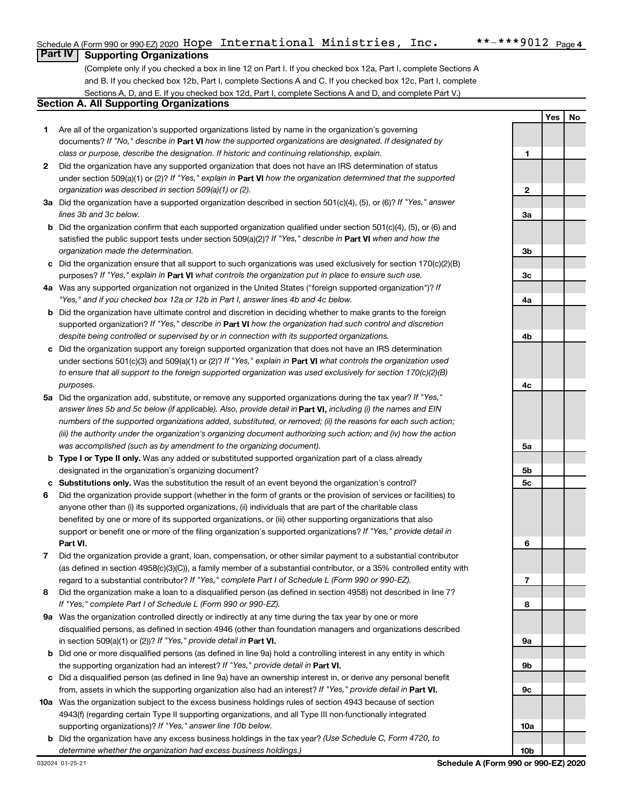**1**

**2**

**Yes No**

## **Part IV Supporting Organizations**

(Complete only if you checked a box in line 12 on Part I. If you checked box 12a, Part I, complete Sections A and B. If you checked box 12b, Part I, complete Sections A and C. If you checked box 12c, Part I, complete Sections A, D, and E. If you checked box 12d, Part I, complete Sections A and D, and complete Part V.)

## **Section A. All Supporting Organizations**

- **1** Are all of the organization's supported organizations listed by name in the organization's governing documents? If "No," describe in Part VI how the supported organizations are designated. If designated by *class or purpose, describe the designation. If historic and continuing relationship, explain.*
- **2** Did the organization have any supported organization that does not have an IRS determination of status under section 509(a)(1) or (2)? If "Yes," explain in Part **VI** how the organization determined that the supported *organization was described in section 509(a)(1) or (2).*
- **3a** Did the organization have a supported organization described in section 501(c)(4), (5), or (6)? If "Yes," answer *lines 3b and 3c below.*
- **b** Did the organization confirm that each supported organization qualified under section 501(c)(4), (5), or (6) and satisfied the public support tests under section 509(a)(2)? If "Yes," describe in Part VI when and how the *organization made the determination.*
- **c** Did the organization ensure that all support to such organizations was used exclusively for section 170(c)(2)(B) purposes? If "Yes," explain in Part VI what controls the organization put in place to ensure such use.
- **4 a** *If* Was any supported organization not organized in the United States ("foreign supported organization")? *"Yes," and if you checked box 12a or 12b in Part I, answer lines 4b and 4c below.*
- **b** Did the organization have ultimate control and discretion in deciding whether to make grants to the foreign supported organization? If "Yes," describe in Part VI how the organization had such control and discretion *despite being controlled or supervised by or in connection with its supported organizations.*
- **c** Did the organization support any foreign supported organization that does not have an IRS determination under sections 501(c)(3) and 509(a)(1) or (2)? If "Yes," explain in Part VI what controls the organization used *to ensure that all support to the foreign supported organization was used exclusively for section 170(c)(2)(B) purposes.*
- **5a** Did the organization add, substitute, or remove any supported organizations during the tax year? If "Yes," answer lines 5b and 5c below (if applicable). Also, provide detail in **Part VI,** including (i) the names and EIN *numbers of the supported organizations added, substituted, or removed; (ii) the reasons for each such action; (iii) the authority under the organization's organizing document authorizing such action; and (iv) how the action was accomplished (such as by amendment to the organizing document).*
- **b** Type I or Type II only. Was any added or substituted supported organization part of a class already designated in the organization's organizing document?
- **c Substitutions only.**  Was the substitution the result of an event beyond the organization's control?
- **6** Did the organization provide support (whether in the form of grants or the provision of services or facilities) to **Part VI.** support or benefit one or more of the filing organization's supported organizations? If "Yes," provide detail in anyone other than (i) its supported organizations, (ii) individuals that are part of the charitable class benefited by one or more of its supported organizations, or (iii) other supporting organizations that also
- **7** Did the organization provide a grant, loan, compensation, or other similar payment to a substantial contributor regard to a substantial contributor? If "Yes," complete Part I of Schedule L (Form 990 or 990-EZ). (as defined in section 4958(c)(3)(C)), a family member of a substantial contributor, or a 35% controlled entity with
- **8** Did the organization make a loan to a disqualified person (as defined in section 4958) not described in line 7? *If "Yes," complete Part I of Schedule L (Form 990 or 990-EZ).*
- **9 a** Was the organization controlled directly or indirectly at any time during the tax year by one or more in section 509(a)(1) or (2))? If "Yes," provide detail in **Part VI.** disqualified persons, as defined in section 4946 (other than foundation managers and organizations described
- **b** Did one or more disqualified persons (as defined in line 9a) hold a controlling interest in any entity in which the supporting organization had an interest? If "Yes," provide detail in Part VI.
- **c** Did a disqualified person (as defined in line 9a) have an ownership interest in, or derive any personal benefit from, assets in which the supporting organization also had an interest? If "Yes," provide detail in Part VI.
- **10 a** Was the organization subject to the excess business holdings rules of section 4943 because of section supporting organizations)? If "Yes," answer line 10b below. 4943(f) (regarding certain Type II supporting organizations, and all Type III non-functionally integrated
	- **b** Did the organization have any excess business holdings in the tax year? (Use Schedule C, Form 4720, to *determine whether the organization had excess business holdings.)*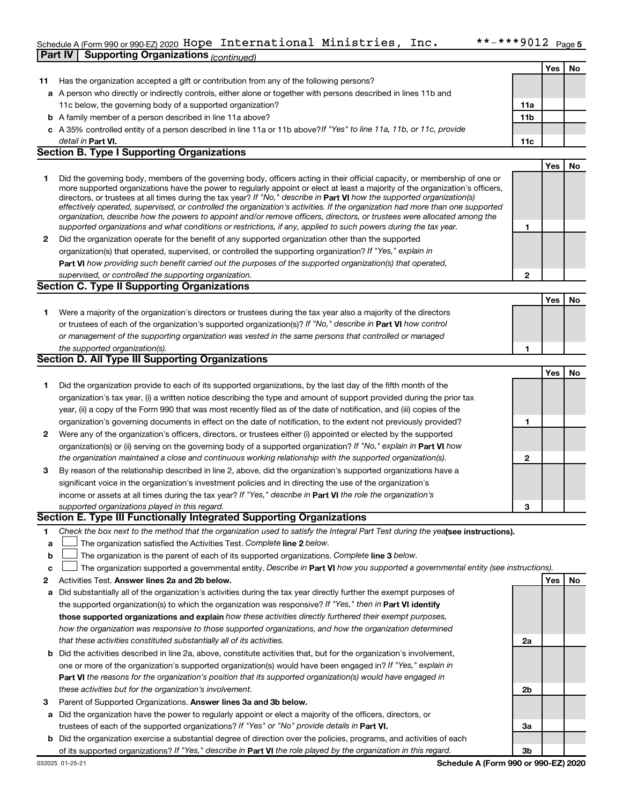#### Schedule A (Form 990 or 990-EZ) 2020 HODE INTETNATIONAL MINISTRIES, INC.  $\bullet$  ^ - ^ ^ ~ YUIZ Page **Part IV Supporting Organizations** *(continued)* Hope International Ministries, Inc. \*\*-\*\*\*9012

|    |                                                                                                                                                                                                                                                           |                 | Yes | No        |
|----|-----------------------------------------------------------------------------------------------------------------------------------------------------------------------------------------------------------------------------------------------------------|-----------------|-----|-----------|
| 11 | Has the organization accepted a gift or contribution from any of the following persons?                                                                                                                                                                   |                 |     |           |
|    | a A person who directly or indirectly controls, either alone or together with persons described in lines 11b and                                                                                                                                          |                 |     |           |
|    | 11c below, the governing body of a supported organization?                                                                                                                                                                                                | 11a             |     |           |
|    | <b>b</b> A family member of a person described in line 11a above?                                                                                                                                                                                         | 11 <sub>b</sub> |     |           |
|    | c A 35% controlled entity of a person described in line 11a or 11b above?If "Yes" to line 11a, 11b, or 11c, provide                                                                                                                                       |                 |     |           |
|    | detail in <b>Part VI.</b>                                                                                                                                                                                                                                 | 11c             |     |           |
|    | <b>Section B. Type I Supporting Organizations</b>                                                                                                                                                                                                         |                 |     |           |
|    |                                                                                                                                                                                                                                                           |                 | Yes | <b>No</b> |
| 1  | Did the governing body, members of the governing body, officers acting in their official capacity, or membership of one or                                                                                                                                |                 |     |           |
|    | more supported organizations have the power to regularly appoint or elect at least a majority of the organization's officers,                                                                                                                             |                 |     |           |
|    | directors, or trustees at all times during the tax year? If "No," describe in Part VI how the supported organization(s)<br>effectively operated, supervised, or controlled the organization's activities. If the organization had more than one supported |                 |     |           |
|    | organization, describe how the powers to appoint and/or remove officers, directors, or trustees were allocated among the                                                                                                                                  |                 |     |           |
|    | supported organizations and what conditions or restrictions, if any, applied to such powers during the tax year.                                                                                                                                          | 1               |     |           |
| 2  | Did the organization operate for the benefit of any supported organization other than the supported                                                                                                                                                       |                 |     |           |
|    | organization(s) that operated, supervised, or controlled the supporting organization? If "Yes," explain in                                                                                                                                                |                 |     |           |
|    | Part VI how providing such benefit carried out the purposes of the supported organization(s) that operated,                                                                                                                                               |                 |     |           |
|    | supervised, or controlled the supporting organization.                                                                                                                                                                                                    | $\mathbf{2}$    |     |           |
|    | <b>Section C. Type II Supporting Organizations</b>                                                                                                                                                                                                        |                 |     |           |
|    |                                                                                                                                                                                                                                                           |                 | Yes | No        |
| 1. | Were a majority of the organization's directors or trustees during the tax year also a majority of the directors                                                                                                                                          |                 |     |           |
|    | or trustees of each of the organization's supported organization(s)? If "No," describe in Part VI how control                                                                                                                                             |                 |     |           |
|    | or management of the supporting organization was vested in the same persons that controlled or managed                                                                                                                                                    |                 |     |           |
|    | the supported organization(s).                                                                                                                                                                                                                            | 1               |     |           |
|    | Section D. All Type III Supporting Organizations                                                                                                                                                                                                          |                 |     |           |
|    |                                                                                                                                                                                                                                                           |                 | Yes | No        |
| 1. | Did the organization provide to each of its supported organizations, by the last day of the fifth month of the                                                                                                                                            |                 |     |           |
|    | organization's tax year, (i) a written notice describing the type and amount of support provided during the prior tax                                                                                                                                     |                 |     |           |
|    | year, (ii) a copy of the Form 990 that was most recently filed as of the date of notification, and (iii) copies of the                                                                                                                                    |                 |     |           |
|    | organization's governing documents in effect on the date of notification, to the extent not previously provided?                                                                                                                                          | 1               |     |           |
| 2  | Were any of the organization's officers, directors, or trustees either (i) appointed or elected by the supported                                                                                                                                          |                 |     |           |
|    | organization(s) or (ii) serving on the governing body of a supported organization? If "No," explain in Part VI how                                                                                                                                        |                 |     |           |
|    | the organization maintained a close and continuous working relationship with the supported organization(s).                                                                                                                                               | $\mathbf{2}$    |     |           |
| 3  | By reason of the relationship described in line 2, above, did the organization's supported organizations have a                                                                                                                                           |                 |     |           |
|    | significant voice in the organization's investment policies and in directing the use of the organization's                                                                                                                                                |                 |     |           |
|    | income or assets at all times during the tax year? If "Yes," describe in Part VI the role the organization's                                                                                                                                              | 3               |     |           |
|    | supported organizations played in this regard.<br>Section E. Type III Functionally Integrated Supporting Organizations                                                                                                                                    |                 |     |           |
| 1  | Check the box next to the method that the organization used to satisfy the Integral Part Test during the yealsee instructions).                                                                                                                           |                 |     |           |
| a  | The organization satisfied the Activities Test. Complete line 2 below.                                                                                                                                                                                    |                 |     |           |
| b  | The organization is the parent of each of its supported organizations. Complete line 3 below.                                                                                                                                                             |                 |     |           |
| c  | The organization supported a governmental entity. Describe in Part VI how you supported a governmental entity (see instructions).                                                                                                                         |                 |     |           |
| 2  | Activities Test. Answer lines 2a and 2b below.                                                                                                                                                                                                            |                 | Yes | No        |
| а  | Did substantially all of the organization's activities during the tax year directly further the exempt purposes of                                                                                                                                        |                 |     |           |
|    | the supported organization(s) to which the organization was responsive? If "Yes," then in Part VI identify                                                                                                                                                |                 |     |           |
|    | those supported organizations and explain how these activities directly furthered their exempt purposes,                                                                                                                                                  |                 |     |           |
|    | how the organization was responsive to those supported organizations, and how the organization determined                                                                                                                                                 |                 |     |           |
|    | that these activities constituted substantially all of its activities.                                                                                                                                                                                    | 2a              |     |           |
| b  | Did the activities described in line 2a, above, constitute activities that, but for the organization's involvement,                                                                                                                                       |                 |     |           |
|    | one or more of the organization's supported organization(s) would have been engaged in? If "Yes," explain in                                                                                                                                              |                 |     |           |
|    | Part VI the reasons for the organization's position that its supported organization(s) would have engaged in                                                                                                                                              |                 |     |           |
|    | these activities but for the organization's involvement.                                                                                                                                                                                                  | 2b              |     |           |
| з  | Parent of Supported Organizations. Answer lines 3a and 3b below.                                                                                                                                                                                          |                 |     |           |
| а  | Did the organization have the power to regularly appoint or elect a majority of the officers, directors, or                                                                                                                                               |                 |     |           |
|    | trustees of each of the supported organizations? If "Yes" or "No" provide details in Part VI.                                                                                                                                                             | За              |     |           |
| b  | Did the organization exercise a substantial degree of direction over the policies, programs, and activities of each                                                                                                                                       |                 |     |           |
|    | of its supported organizations? If "Yes," describe in Part VI the role played by the organization in this regard.                                                                                                                                         | 3b              |     |           |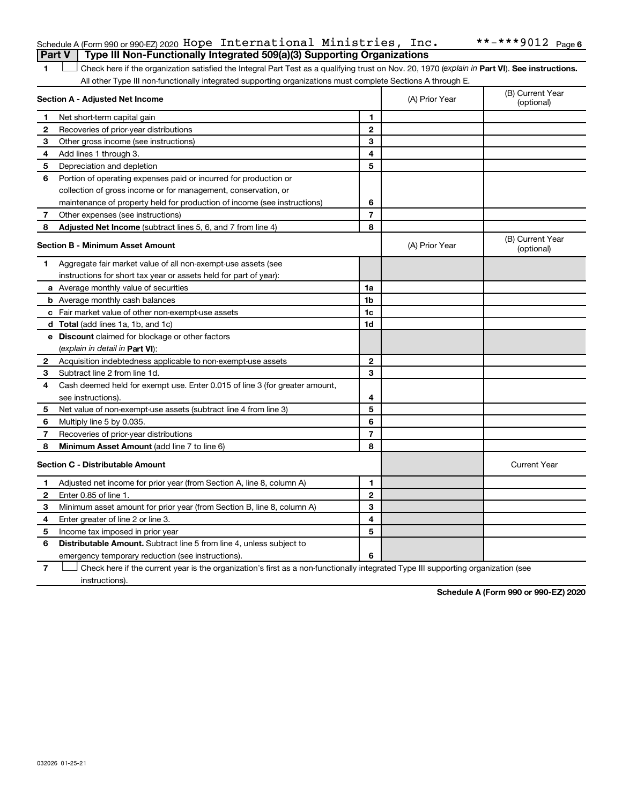## Schedule A (Form 990 or 990-EZ) 2020 <code>Hope International Ministries</code> , <code>Inc.</code>  $\small{\textbf{***}}$   $\small{\textbf{***}}$  9012 <code>Page</code> **Part V Type III Non-Functionally Integrated 509(a)(3) Supporting Organizations**

1 **Letter See instructions.** Check here if the organization satisfied the Integral Part Test as a qualifying trust on Nov. 20, 1970 (*explain in* Part **VI**). See instructions. All other Type III non-functionally integrated supporting organizations must complete Sections A through E.

|              | Section A - Adjusted Net Income                                             | (A) Prior Year | (B) Current Year<br>(optional) |                                |
|--------------|-----------------------------------------------------------------------------|----------------|--------------------------------|--------------------------------|
| 1            | Net short-term capital gain                                                 | 1              |                                |                                |
| 2            | Recoveries of prior-year distributions                                      | $\overline{2}$ |                                |                                |
| 3            | Other gross income (see instructions)                                       | 3              |                                |                                |
| 4            | Add lines 1 through 3.                                                      | 4              |                                |                                |
| 5            | Depreciation and depletion                                                  | 5              |                                |                                |
| 6            | Portion of operating expenses paid or incurred for production or            |                |                                |                                |
|              | collection of gross income or for management, conservation, or              |                |                                |                                |
|              | maintenance of property held for production of income (see instructions)    | 6              |                                |                                |
| 7            | Other expenses (see instructions)                                           | $\overline{7}$ |                                |                                |
| 8            | Adjusted Net Income (subtract lines 5, 6, and 7 from line 4)                | 8              |                                |                                |
|              | <b>Section B - Minimum Asset Amount</b>                                     |                | (A) Prior Year                 | (B) Current Year<br>(optional) |
| 1            | Aggregate fair market value of all non-exempt-use assets (see               |                |                                |                                |
|              | instructions for short tax year or assets held for part of year):           |                |                                |                                |
|              | a Average monthly value of securities                                       | 1a             |                                |                                |
|              | <b>b</b> Average monthly cash balances                                      | 1b             |                                |                                |
|              | c Fair market value of other non-exempt-use assets                          | 1c             |                                |                                |
|              | d Total (add lines 1a, 1b, and 1c)                                          | 1d             |                                |                                |
|              | <b>e</b> Discount claimed for blockage or other factors                     |                |                                |                                |
|              | (explain in detail in <b>Part VI</b> ):                                     |                |                                |                                |
| $\mathbf{2}$ | Acquisition indebtedness applicable to non-exempt-use assets                | $\mathbf{2}$   |                                |                                |
| 3            | Subtract line 2 from line 1d.                                               | 3              |                                |                                |
| 4            | Cash deemed held for exempt use. Enter 0.015 of line 3 (for greater amount, |                |                                |                                |
|              | see instructions).                                                          | 4              |                                |                                |
| 5            | Net value of non-exempt-use assets (subtract line 4 from line 3)            | 5              |                                |                                |
| 6            | Multiply line 5 by 0.035.                                                   | 6              |                                |                                |
| 7            | Recoveries of prior-year distributions                                      | 7              |                                |                                |
| 8            | Minimum Asset Amount (add line 7 to line 6)                                 | 8              |                                |                                |
|              | <b>Section C - Distributable Amount</b>                                     |                |                                | <b>Current Year</b>            |
| 1            | Adjusted net income for prior year (from Section A, line 8, column A)       | 1              |                                |                                |
| $\mathbf{2}$ | Enter 0.85 of line 1.                                                       | $\overline{2}$ |                                |                                |
| з            | Minimum asset amount for prior year (from Section B, line 8, column A)      | 3              |                                |                                |
| 4            | Enter greater of line 2 or line 3.                                          | 4              |                                |                                |
| 5            | Income tax imposed in prior year                                            | 5              |                                |                                |
| 6            | <b>Distributable Amount.</b> Subtract line 5 from line 4, unless subject to |                |                                |                                |
|              | emergency temporary reduction (see instructions).                           | 6              |                                |                                |
|              |                                                                             |                |                                |                                |

**7** Let Check here if the current year is the organization's first as a non-functionally integrated Type III supporting organization (see instructions).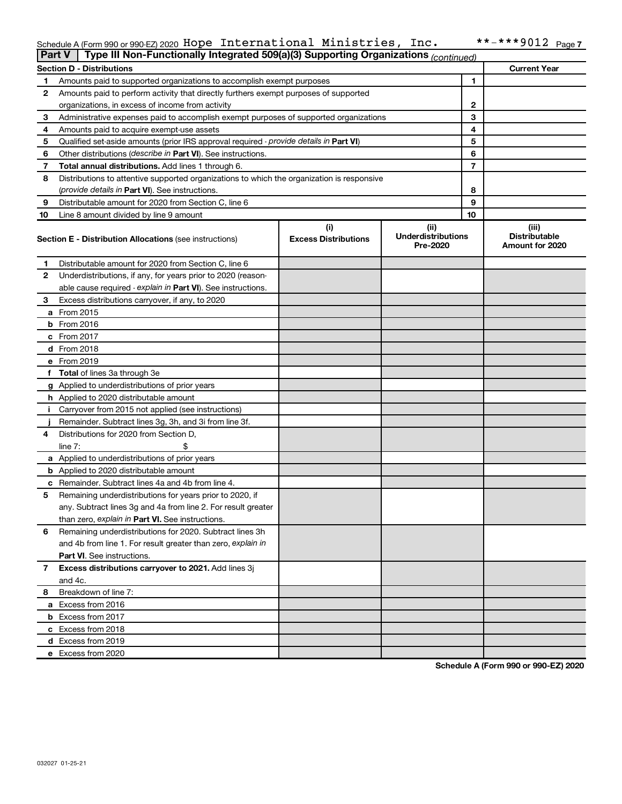#### Schedule A (Form 990 or 990-EZ) 2020 HODE INTETNATIONAL MINISTRIES, INC.  $\bullet$  ^ - ^ ^ ~ YUIZ Page Hope International Ministries, Inc. \*\*-\*\*\*9012

|    | Type III Non-Functionally Integrated 509(a)(3) Supporting Organizations (continued)<br><b>Part V</b> |                             |                                       |    |                                         |  |  |  |
|----|------------------------------------------------------------------------------------------------------|-----------------------------|---------------------------------------|----|-----------------------------------------|--|--|--|
|    | <b>Current Year</b><br><b>Section D - Distributions</b>                                              |                             |                                       |    |                                         |  |  |  |
| 1  | Amounts paid to supported organizations to accomplish exempt purposes                                |                             |                                       | 1  |                                         |  |  |  |
| 2  | Amounts paid to perform activity that directly furthers exempt purposes of supported                 |                             |                                       |    |                                         |  |  |  |
|    | organizations, in excess of income from activity                                                     |                             | 2                                     |    |                                         |  |  |  |
| 3  | Administrative expenses paid to accomplish exempt purposes of supported organizations                |                             |                                       | 3  |                                         |  |  |  |
| 4  | Amounts paid to acquire exempt-use assets                                                            |                             |                                       | 4  |                                         |  |  |  |
| 5  | Qualified set-aside amounts (prior IRS approval required - provide details in Part VI)               |                             |                                       | 5  |                                         |  |  |  |
| 6  | Other distributions ( <i>describe in Part VI</i> ). See instructions.                                |                             |                                       | 6  |                                         |  |  |  |
| 7  | Total annual distributions. Add lines 1 through 6.                                                   |                             |                                       | 7  |                                         |  |  |  |
| 8  | Distributions to attentive supported organizations to which the organization is responsive           |                             |                                       |    |                                         |  |  |  |
|    | (provide details in Part VI). See instructions.                                                      |                             |                                       | 8  |                                         |  |  |  |
| 9  | Distributable amount for 2020 from Section C, line 6                                                 |                             |                                       | 9  |                                         |  |  |  |
| 10 | Line 8 amount divided by line 9 amount                                                               |                             |                                       | 10 |                                         |  |  |  |
|    |                                                                                                      | (i)                         | (ii)                                  |    | (iii)                                   |  |  |  |
|    | <b>Section E - Distribution Allocations (see instructions)</b>                                       | <b>Excess Distributions</b> | <b>Underdistributions</b><br>Pre-2020 |    | <b>Distributable</b><br>Amount for 2020 |  |  |  |
| 1  | Distributable amount for 2020 from Section C, line 6                                                 |                             |                                       |    |                                         |  |  |  |
| 2  | Underdistributions, if any, for years prior to 2020 (reason-                                         |                             |                                       |    |                                         |  |  |  |
|    | able cause required - explain in Part VI). See instructions.                                         |                             |                                       |    |                                         |  |  |  |
| 3  | Excess distributions carryover, if any, to 2020                                                      |                             |                                       |    |                                         |  |  |  |
|    | a From 2015                                                                                          |                             |                                       |    |                                         |  |  |  |
|    | $b$ From 2016                                                                                        |                             |                                       |    |                                         |  |  |  |
|    | c From 2017                                                                                          |                             |                                       |    |                                         |  |  |  |
|    | <b>d</b> From 2018                                                                                   |                             |                                       |    |                                         |  |  |  |
|    | e From 2019                                                                                          |                             |                                       |    |                                         |  |  |  |
|    | f Total of lines 3a through 3e                                                                       |                             |                                       |    |                                         |  |  |  |
|    | g Applied to underdistributions of prior years                                                       |                             |                                       |    |                                         |  |  |  |
|    | <b>h</b> Applied to 2020 distributable amount                                                        |                             |                                       |    |                                         |  |  |  |
| Ť. | Carryover from 2015 not applied (see instructions)                                                   |                             |                                       |    |                                         |  |  |  |
|    | Remainder. Subtract lines 3g, 3h, and 3i from line 3f.                                               |                             |                                       |    |                                         |  |  |  |
| 4  | Distributions for 2020 from Section D,                                                               |                             |                                       |    |                                         |  |  |  |
|    | line $7:$                                                                                            |                             |                                       |    |                                         |  |  |  |
|    | a Applied to underdistributions of prior years                                                       |                             |                                       |    |                                         |  |  |  |
|    | <b>b</b> Applied to 2020 distributable amount                                                        |                             |                                       |    |                                         |  |  |  |
|    | c Remainder. Subtract lines 4a and 4b from line 4.                                                   |                             |                                       |    |                                         |  |  |  |
| 5  | Remaining underdistributions for years prior to 2020, if                                             |                             |                                       |    |                                         |  |  |  |
|    | any. Subtract lines 3g and 4a from line 2. For result greater                                        |                             |                                       |    |                                         |  |  |  |
|    | than zero, explain in Part VI. See instructions.                                                     |                             |                                       |    |                                         |  |  |  |
| 6  | Remaining underdistributions for 2020. Subtract lines 3h                                             |                             |                                       |    |                                         |  |  |  |
|    | and 4b from line 1. For result greater than zero, explain in                                         |                             |                                       |    |                                         |  |  |  |
|    | <b>Part VI.</b> See instructions.                                                                    |                             |                                       |    |                                         |  |  |  |
| 7  | Excess distributions carryover to 2021. Add lines 3j                                                 |                             |                                       |    |                                         |  |  |  |
|    | and 4c.                                                                                              |                             |                                       |    |                                         |  |  |  |
| 8  | Breakdown of line 7:                                                                                 |                             |                                       |    |                                         |  |  |  |
|    | a Excess from 2016                                                                                   |                             |                                       |    |                                         |  |  |  |
|    | <b>b</b> Excess from 2017                                                                            |                             |                                       |    |                                         |  |  |  |
|    | c Excess from 2018                                                                                   |                             |                                       |    |                                         |  |  |  |
|    |                                                                                                      |                             |                                       |    |                                         |  |  |  |
|    | d Excess from 2019<br>e Excess from 2020                                                             |                             |                                       |    |                                         |  |  |  |
|    |                                                                                                      |                             |                                       |    |                                         |  |  |  |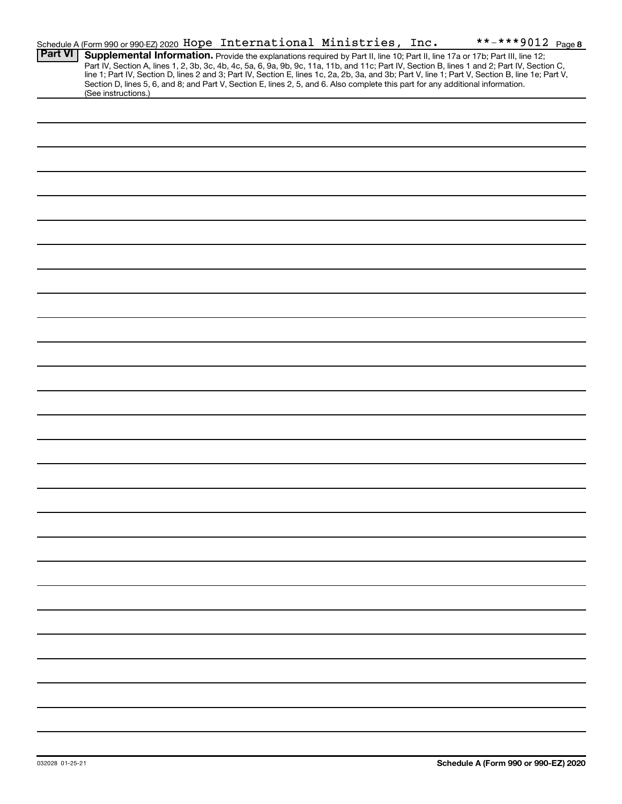|                     |  | **-***9012 Page 8                                                        |                                                                                                                                                                                                                                                                                                                                                                                                                                                                                                                                                                      |
|---------------------|--|--------------------------------------------------------------------------|----------------------------------------------------------------------------------------------------------------------------------------------------------------------------------------------------------------------------------------------------------------------------------------------------------------------------------------------------------------------------------------------------------------------------------------------------------------------------------------------------------------------------------------------------------------------|
|                     |  |                                                                          |                                                                                                                                                                                                                                                                                                                                                                                                                                                                                                                                                                      |
|                     |  |                                                                          |                                                                                                                                                                                                                                                                                                                                                                                                                                                                                                                                                                      |
|                     |  |                                                                          |                                                                                                                                                                                                                                                                                                                                                                                                                                                                                                                                                                      |
|                     |  |                                                                          |                                                                                                                                                                                                                                                                                                                                                                                                                                                                                                                                                                      |
|                     |  |                                                                          |                                                                                                                                                                                                                                                                                                                                                                                                                                                                                                                                                                      |
|                     |  |                                                                          |                                                                                                                                                                                                                                                                                                                                                                                                                                                                                                                                                                      |
|                     |  |                                                                          |                                                                                                                                                                                                                                                                                                                                                                                                                                                                                                                                                                      |
|                     |  |                                                                          |                                                                                                                                                                                                                                                                                                                                                                                                                                                                                                                                                                      |
|                     |  |                                                                          |                                                                                                                                                                                                                                                                                                                                                                                                                                                                                                                                                                      |
|                     |  |                                                                          |                                                                                                                                                                                                                                                                                                                                                                                                                                                                                                                                                                      |
|                     |  |                                                                          |                                                                                                                                                                                                                                                                                                                                                                                                                                                                                                                                                                      |
|                     |  |                                                                          |                                                                                                                                                                                                                                                                                                                                                                                                                                                                                                                                                                      |
|                     |  |                                                                          |                                                                                                                                                                                                                                                                                                                                                                                                                                                                                                                                                                      |
|                     |  |                                                                          |                                                                                                                                                                                                                                                                                                                                                                                                                                                                                                                                                                      |
|                     |  |                                                                          |                                                                                                                                                                                                                                                                                                                                                                                                                                                                                                                                                                      |
|                     |  |                                                                          |                                                                                                                                                                                                                                                                                                                                                                                                                                                                                                                                                                      |
|                     |  |                                                                          |                                                                                                                                                                                                                                                                                                                                                                                                                                                                                                                                                                      |
|                     |  |                                                                          |                                                                                                                                                                                                                                                                                                                                                                                                                                                                                                                                                                      |
|                     |  |                                                                          |                                                                                                                                                                                                                                                                                                                                                                                                                                                                                                                                                                      |
|                     |  |                                                                          |                                                                                                                                                                                                                                                                                                                                                                                                                                                                                                                                                                      |
|                     |  |                                                                          |                                                                                                                                                                                                                                                                                                                                                                                                                                                                                                                                                                      |
|                     |  |                                                                          |                                                                                                                                                                                                                                                                                                                                                                                                                                                                                                                                                                      |
|                     |  |                                                                          |                                                                                                                                                                                                                                                                                                                                                                                                                                                                                                                                                                      |
|                     |  |                                                                          |                                                                                                                                                                                                                                                                                                                                                                                                                                                                                                                                                                      |
|                     |  |                                                                          |                                                                                                                                                                                                                                                                                                                                                                                                                                                                                                                                                                      |
|                     |  |                                                                          |                                                                                                                                                                                                                                                                                                                                                                                                                                                                                                                                                                      |
| (See instructions.) |  | Schedule A (Form 990 or 990-EZ) 2020 Hope International Ministries, Inc. | Supplemental Information. Provide the explanations required by Part II, line 10; Part II, line 17a or 17b; Part III, line 12;<br>Part IV, Section A, lines 1, 2, 3b, 3c, 4b, 4c, 5a, 6, 9a, 9b, 9c, 11a, 11b, and 11c; Part IV, Section B, lines 1 and 2; Part IV, Section C,<br>line 1; Part IV, Section D, lines 2 and 3; Part IV, Section E, lines 1c, 2a, 2b, 3a, and 3b; Part V, line 1; Part V, Section B, line 1e; Part V,<br>Section D, lines 5, 6, and 8; and Part V, Section E, lines 2, 5, and 6. Also complete this part for any additional information. |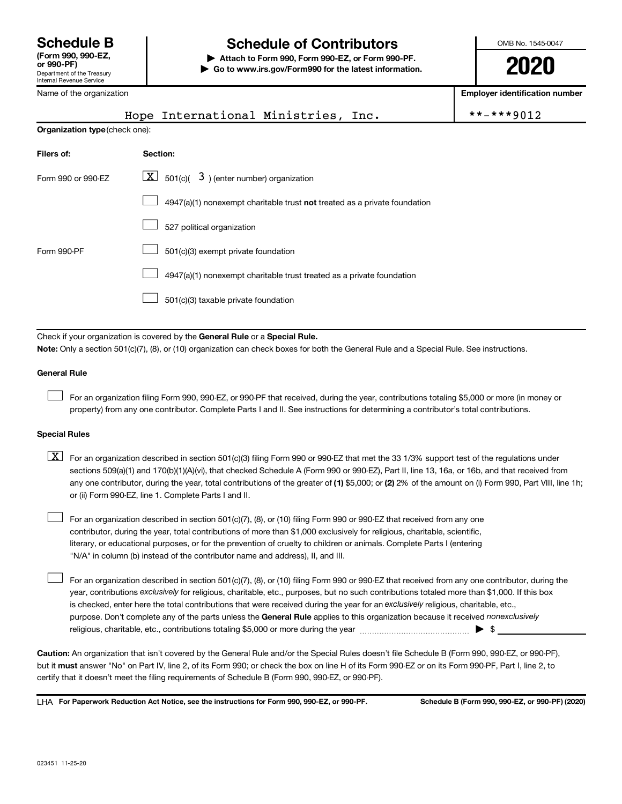## **Schedule B Schedule of Contributors**

**or 990-PF) | Attach to Form 990, Form 990-EZ, or Form 990-PF. | Go to www.irs.gov/Form990 for the latest information.** OMB No. 1545-0047

**2020**

**Employer identification number**

| Name of the organization                                                                                                                  |  |          |                                                                           |  |  | <b>Employer identification numb</b> |  |            |
|-------------------------------------------------------------------------------------------------------------------------------------------|--|----------|---------------------------------------------------------------------------|--|--|-------------------------------------|--|------------|
|                                                                                                                                           |  |          | Hope International Ministries, Inc.                                       |  |  |                                     |  | **-***9012 |
| Organization type (check one):                                                                                                            |  |          |                                                                           |  |  |                                     |  |            |
| Filers of:                                                                                                                                |  | Section: |                                                                           |  |  |                                     |  |            |
| $\lfloor \underline{X} \rfloor$ 501(c)( 3) (enter number) organization<br>Form 990 or 990-EZ                                              |  |          |                                                                           |  |  |                                     |  |            |
|                                                                                                                                           |  |          | 4947(a)(1) nonexempt charitable trust not treated as a private foundation |  |  |                                     |  |            |
|                                                                                                                                           |  |          | 527 political organization                                                |  |  |                                     |  |            |
| Form 990-PF                                                                                                                               |  |          | 501(c)(3) exempt private foundation                                       |  |  |                                     |  |            |
|                                                                                                                                           |  |          | 4947(a)(1) nonexempt charitable trust treated as a private foundation     |  |  |                                     |  |            |
|                                                                                                                                           |  |          | 501(c)(3) taxable private foundation                                      |  |  |                                     |  |            |
|                                                                                                                                           |  |          |                                                                           |  |  |                                     |  |            |
| Check if your organization is covered by the General Rule or a Special Rule.                                                              |  |          |                                                                           |  |  |                                     |  |            |
| Note: Only a section 501(c)(7), (8), or (10) organization can check boxes for both the General Rule and a Special Rule. See instructions. |  |          |                                                                           |  |  |                                     |  |            |
| <b>General Rule</b>                                                                                                                       |  |          |                                                                           |  |  |                                     |  |            |

For an organization filing Form 990, 990-EZ, or 990-PF that received, during the year, contributions totaling \$5,000 or more (in money or property) from any one contributor. Complete Parts I and II. See instructions for determining a contributor's total contributions.

### **Special Rules**

 $\Box$ 

 $\Box$ 

any one contributor, during the year, total contributions of the greater of (1) \$5,000; or (2) 2% of the amount on (i) Form 990, Part VIII, line 1h;  $\boxed{\text{X}}$  For an organization described in section 501(c)(3) filing Form 990 or 990-EZ that met the 33 1/3% support test of the regulations under sections 509(a)(1) and 170(b)(1)(A)(vi), that checked Schedule A (Form 990 or 990-EZ), Part II, line 13, 16a, or 16b, and that received from or (ii) Form 990-EZ, line 1. Complete Parts I and II.

For an organization described in section 501(c)(7), (8), or (10) filing Form 990 or 990-EZ that received from any one contributor, during the year, total contributions of more than \$1,000 exclusively for religious, charitable, scientific, literary, or educational purposes, or for the prevention of cruelty to children or animals. Complete Parts I (entering "N/A" in column (b) instead of the contributor name and address), II, and III.  $\Box$ 

purpose. Don't complete any of the parts unless the General Rule applies to this organization because it received nonexclusively year, contributions exclusively for religious, charitable, etc., purposes, but no such contributions totaled more than \$1,000. If this box is checked, enter here the total contributions that were received during the year for an exclusively religious, charitable, etc., For an organization described in section 501(c)(7), (8), or (10) filing Form 990 or 990-EZ that received from any one contributor, during the religious, charitable, etc., contributions totaling \$5,000 or more during the year  $~\ldots\ldots\ldots\ldots\ldots\ldots\ldots\ldots\ldots\blacktriangleright~$ \$

**Caution:**  An organization that isn't covered by the General Rule and/or the Special Rules doesn't file Schedule B (Form 990, 990-EZ, or 990-PF),  **must** but it answer "No" on Part IV, line 2, of its Form 990; or check the box on line H of its Form 990-EZ or on its Form 990-PF, Part I, line 2, to certify that it doesn't meet the filing requirements of Schedule B (Form 990, 990-EZ, or 990-PF).

**For Paperwork Reduction Act Notice, see the instructions for Form 990, 990-EZ, or 990-PF. Schedule B (Form 990, 990-EZ, or 990-PF) (2020)** LHA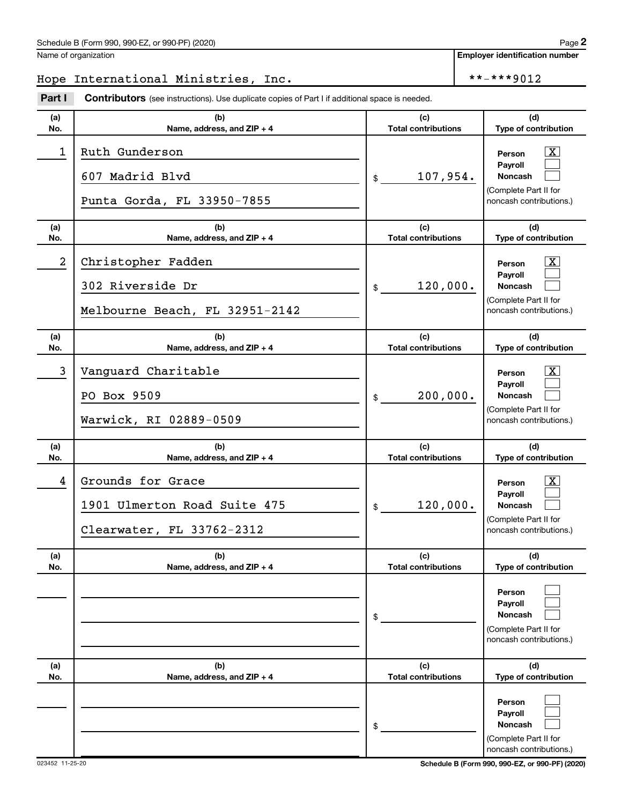Name of organization

## Hope International Ministries, Inc. \*\*\*\*\*\*9012

**Part I** Contributors (see instructions). Use duplicate copies of Part I if additional space is needed.

| (a)<br>No.       | (b)<br>Name, address, and ZIP + 4                                              | (c)<br><b>Total contributions</b> | (d)<br>Type of contribution                                                                             |
|------------------|--------------------------------------------------------------------------------|-----------------------------------|---------------------------------------------------------------------------------------------------------|
| 1                | Ruth Gunderson<br>607 Madrid Blvd<br>Punta Gorda, FL 33950-7855                | 107,954.<br>$\frac{1}{2}$         | $\boxed{\text{X}}$<br>Person<br>Payroll<br>Noncash<br>(Complete Part II for<br>noncash contributions.)  |
| (a)<br>No.       | (b)<br>Name, address, and ZIP + 4                                              | (c)<br><b>Total contributions</b> | (d)<br>Type of contribution                                                                             |
| $\boldsymbol{2}$ | Christopher Fadden<br>302 Riverside Dr<br>Melbourne Beach, FL 32951-2142       | 120,000.<br>$$\circ$$             | $\lfloor x \rfloor$<br>Person<br>Payroll<br>Noncash<br>(Complete Part II for<br>noncash contributions.) |
| (a)<br>No.       | (b)<br>Name, address, and ZIP + 4                                              | (c)<br><b>Total contributions</b> | (d)<br>Type of contribution                                                                             |
| 3                | Vanguard Charitable<br>PO Box 9509<br>Warwick, RI 02889-0509                   | 200,000.<br>$$\tilde$$            | $\lfloor x \rfloor$<br>Person<br>Pavroll<br>Noncash<br>(Complete Part II for<br>noncash contributions.) |
| (a)<br>No.       | (b)<br>Name, address, and ZIP + 4                                              | (c)<br><b>Total contributions</b> | (d)<br>Type of contribution                                                                             |
| 4                | Grounds for Grace<br>1901 Ulmerton Road Suite 475<br>Clearwater, FL 33762-2312 | 120,000.<br>$\frac{1}{2}$         | $\mathbf{X}$<br>Person<br>Payroll<br>Noncash<br>(Complete Part II for<br>noncash contributions.)        |
| (a)<br>No.       | (b)<br>Name, address, and ZIP + 4                                              | (c)<br><b>Total contributions</b> | (d)<br>Type of contribution                                                                             |
|                  |                                                                                | \$                                | Person<br>Payroll<br><b>Noncash</b><br>(Complete Part II for<br>noncash contributions.)                 |
| (a)<br>No.       | (b)<br>Name, address, and ZIP + 4                                              | (c)<br><b>Total contributions</b> | (d)<br>Type of contribution                                                                             |
|                  |                                                                                | \$                                | Person<br>Payroll<br><b>Noncash</b><br>(Complete Part II for<br>noncash contributions.)                 |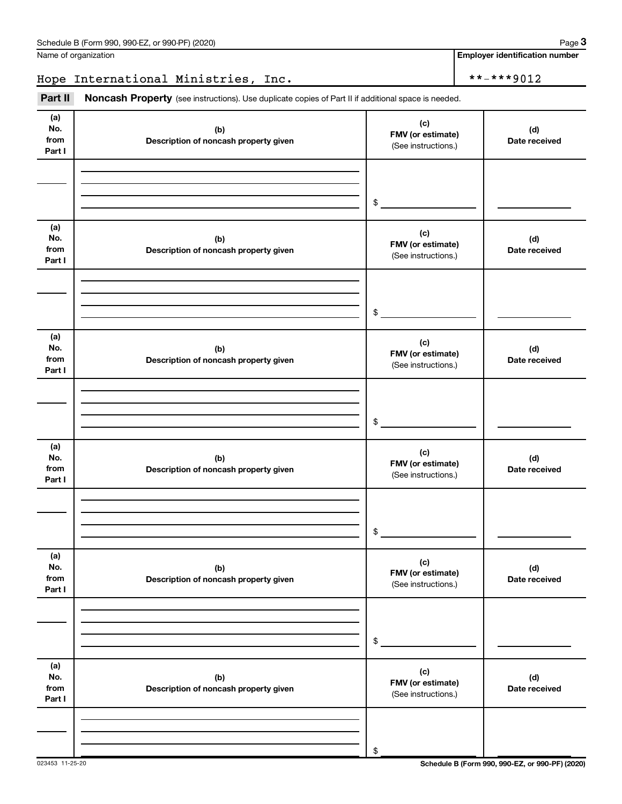Name of organization

## Hope International Ministries, Inc. \*\*-\*\*\*\*9012

Part II Noncash Property (see instructions). Use duplicate copies of Part II if additional space is needed.

| (a)<br>No.<br>from<br>Part I | (b)<br>Description of noncash property given | (c)<br>FMV (or estimate)<br>(See instructions.)                      | (d)<br>Date received |
|------------------------------|----------------------------------------------|----------------------------------------------------------------------|----------------------|
|                              |                                              | $\begin{array}{c c} \updownarrow & \downarrow \\ \hline \end{array}$ |                      |
| (a)<br>No.<br>from<br>Part I | (b)<br>Description of noncash property given | (c)<br>FMV (or estimate)<br>(See instructions.)                      | (d)<br>Date received |
|                              |                                              | $\frac{1}{2}$                                                        |                      |
| (a)<br>No.<br>from<br>Part I | (b)<br>Description of noncash property given | (c)<br>FMV (or estimate)<br>(See instructions.)                      | (d)<br>Date received |
|                              |                                              | $\frac{1}{2}$                                                        |                      |
| (a)<br>No.<br>from<br>Part I | (b)<br>Description of noncash property given | (c)<br>FMV (or estimate)<br>(See instructions.)                      | (d)<br>Date received |
|                              |                                              | \$                                                                   |                      |
| (a)<br>No.<br>from<br>Part I | (b)<br>Description of noncash property given | (c)<br>FMV (or estimate)<br>(See instructions.)                      | (d)<br>Date received |
|                              |                                              | $\$$                                                                 |                      |
| (a)<br>No.<br>from<br>Part I | (b)<br>Description of noncash property given | (c)<br>FMV (or estimate)<br>(See instructions.)                      | (d)<br>Date received |
|                              |                                              | $\,$                                                                 |                      |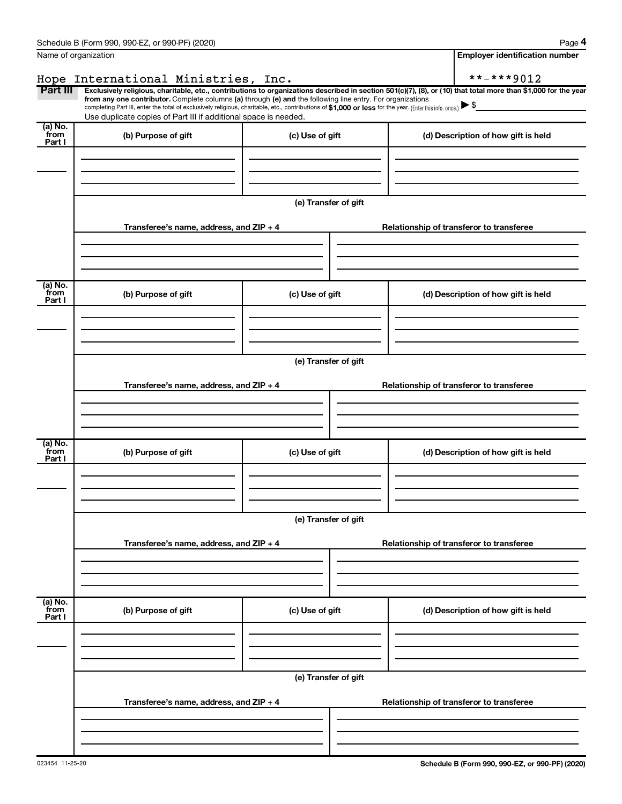|                           | Schedule B (Form 990, 990-EZ, or 990-PF) (2020)                                                                                                                                                                                                                                                                                                                                                                                                                   |                      |                                       | Page 4                                   |  |  |  |  |  |
|---------------------------|-------------------------------------------------------------------------------------------------------------------------------------------------------------------------------------------------------------------------------------------------------------------------------------------------------------------------------------------------------------------------------------------------------------------------------------------------------------------|----------------------|---------------------------------------|------------------------------------------|--|--|--|--|--|
|                           | Name of organization                                                                                                                                                                                                                                                                                                                                                                                                                                              |                      | <b>Employer identification number</b> |                                          |  |  |  |  |  |
|                           | Hope International Ministries, Inc.                                                                                                                                                                                                                                                                                                                                                                                                                               |                      |                                       | **-***9012                               |  |  |  |  |  |
| Part III                  | Exclusively religious, charitable, etc., contributions to organizations described in section 501(c)(7), (8), or (10) that total more than \$1,000 for the year<br>from any one contributor. Complete columns (a) through (e) and the following line entry. For organizations<br>completing Part III, enter the total of exclusively religious, charitable, etc., contributions of \$1,000 or less for the year. (Enter this info. once.) $\blacktriangleright$ \$ |                      |                                       |                                          |  |  |  |  |  |
|                           | Use duplicate copies of Part III if additional space is needed.                                                                                                                                                                                                                                                                                                                                                                                                   |                      |                                       |                                          |  |  |  |  |  |
| (a) No.<br>from<br>Part I | (b) Purpose of gift                                                                                                                                                                                                                                                                                                                                                                                                                                               | (c) Use of gift      |                                       | (d) Description of how gift is held      |  |  |  |  |  |
|                           |                                                                                                                                                                                                                                                                                                                                                                                                                                                                   |                      |                                       |                                          |  |  |  |  |  |
|                           |                                                                                                                                                                                                                                                                                                                                                                                                                                                                   | (e) Transfer of gift |                                       |                                          |  |  |  |  |  |
|                           | Transferee's name, address, and ZIP + 4                                                                                                                                                                                                                                                                                                                                                                                                                           |                      |                                       | Relationship of transferor to transferee |  |  |  |  |  |
| (a) No.                   |                                                                                                                                                                                                                                                                                                                                                                                                                                                                   |                      |                                       |                                          |  |  |  |  |  |
| from<br>Part I            | (b) Purpose of gift                                                                                                                                                                                                                                                                                                                                                                                                                                               | (c) Use of gift      |                                       | (d) Description of how gift is held      |  |  |  |  |  |
|                           |                                                                                                                                                                                                                                                                                                                                                                                                                                                                   |                      |                                       |                                          |  |  |  |  |  |
|                           | (e) Transfer of gift                                                                                                                                                                                                                                                                                                                                                                                                                                              |                      |                                       |                                          |  |  |  |  |  |
|                           |                                                                                                                                                                                                                                                                                                                                                                                                                                                                   |                      |                                       |                                          |  |  |  |  |  |
|                           | Transferee's name, address, and ZIP + 4                                                                                                                                                                                                                                                                                                                                                                                                                           |                      |                                       | Relationship of transferor to transferee |  |  |  |  |  |
|                           |                                                                                                                                                                                                                                                                                                                                                                                                                                                                   |                      |                                       |                                          |  |  |  |  |  |
|                           |                                                                                                                                                                                                                                                                                                                                                                                                                                                                   |                      |                                       |                                          |  |  |  |  |  |
| (a) No.<br>from<br>Part I | (b) Purpose of gift                                                                                                                                                                                                                                                                                                                                                                                                                                               | (c) Use of gift      |                                       | (d) Description of how gift is held      |  |  |  |  |  |
|                           |                                                                                                                                                                                                                                                                                                                                                                                                                                                                   |                      |                                       |                                          |  |  |  |  |  |
|                           |                                                                                                                                                                                                                                                                                                                                                                                                                                                                   |                      |                                       |                                          |  |  |  |  |  |
|                           | (e) Transfer of gift                                                                                                                                                                                                                                                                                                                                                                                                                                              |                      |                                       |                                          |  |  |  |  |  |
|                           | Transferee's name, address, and ZIP + 4                                                                                                                                                                                                                                                                                                                                                                                                                           |                      |                                       | Relationship of transferor to transferee |  |  |  |  |  |
|                           |                                                                                                                                                                                                                                                                                                                                                                                                                                                                   |                      |                                       |                                          |  |  |  |  |  |
| (a) No.<br>from<br>Part I | (b) Purpose of gift                                                                                                                                                                                                                                                                                                                                                                                                                                               | (c) Use of gift      |                                       | (d) Description of how gift is held      |  |  |  |  |  |
|                           |                                                                                                                                                                                                                                                                                                                                                                                                                                                                   |                      |                                       |                                          |  |  |  |  |  |
|                           |                                                                                                                                                                                                                                                                                                                                                                                                                                                                   |                      |                                       |                                          |  |  |  |  |  |
|                           |                                                                                                                                                                                                                                                                                                                                                                                                                                                                   | (e) Transfer of gift |                                       |                                          |  |  |  |  |  |
|                           | Transferee's name, address, and ZIP + 4                                                                                                                                                                                                                                                                                                                                                                                                                           |                      |                                       | Relationship of transferor to transferee |  |  |  |  |  |
|                           |                                                                                                                                                                                                                                                                                                                                                                                                                                                                   |                      |                                       |                                          |  |  |  |  |  |
|                           |                                                                                                                                                                                                                                                                                                                                                                                                                                                                   |                      |                                       |                                          |  |  |  |  |  |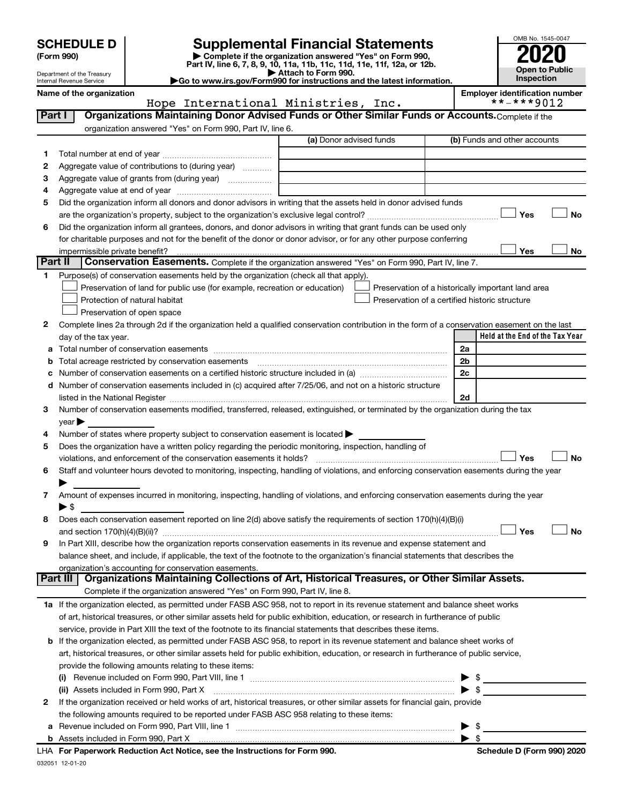# **SCHEDULE D Supplemental Financial Statements**<br> **Form 990 2020**<br> **Part IV** line 6.7.8.9.10, 11a, 11b, 11d, 11d, 11d, 11d, 11d, 12a, 0r, 12b

**(Form 990) | Complete if the organization answered "Yes" on Form 990, Part IV, line 6, 7, 8, 9, 10, 11a, 11b, 11c, 11d, 11e, 11f, 12a, or 12b.**

**| Attach to Form 990. |Go to www.irs.gov/Form990 for instructions and the latest information.**



Department of the Treasury Internal Revenue Service

Name of the organization<br> **Hope International Ministries, Inc. Employer identification number**<br>
\*\*-\*\*\*9012 Hope International Ministries, Inc.

| Part I  | Organizations Maintaining Donor Advised Funds or Other Similar Funds or Accounts. Complete if the                                                                                                                                                      |                         |    |                                                      |  |  |  |  |
|---------|--------------------------------------------------------------------------------------------------------------------------------------------------------------------------------------------------------------------------------------------------------|-------------------------|----|------------------------------------------------------|--|--|--|--|
|         | organization answered "Yes" on Form 990, Part IV, line 6.                                                                                                                                                                                              |                         |    |                                                      |  |  |  |  |
|         |                                                                                                                                                                                                                                                        | (a) Donor advised funds |    | (b) Funds and other accounts                         |  |  |  |  |
| 1       |                                                                                                                                                                                                                                                        |                         |    |                                                      |  |  |  |  |
| 2       | Aggregate value of contributions to (during year)                                                                                                                                                                                                      |                         |    |                                                      |  |  |  |  |
| З       | Aggregate value of grants from (during year)                                                                                                                                                                                                           |                         |    |                                                      |  |  |  |  |
| 4       |                                                                                                                                                                                                                                                        |                         |    |                                                      |  |  |  |  |
| 5       | Did the organization inform all donors and donor advisors in writing that the assets held in donor advised funds                                                                                                                                       |                         |    |                                                      |  |  |  |  |
|         |                                                                                                                                                                                                                                                        |                         |    | Yes<br>No                                            |  |  |  |  |
| 6       | Did the organization inform all grantees, donors, and donor advisors in writing that grant funds can be used only                                                                                                                                      |                         |    |                                                      |  |  |  |  |
|         | for charitable purposes and not for the benefit of the donor or donor advisor, or for any other purpose conferring                                                                                                                                     |                         |    |                                                      |  |  |  |  |
|         | impermissible private benefit?                                                                                                                                                                                                                         |                         |    | Yes<br>No                                            |  |  |  |  |
| Part II | Conservation Easements. Complete if the organization answered "Yes" on Form 990, Part IV, line 7.                                                                                                                                                      |                         |    |                                                      |  |  |  |  |
| 1.      | Purpose(s) of conservation easements held by the organization (check all that apply).                                                                                                                                                                  |                         |    |                                                      |  |  |  |  |
|         | Preservation of land for public use (for example, recreation or education)                                                                                                                                                                             |                         |    | Preservation of a historically important land area   |  |  |  |  |
|         | Protection of natural habitat                                                                                                                                                                                                                          |                         |    | Preservation of a certified historic structure       |  |  |  |  |
|         | Preservation of open space                                                                                                                                                                                                                             |                         |    |                                                      |  |  |  |  |
| 2       | Complete lines 2a through 2d if the organization held a qualified conservation contribution in the form of a conservation easement on the last                                                                                                         |                         |    |                                                      |  |  |  |  |
|         | day of the tax year.                                                                                                                                                                                                                                   |                         |    | Held at the End of the Tax Year                      |  |  |  |  |
|         |                                                                                                                                                                                                                                                        |                         |    | 2a                                                   |  |  |  |  |
|         | Total acreage restricted by conservation easements                                                                                                                                                                                                     |                         |    | 2 <sub>b</sub>                                       |  |  |  |  |
|         | Number of conservation easements on a certified historic structure included in (a) manufacture included in (a)                                                                                                                                         |                         | 2c |                                                      |  |  |  |  |
|         | d Number of conservation easements included in (c) acquired after 7/25/06, and not on a historic structure                                                                                                                                             |                         |    |                                                      |  |  |  |  |
|         | 2d<br>listed in the National Register [111] Marshall Register [11] Marshall Register [11] Marshall Register [11] Marshall Register [11] Marshall Register [11] Marshall Register [11] Marshall Register [11] Marshall Register [11]                    |                         |    |                                                      |  |  |  |  |
| з       | Number of conservation easements modified, transferred, released, extinguished, or terminated by the organization during the tax                                                                                                                       |                         |    |                                                      |  |  |  |  |
|         | $year \blacktriangleright$                                                                                                                                                                                                                             |                         |    |                                                      |  |  |  |  |
| 4       | Number of states where property subject to conservation easement is located >                                                                                                                                                                          |                         |    |                                                      |  |  |  |  |
| 5       | Does the organization have a written policy regarding the periodic monitoring, inspection, handling of                                                                                                                                                 |                         |    |                                                      |  |  |  |  |
|         | violations, and enforcement of the conservation easements it holds?                                                                                                                                                                                    |                         |    | Yes<br>No                                            |  |  |  |  |
| 6       | Staff and volunteer hours devoted to monitoring, inspecting, handling of violations, and enforcing conservation easements during the year                                                                                                              |                         |    |                                                      |  |  |  |  |
|         |                                                                                                                                                                                                                                                        |                         |    |                                                      |  |  |  |  |
| 7       | Amount of expenses incurred in monitoring, inspecting, handling of violations, and enforcing conservation easements during the year                                                                                                                    |                         |    |                                                      |  |  |  |  |
|         | $\blacktriangleright$ \$                                                                                                                                                                                                                               |                         |    |                                                      |  |  |  |  |
| 8       | Does each conservation easement reported on line 2(d) above satisfy the requirements of section 170(h)(4)(B)(i)                                                                                                                                        |                         |    |                                                      |  |  |  |  |
|         |                                                                                                                                                                                                                                                        |                         |    | Yes<br>No                                            |  |  |  |  |
| 9       | In Part XIII, describe how the organization reports conservation easements in its revenue and expense statement and                                                                                                                                    |                         |    |                                                      |  |  |  |  |
|         | balance sheet, and include, if applicable, the text of the footnote to the organization's financial statements that describes the                                                                                                                      |                         |    |                                                      |  |  |  |  |
|         | organization's accounting for conservation easements.<br>Organizations Maintaining Collections of Art, Historical Treasures, or Other Similar Assets.<br>Part III                                                                                      |                         |    |                                                      |  |  |  |  |
|         | Complete if the organization answered "Yes" on Form 990, Part IV, line 8.                                                                                                                                                                              |                         |    |                                                      |  |  |  |  |
|         |                                                                                                                                                                                                                                                        |                         |    |                                                      |  |  |  |  |
|         | 1a If the organization elected, as permitted under FASB ASC 958, not to report in its revenue statement and balance sheet works                                                                                                                        |                         |    |                                                      |  |  |  |  |
|         | of art, historical treasures, or other similar assets held for public exhibition, education, or research in furtherance of public                                                                                                                      |                         |    |                                                      |  |  |  |  |
|         | service, provide in Part XIII the text of the footnote to its financial statements that describes these items.<br><b>b</b> If the organization elected, as permitted under FASB ASC 958, to report in its revenue statement and balance sheet works of |                         |    |                                                      |  |  |  |  |
|         |                                                                                                                                                                                                                                                        |                         |    |                                                      |  |  |  |  |
|         | art, historical treasures, or other similar assets held for public exhibition, education, or research in furtherance of public service,                                                                                                                |                         |    |                                                      |  |  |  |  |
|         | provide the following amounts relating to these items:                                                                                                                                                                                                 |                         |    |                                                      |  |  |  |  |
|         |                                                                                                                                                                                                                                                        |                         |    | \$<br>$\blacktriangleright$ s                        |  |  |  |  |
|         | (ii) Assets included in Form 990, Part X                                                                                                                                                                                                               |                         |    |                                                      |  |  |  |  |
| 2       | If the organization received or held works of art, historical treasures, or other similar assets for financial gain, provide                                                                                                                           |                         |    |                                                      |  |  |  |  |
|         | the following amounts required to be reported under FASB ASC 958 relating to these items:                                                                                                                                                              |                         |    |                                                      |  |  |  |  |
|         |                                                                                                                                                                                                                                                        |                         |    | $\blacktriangleright$ \$<br>$\blacktriangleright$ \$ |  |  |  |  |
|         | ueuk Beduction Act Notice, and the Instructions for Form 000                                                                                                                                                                                           |                         |    | Cahadule D (Farm 000) 2020                           |  |  |  |  |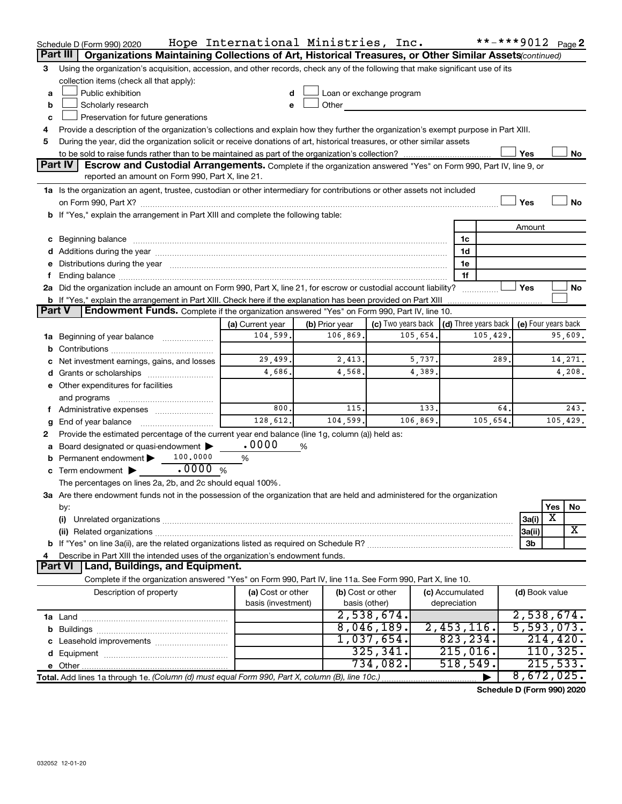|               | Schedule D (Form 990) 2020                                                                                                                                                                                                     | Hope International Ministries, Inc. |                   |                            |                      | **-***9012 Page 2 |                            |           |          |  |
|---------------|--------------------------------------------------------------------------------------------------------------------------------------------------------------------------------------------------------------------------------|-------------------------------------|-------------------|----------------------------|----------------------|-------------------|----------------------------|-----------|----------|--|
|               | Part III  <br><b>Organizations Maintaining Collections of Art, Historical Treasures, or Other Similar Assets</b> continued)                                                                                                    |                                     |                   |                            |                      |                   |                            |           |          |  |
| 3             | Using the organization's acquisition, accession, and other records, check any of the following that make significant use of its                                                                                                |                                     |                   |                            |                      |                   |                            |           |          |  |
|               | collection items (check all that apply):                                                                                                                                                                                       |                                     |                   |                            |                      |                   |                            |           |          |  |
| a             | Public exhibition                                                                                                                                                                                                              |                                     |                   | Loan or exchange program   |                      |                   |                            |           |          |  |
| b             | Scholarly research                                                                                                                                                                                                             |                                     |                   | Other <b>Communication</b> |                      |                   |                            |           |          |  |
| с             | Preservation for future generations                                                                                                                                                                                            |                                     |                   |                            |                      |                   |                            |           |          |  |
|               | Provide a description of the organization's collections and explain how they further the organization's exempt purpose in Part XIII.                                                                                           |                                     |                   |                            |                      |                   |                            |           |          |  |
| 5             | During the year, did the organization solicit or receive donations of art, historical treasures, or other similar assets                                                                                                       |                                     |                   |                            |                      |                   |                            |           |          |  |
|               | Yes<br>No<br>Part IV<br>Escrow and Custodial Arrangements. Complete if the organization answered "Yes" on Form 990, Part IV, line 9, or                                                                                        |                                     |                   |                            |                      |                   |                            |           |          |  |
|               | reported an amount on Form 990, Part X, line 21.                                                                                                                                                                               |                                     |                   |                            |                      |                   |                            |           |          |  |
|               |                                                                                                                                                                                                                                |                                     |                   |                            |                      |                   |                            |           |          |  |
|               | 1a Is the organization an agent, trustee, custodian or other intermediary for contributions or other assets not included                                                                                                       |                                     |                   |                            |                      |                   |                            |           |          |  |
|               | b If "Yes," explain the arrangement in Part XIII and complete the following table:                                                                                                                                             |                                     |                   |                            |                      |                   | Yes                        |           | No       |  |
|               |                                                                                                                                                                                                                                |                                     |                   |                            |                      |                   | Amount                     |           |          |  |
|               |                                                                                                                                                                                                                                |                                     |                   |                            | 1c                   |                   |                            |           |          |  |
|               | c Beginning balance measurements and the contract of Beginning balance measurements are all the contract of the contract of the contract of the contract of the contract of the contract of the contract of the contract of th |                                     |                   |                            | 1d                   |                   |                            |           |          |  |
|               | e Distributions during the year manufactured and continuum and contact the year manufactured and contact the year manufactured and contact the year manufactured and contact the year manufactured and contact the year manufa |                                     |                   |                            | 1е                   |                   |                            |           |          |  |
| Ť.            |                                                                                                                                                                                                                                |                                     |                   |                            | 1f                   |                   |                            |           |          |  |
|               | 2a Did the organization include an amount on Form 990, Part X, line 21, for escrow or custodial account liability?                                                                                                             |                                     |                   |                            |                      |                   | Yes                        |           | No       |  |
|               | <b>b</b> If "Yes," explain the arrangement in Part XIII. Check here if the explanation has been provided on Part XIII                                                                                                          |                                     |                   |                            |                      |                   |                            |           |          |  |
| <b>Part V</b> | Endowment Funds. Complete if the organization answered "Yes" on Form 990, Part IV, line 10.                                                                                                                                    |                                     |                   |                            |                      |                   |                            |           |          |  |
|               |                                                                                                                                                                                                                                | (a) Current year                    | (b) Prior year    | (c) Two years back         | (d) Three years back |                   | (e) Four years back        |           |          |  |
|               | 1a Beginning of year balance                                                                                                                                                                                                   | 104,599.                            | 106,869.          | 105,654.                   |                      | 105,429           |                            |           | 95,609.  |  |
|               |                                                                                                                                                                                                                                |                                     |                   |                            |                      |                   |                            |           |          |  |
|               | c Net investment earnings, gains, and losses                                                                                                                                                                                   | 29,499.                             | 2,413.            | 5,737.                     |                      | 289               |                            |           | 14,271.  |  |
|               |                                                                                                                                                                                                                                | 4,686.                              | 4,568.            | 4,389.                     |                      |                   |                            |           | 4,208.   |  |
|               | e Other expenditures for facilities                                                                                                                                                                                            |                                     |                   |                            |                      |                   |                            |           |          |  |
|               |                                                                                                                                                                                                                                |                                     |                   |                            |                      |                   |                            |           |          |  |
|               | f Administrative expenses <i></i>                                                                                                                                                                                              | 800.                                | 115.              | 133.                       |                      | 64.               |                            |           | 243.     |  |
| g             |                                                                                                                                                                                                                                | 128,612.                            | 104,599.          | 106,869.                   |                      | 105,654.          |                            |           | 105,429. |  |
| 2             | Provide the estimated percentage of the current year end balance (line 1g, column (a)) held as:                                                                                                                                |                                     |                   |                            |                      |                   |                            |           |          |  |
|               | a Board designated or quasi-endowment >                                                                                                                                                                                        | .0000                               | %                 |                            |                      |                   |                            |           |          |  |
|               | 100,0000<br><b>b</b> Permanent endowment $\blacktriangleright$                                                                                                                                                                 | %                                   |                   |                            |                      |                   |                            |           |          |  |
|               | .0000%<br><b>c</b> Term endowment $\blacktriangleright$                                                                                                                                                                        |                                     |                   |                            |                      |                   |                            |           |          |  |
|               | The percentages on lines 2a, 2b, and 2c should equal 100%.                                                                                                                                                                     |                                     |                   |                            |                      |                   |                            |           |          |  |
|               | 3a Are there endowment funds not in the possession of the organization that are held and administered for the organization                                                                                                     |                                     |                   |                            |                      |                   |                            |           |          |  |
|               | by:                                                                                                                                                                                                                            |                                     |                   |                            |                      |                   |                            | Yes<br>x  | No       |  |
|               | (i)                                                                                                                                                                                                                            |                                     |                   |                            |                      |                   | 3a(i)                      |           | x        |  |
|               |                                                                                                                                                                                                                                |                                     |                   |                            |                      |                   | 3a(ii)                     |           |          |  |
|               | Describe in Part XIII the intended uses of the organization's endowment funds.                                                                                                                                                 |                                     |                   |                            |                      |                   | 3b                         |           |          |  |
|               | Land, Buildings, and Equipment.<br><b>Part VI</b>                                                                                                                                                                              |                                     |                   |                            |                      |                   |                            |           |          |  |
|               | Complete if the organization answered "Yes" on Form 990, Part IV, line 11a. See Form 990, Part X, line 10.                                                                                                                     |                                     |                   |                            |                      |                   |                            |           |          |  |
|               | Description of property                                                                                                                                                                                                        | (a) Cost or other                   | (b) Cost or other |                            | (c) Accumulated      |                   | (d) Book value             |           |          |  |
|               |                                                                                                                                                                                                                                | basis (investment)                  | basis (other)     |                            | depreciation         |                   |                            |           |          |  |
|               |                                                                                                                                                                                                                                |                                     |                   | 2,538,674.                 |                      |                   | 2,538,674.                 |           |          |  |
|               |                                                                                                                                                                                                                                |                                     |                   | 8,046,189.                 | $2,453,116$ .        |                   | 5,593,073.                 |           |          |  |
|               |                                                                                                                                                                                                                                |                                     |                   | 1,037,654.                 | 823, 234.            |                   |                            | 214, 420. |          |  |
|               |                                                                                                                                                                                                                                |                                     |                   | 325, 341.                  | 215,016.             |                   |                            | 110, 325. |          |  |
|               |                                                                                                                                                                                                                                |                                     |                   | 734,082.                   | 518,549.             |                   |                            | 215,533.  |          |  |
|               | Total. Add lines 1a through 1e. (Column (d) must equal Form 990, Part X, column (B), line 10c.)                                                                                                                                |                                     |                   |                            |                      |                   | 8,672,025.                 |           |          |  |
|               |                                                                                                                                                                                                                                |                                     |                   |                            |                      |                   | $div1 - D$ (Ferm 000) 0000 |           |          |  |

**Schedule D (Form 990) 2020**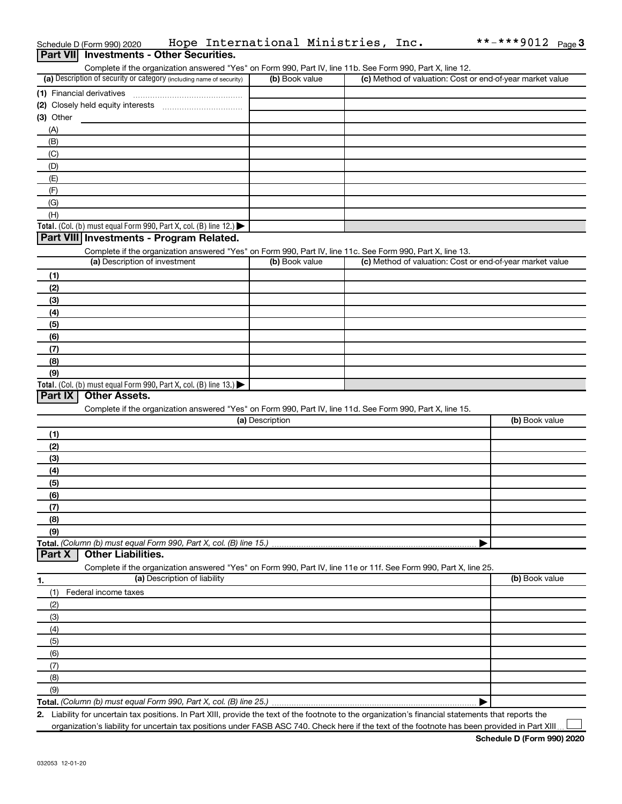| Part VII Investments - Other Securities.                                                                                                                                           |                 |                                                           |                |
|------------------------------------------------------------------------------------------------------------------------------------------------------------------------------------|-----------------|-----------------------------------------------------------|----------------|
| Complete if the organization answered "Yes" on Form 990, Part IV, line 11b. See Form 990, Part X, line 12.<br>(a) Description of security or category (including name of security) | (b) Book value  | (c) Method of valuation: Cost or end-of-year market value |                |
| (1) Financial derivatives                                                                                                                                                          |                 |                                                           |                |
|                                                                                                                                                                                    |                 |                                                           |                |
| $(3)$ Other                                                                                                                                                                        |                 |                                                           |                |
| (A)                                                                                                                                                                                |                 |                                                           |                |
| (B)                                                                                                                                                                                |                 |                                                           |                |
| (C)                                                                                                                                                                                |                 |                                                           |                |
| (D)                                                                                                                                                                                |                 |                                                           |                |
| (E)                                                                                                                                                                                |                 |                                                           |                |
| (F)                                                                                                                                                                                |                 |                                                           |                |
| (G)                                                                                                                                                                                |                 |                                                           |                |
| (H)                                                                                                                                                                                |                 |                                                           |                |
| Total. (Col. (b) must equal Form 990, Part X, col. (B) line 12.)                                                                                                                   |                 |                                                           |                |
| Part VIII Investments - Program Related.                                                                                                                                           |                 |                                                           |                |
| Complete if the organization answered "Yes" on Form 990, Part IV, line 11c. See Form 990, Part X, line 13.                                                                         |                 |                                                           |                |
| (a) Description of investment                                                                                                                                                      | (b) Book value  | (c) Method of valuation: Cost or end-of-year market value |                |
| (1)                                                                                                                                                                                |                 |                                                           |                |
| (2)                                                                                                                                                                                |                 |                                                           |                |
| (3)                                                                                                                                                                                |                 |                                                           |                |
| (4)                                                                                                                                                                                |                 |                                                           |                |
| (5)                                                                                                                                                                                |                 |                                                           |                |
| (6)                                                                                                                                                                                |                 |                                                           |                |
| (7)                                                                                                                                                                                |                 |                                                           |                |
| (8)                                                                                                                                                                                |                 |                                                           |                |
| (9)                                                                                                                                                                                |                 |                                                           |                |
| Total. (Col. (b) must equal Form 990, Part X, col. (B) line 13.)                                                                                                                   |                 |                                                           |                |
| Part IX<br><b>Other Assets.</b>                                                                                                                                                    |                 |                                                           |                |
| Complete if the organization answered "Yes" on Form 990, Part IV, line 11d. See Form 990, Part X, line 15.                                                                         |                 |                                                           |                |
|                                                                                                                                                                                    | (a) Description |                                                           | (b) Book value |
| (1)                                                                                                                                                                                |                 |                                                           |                |
| (2)                                                                                                                                                                                |                 |                                                           |                |
| (3)                                                                                                                                                                                |                 |                                                           |                |
| (4)                                                                                                                                                                                |                 |                                                           |                |
| (5)<br>(6)                                                                                                                                                                         |                 |                                                           |                |
| (7)                                                                                                                                                                                |                 |                                                           |                |
| (8)                                                                                                                                                                                |                 |                                                           |                |
| (9)                                                                                                                                                                                |                 |                                                           |                |
| Total. (Column (b) must equal Form 990, Part X, col. (B) line 15.)                                                                                                                 |                 |                                                           |                |
| Part X<br><b>Other Liabilities.</b>                                                                                                                                                |                 |                                                           |                |
| Complete if the organization answered "Yes" on Form 990, Part IV, line 11e or 11f. See Form 990, Part X, line 25.                                                                  |                 |                                                           |                |
| (a) Description of liability<br>1.                                                                                                                                                 |                 |                                                           | (b) Book value |
| Federal income taxes<br>(1)                                                                                                                                                        |                 |                                                           |                |
| (2)                                                                                                                                                                                |                 |                                                           |                |
| (3)                                                                                                                                                                                |                 |                                                           |                |
| (4)                                                                                                                                                                                |                 |                                                           |                |
| (5)                                                                                                                                                                                |                 |                                                           |                |
| (6)                                                                                                                                                                                |                 |                                                           |                |
| (7)                                                                                                                                                                                |                 |                                                           |                |
| (8)                                                                                                                                                                                |                 |                                                           |                |
| (9)                                                                                                                                                                                |                 |                                                           |                |
| Total. (Column (b) must equal Form 990, Part X, col. (B) line 25.)                                                                                                                 |                 |                                                           |                |

Schedule D (Form 990) 2020 Mope International Ministries, Inc. \*\*-\*\*\*9012 Page

**2.** Liability for uncertain tax positions. In Part XIII, provide the text of the footnote to the organization's financial statements that reports the organization's liability for uncertain tax positions under FASB ASC 740. Check here if the text of the footnote has been provided in Part XIII.

 $***$  -\*\*\* 9012 Page 3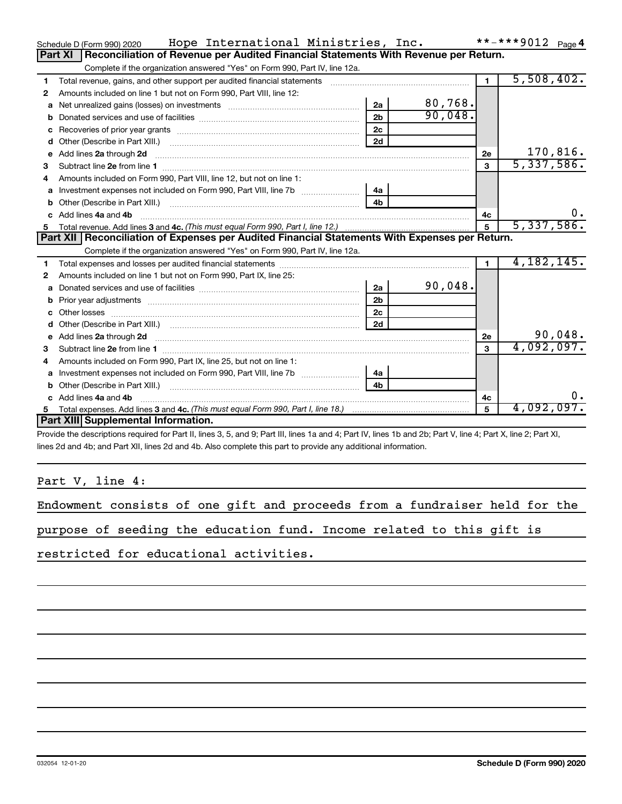|    | Hope International Ministries, Inc.<br>Schedule D (Form 990) 2020                                                                                                                                                                    |                |            |                |              |
|----|--------------------------------------------------------------------------------------------------------------------------------------------------------------------------------------------------------------------------------------|----------------|------------|----------------|--------------|
|    | Reconciliation of Revenue per Audited Financial Statements With Revenue per Return.<br>Part XI                                                                                                                                       |                |            |                |              |
|    | Complete if the organization answered "Yes" on Form 990, Part IV, line 12a.                                                                                                                                                          |                |            |                |              |
| 1  | Total revenue, gains, and other support per audited financial statements                                                                                                                                                             |                |            | $\blacksquare$ | 5,508,402.   |
| 2  | Amounts included on line 1 but not on Form 990, Part VIII, line 12:                                                                                                                                                                  |                |            |                |              |
| a  |                                                                                                                                                                                                                                      | 2a             | 80,768.    |                |              |
|    |                                                                                                                                                                                                                                      | 2 <sub>b</sub> | 90,048.    |                |              |
|    |                                                                                                                                                                                                                                      | 2 <sub>c</sub> |            |                |              |
| d  |                                                                                                                                                                                                                                      | 2d             |            |                |              |
| е  | Add lines 2a through 2d                                                                                                                                                                                                              |                |            | 2е             | 170,816.     |
| З  |                                                                                                                                                                                                                                      |                |            | 3              | 5,337,586.   |
| 4  | Amounts included on Form 990, Part VIII, line 12, but not on line 1:                                                                                                                                                                 |                |            |                |              |
|    |                                                                                                                                                                                                                                      | - 4a           |            |                |              |
|    |                                                                                                                                                                                                                                      | 4b             |            |                |              |
|    | c Add lines 4a and 4b                                                                                                                                                                                                                | 4с             | 0.         |                |              |
|    |                                                                                                                                                                                                                                      | 5              | 5,337,586. |                |              |
|    | Part XII   Reconciliation of Expenses per Audited Financial Statements With Expenses per Return.                                                                                                                                     |                |            |                |              |
|    | Complete if the organization answered "Yes" on Form 990, Part IV, line 12a.                                                                                                                                                          |                |            |                |              |
| 1  |                                                                                                                                                                                                                                      |                |            |                | 4, 182, 145. |
| 2  | Amounts included on line 1 but not on Form 990, Part IX, line 25:                                                                                                                                                                    |                |            |                |              |
| a  |                                                                                                                                                                                                                                      | 2a             | 90,048.    |                |              |
| b  |                                                                                                                                                                                                                                      | 2 <sub>b</sub> |            |                |              |
|    | Other losses                                                                                                                                                                                                                         | 2c             |            |                |              |
| d  |                                                                                                                                                                                                                                      | 2d             |            |                |              |
| e  | Add lines 2a through 2d <b>continuum continuum contract and all the contract of the contract of the contract of the contract of the contract of the contract of the contract of the contract of the contract of the contract of </b> |                |            | 2e             | 90,048.      |
|    | Subtract line 2e from line 1 <b>manufacture in the contract of the 2e</b> from line 1                                                                                                                                                |                |            | 3              | 4,092,097.   |
| 4  | Amounts included on Form 990, Part IX, line 25, but not on line 1:                                                                                                                                                                   |                |            |                |              |
| a  |                                                                                                                                                                                                                                      | 4a             |            |                |              |
|    | Other (Describe in Part XIII.)                                                                                                                                                                                                       | 4 <sub>h</sub> |            |                |              |
|    | Add lines 4a and 4b                                                                                                                                                                                                                  |                |            | 4c             | 0.           |
| 5. |                                                                                                                                                                                                                                      |                |            | 5              | 4,092,097.   |
|    | Part XIII Supplemental Information.                                                                                                                                                                                                  |                |            |                |              |
|    |                                                                                                                                                                                                                                      |                |            |                |              |

Provide the descriptions required for Part II, lines 3, 5, and 9; Part III, lines 1a and 4; Part IV, lines 1b and 2b; Part V, line 4; Part X, line 2; Part XI, lines 2d and 4b; and Part XII, lines 2d and 4b. Also complete this part to provide any additional information.

Part V, line 4:

| Endowment consists of one gift and proceeds from a fundraiser held for the |  |  |
|----------------------------------------------------------------------------|--|--|
|----------------------------------------------------------------------------|--|--|

|  |  | purpose of seeding the education fund. Income related to this gift is |  |  |  |  |
|--|--|-----------------------------------------------------------------------|--|--|--|--|
|  |  |                                                                       |  |  |  |  |

restricted for educational activities.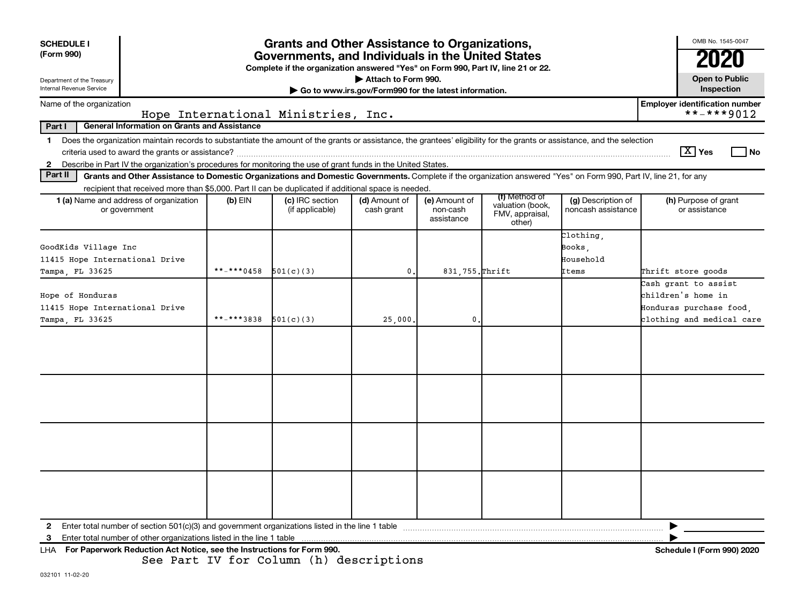| <b>SCHEDULE I</b><br>(Form 990)<br>Department of the Treasury<br>Internal Revenue Service                                                                                                                                                                                     |                                         | <b>Grants and Other Assistance to Organizations,</b><br>Governments, and Individuals in the United States<br>Complete if the organization answered "Yes" on Form 990, Part IV, line 21 or 22. | Attach to Form 990.<br>Go to www.irs.gov/Form990 for the latest information. |                                         |                                                                |                                          | OMB No. 1545-0047<br><b>Open to Public</b><br>Inspection                                           |
|-------------------------------------------------------------------------------------------------------------------------------------------------------------------------------------------------------------------------------------------------------------------------------|-----------------------------------------|-----------------------------------------------------------------------------------------------------------------------------------------------------------------------------------------------|------------------------------------------------------------------------------|-----------------------------------------|----------------------------------------------------------------|------------------------------------------|----------------------------------------------------------------------------------------------------|
| Name of the organization                                                                                                                                                                                                                                                      |                                         |                                                                                                                                                                                               |                                                                              |                                         |                                                                |                                          | <b>Employer identification number</b>                                                              |
|                                                                                                                                                                                                                                                                               | Hope International Ministries, Inc.     |                                                                                                                                                                                               |                                                                              |                                         |                                                                |                                          | **-***9012                                                                                         |
| <b>General Information on Grants and Assistance</b><br>Part I                                                                                                                                                                                                                 |                                         |                                                                                                                                                                                               |                                                                              |                                         |                                                                |                                          |                                                                                                    |
| Does the organization maintain records to substantiate the amount of the grants or assistance, the grantees' eligibility for the grants or assistance, and the selection<br>$\mathbf 1$                                                                                       |                                         |                                                                                                                                                                                               |                                                                              |                                         |                                                                |                                          |                                                                                                    |
|                                                                                                                                                                                                                                                                               |                                         |                                                                                                                                                                                               |                                                                              |                                         |                                                                |                                          | $\boxed{\text{X}}$ Yes<br>l No                                                                     |
| Describe in Part IV the organization's procedures for monitoring the use of grant funds in the United States.<br>$\mathbf{2}$<br>Part II                                                                                                                                      |                                         |                                                                                                                                                                                               |                                                                              |                                         |                                                                |                                          |                                                                                                    |
| Grants and Other Assistance to Domestic Organizations and Domestic Governments. Complete if the organization answered "Yes" on Form 990, Part IV, line 21, for any                                                                                                            |                                         |                                                                                                                                                                                               |                                                                              |                                         |                                                                |                                          |                                                                                                    |
| recipient that received more than \$5,000. Part II can be duplicated if additional space is needed.<br>1 (a) Name and address of organization<br>or government                                                                                                                | $(b)$ EIN                               | (c) IRC section<br>(if applicable)                                                                                                                                                            | (d) Amount of<br>cash grant                                                  | (e) Amount of<br>non-cash<br>assistance | (f) Method of<br>valuation (book,<br>FMV, appraisal,<br>other) | (g) Description of<br>noncash assistance | (h) Purpose of grant<br>or assistance                                                              |
| GoodKids Village Inc<br>11415 Hope International Drive                                                                                                                                                                                                                        |                                         |                                                                                                                                                                                               |                                                                              |                                         |                                                                | Clothing,<br>Books,<br>Household         |                                                                                                    |
| Tampa, FL 33625                                                                                                                                                                                                                                                               | **_***0458                              | 501(c)(3)                                                                                                                                                                                     | $\mathbf{0}$ .                                                               | 831,755. Thrift                         |                                                                | Items                                    | Thrift store goods                                                                                 |
| Hope of Honduras<br>11415 Hope International Drive<br>Tampa, FL 33625                                                                                                                                                                                                         | **_***3838                              | 501(c)(3)                                                                                                                                                                                     | 25,000.                                                                      | $\mathbf 0$ .                           |                                                                |                                          | Cash grant to assist<br>children's home in<br>Honduras purchase food,<br>clothing and medical care |
|                                                                                                                                                                                                                                                                               |                                         |                                                                                                                                                                                               |                                                                              |                                         |                                                                |                                          |                                                                                                    |
| Enter total number of section 501(c)(3) and government organizations listed in the line 1 table<br>$\mathbf{2}$<br>Enter total number of other organizations listed in the line 1 table<br>3<br>For Paperwork Reduction Act Notice, see the Instructions for Form 990.<br>LHA | See Part IV for Column (h) descriptions |                                                                                                                                                                                               |                                                                              |                                         |                                                                |                                          | Schedule I (Form 990) 2020                                                                         |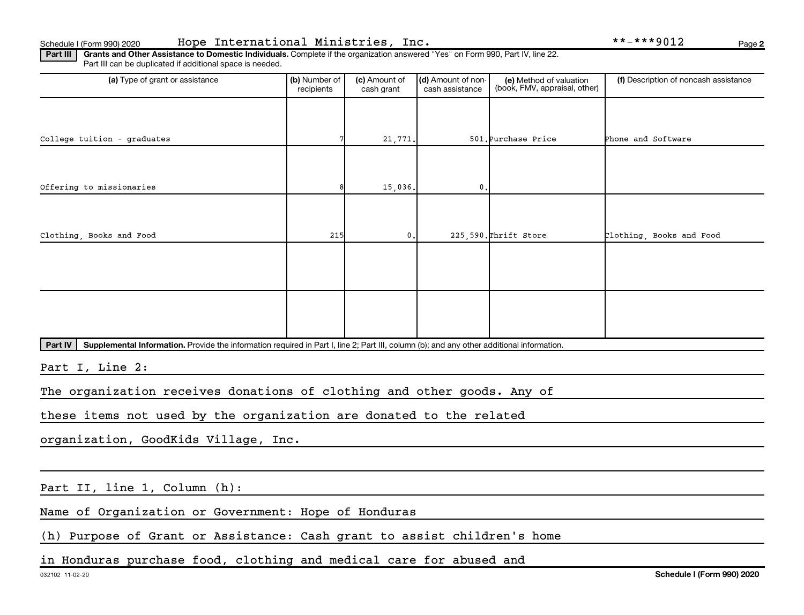Part III | Grants and Other Assistance to Domestic Individuals. Complete if the organization answered "Yes" on Form 990, Part IV, line 22. Part III can be duplicated if additional space is needed.

| (a) Type of grant or assistance                                                                                                                             | (b) Number of<br>recipients | (c) Amount of<br>cash grant | (d) Amount of non-<br>cash assistance | (e) Method of valuation<br>(book, FMV, appraisal, other) | (f) Description of noncash assistance |  |  |  |
|-------------------------------------------------------------------------------------------------------------------------------------------------------------|-----------------------------|-----------------------------|---------------------------------------|----------------------------------------------------------|---------------------------------------|--|--|--|
|                                                                                                                                                             |                             |                             |                                       |                                                          |                                       |  |  |  |
| College tuition - graduates                                                                                                                                 |                             | 21,771.                     |                                       | 501. Purchase Price                                      | Phone and Software                    |  |  |  |
|                                                                                                                                                             |                             |                             |                                       |                                                          |                                       |  |  |  |
| Offering to missionaries                                                                                                                                    |                             | 15,036.                     | 0.                                    |                                                          |                                       |  |  |  |
|                                                                                                                                                             |                             |                             |                                       |                                                          |                                       |  |  |  |
| Clothing, Books and Food                                                                                                                                    | 215                         | 0.                          |                                       | 225,590. Thrift Store                                    | Clothing, Books and Food              |  |  |  |
|                                                                                                                                                             |                             |                             |                                       |                                                          |                                       |  |  |  |
|                                                                                                                                                             |                             |                             |                                       |                                                          |                                       |  |  |  |
|                                                                                                                                                             |                             |                             |                                       |                                                          |                                       |  |  |  |
|                                                                                                                                                             |                             |                             |                                       |                                                          |                                       |  |  |  |
| <b>Part IV</b><br>Supplemental Information. Provide the information required in Part I, line 2; Part III, column (b); and any other additional information. |                             |                             |                                       |                                                          |                                       |  |  |  |
| Part I, Line 2:                                                                                                                                             |                             |                             |                                       |                                                          |                                       |  |  |  |
| The organization receives donations of clothing and other goods. Any of                                                                                     |                             |                             |                                       |                                                          |                                       |  |  |  |
| these items not used by the organization are donated to the related                                                                                         |                             |                             |                                       |                                                          |                                       |  |  |  |
| organization, GoodKids Village, Inc.                                                                                                                        |                             |                             |                                       |                                                          |                                       |  |  |  |
|                                                                                                                                                             |                             |                             |                                       |                                                          |                                       |  |  |  |
| Part II, line 1, Column (h):                                                                                                                                |                             |                             |                                       |                                                          |                                       |  |  |  |

Name of Organization or Government: Hope of Honduras

(h) Purpose of Grant or Assistance: Cash grant to assist children's home

in Honduras purchase food, clothing and medical care for abused and

**2**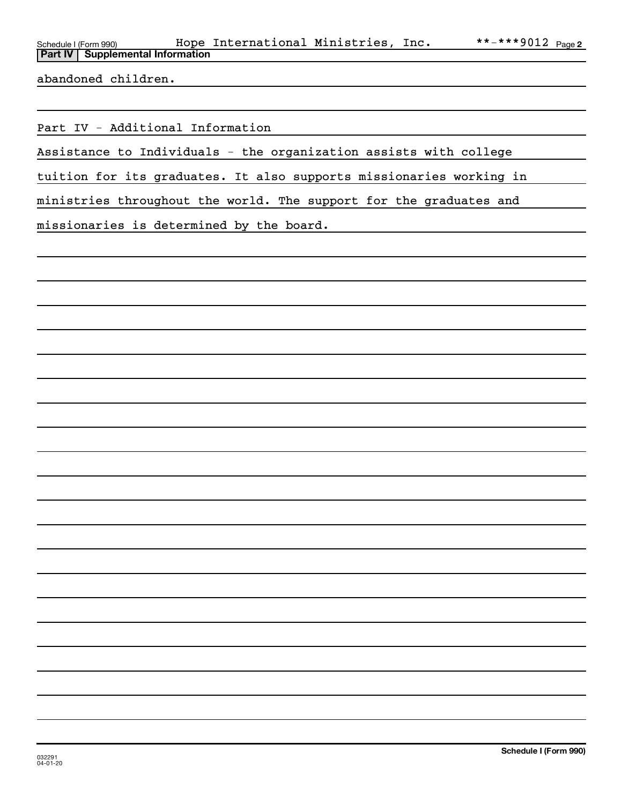| Schedule I (Form 990) |                                           | Hope International Ministries, Inc. |  | **-***9012 $_{\text{Page 2}}$ |
|-----------------------|-------------------------------------------|-------------------------------------|--|-------------------------------|
|                       | <b>Part IV   Supplemental Information</b> |                                     |  |                               |

abandoned children.

Part IV - Additional Information

Assistance to Individuals - the organization assists with college

tuition for its graduates. It also supports missionaries working in

ministries throughout the world. The support for the graduates and

missionaries is determined by the board.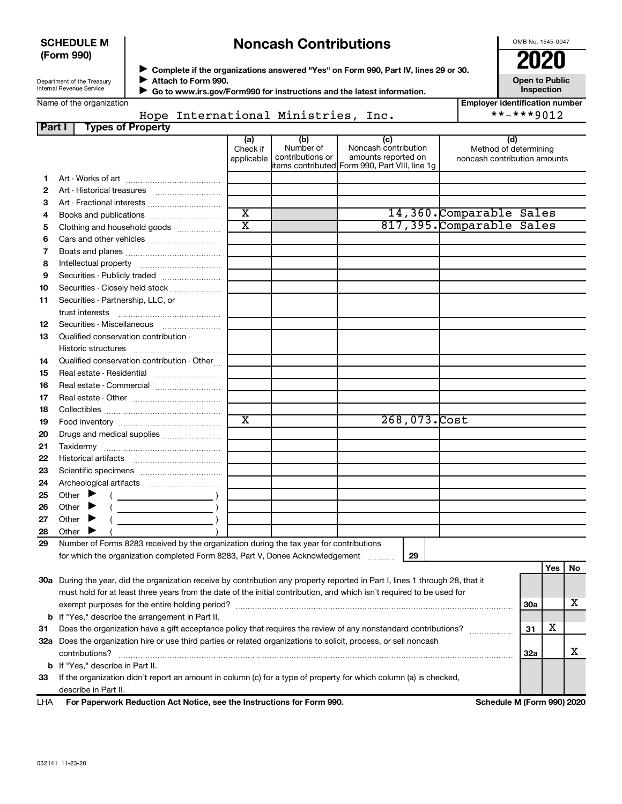## **SCHEDULE M (Form 990)**

## **Noncash Contributions**

OMB No. 1545-0047

| Department of the Treasury |  |
|----------------------------|--|
| Internal Revenue Service   |  |

◆ Complete if the organizations answered "Yes" on Form 990, Part IV, lines 29 or 30.<br>● Complete if the organizations answered "Yes" on Form 990, Part IV, lines 29 or 30. **Attach to Form 990.**  $\blacktriangleright$ 

 **Go to www.irs.gov/Form990 for instructions and the latest information.** J

**Inspection Employer identification number**

**Open to Public**

| Name of the organization |  |
|--------------------------|--|
|--------------------------|--|

Hope International Ministries, Inc. \*\*-\*\*\*\*9012

| Part I | <b>Types of Property</b>                                                                                                       |                             |                               |                                                |                                                       |            |     |    |
|--------|--------------------------------------------------------------------------------------------------------------------------------|-----------------------------|-------------------------------|------------------------------------------------|-------------------------------------------------------|------------|-----|----|
|        |                                                                                                                                | (a)                         | (b)                           | (c)                                            | (d)                                                   |            |     |    |
|        |                                                                                                                                | Check if<br>applicable      | Number of<br>contributions or | Noncash contribution<br>amounts reported on    | Method of determining<br>noncash contribution amounts |            |     |    |
|        |                                                                                                                                |                             |                               | items contributed Form 990, Part VIII, line 1g |                                                       |            |     |    |
| 1.     |                                                                                                                                |                             |                               |                                                |                                                       |            |     |    |
| 2      | Art - Historical treasures                                                                                                     |                             |                               |                                                |                                                       |            |     |    |
| З      |                                                                                                                                |                             |                               |                                                |                                                       |            |     |    |
| 4      |                                                                                                                                | $\overline{\text{x}}$       |                               |                                                | 14,360.Comparable Sales                               |            |     |    |
| 5      | Clothing and household goods                                                                                                   | $\overline{\text{x}}$       |                               |                                                | 817,395. Comparable Sales                             |            |     |    |
| 6      |                                                                                                                                |                             |                               |                                                |                                                       |            |     |    |
| 7      |                                                                                                                                |                             |                               |                                                |                                                       |            |     |    |
| 8      |                                                                                                                                |                             |                               |                                                |                                                       |            |     |    |
| 9      | Securities - Publicly traded                                                                                                   |                             |                               |                                                |                                                       |            |     |    |
| 10     | Securities - Closely held stock                                                                                                |                             |                               |                                                |                                                       |            |     |    |
| 11     | Securities - Partnership, LLC, or                                                                                              |                             |                               |                                                |                                                       |            |     |    |
|        | trust interests                                                                                                                |                             |                               |                                                |                                                       |            |     |    |
| 12     |                                                                                                                                |                             |                               |                                                |                                                       |            |     |    |
| 13     | Qualified conservation contribution -                                                                                          |                             |                               |                                                |                                                       |            |     |    |
|        |                                                                                                                                |                             |                               |                                                |                                                       |            |     |    |
| 14     | Qualified conservation contribution - Other                                                                                    |                             |                               |                                                |                                                       |            |     |    |
| 15     | Real estate - Residential                                                                                                      |                             |                               |                                                |                                                       |            |     |    |
| 16     |                                                                                                                                |                             |                               |                                                |                                                       |            |     |    |
| 17     |                                                                                                                                |                             |                               |                                                |                                                       |            |     |    |
| 18     |                                                                                                                                |                             |                               |                                                |                                                       |            |     |    |
| 19     |                                                                                                                                | $\overline{\textnormal{x}}$ |                               | 268,073.Cost                                   |                                                       |            |     |    |
| 20     | Drugs and medical supplies                                                                                                     |                             |                               |                                                |                                                       |            |     |    |
| 21     |                                                                                                                                |                             |                               |                                                |                                                       |            |     |    |
| 22     |                                                                                                                                |                             |                               |                                                |                                                       |            |     |    |
| 23     |                                                                                                                                |                             |                               |                                                |                                                       |            |     |    |
| 24     |                                                                                                                                |                             |                               |                                                |                                                       |            |     |    |
| 25     | Other $\blacktriangleright$                                                                                                    |                             |                               |                                                |                                                       |            |     |    |
| 26     | Other $\blacktriangleright$                                                                                                    |                             |                               |                                                |                                                       |            |     |    |
| 27     | Other $\blacktriangleright$                                                                                                    |                             |                               |                                                |                                                       |            |     |    |
| 28     | Other $\blacktriangleright$                                                                                                    |                             |                               |                                                |                                                       |            |     |    |
| 29     | Number of Forms 8283 received by the organization during the tax year for contributions                                        |                             |                               |                                                |                                                       |            |     |    |
|        | for which the organization completed Form 8283, Part V, Donee Acknowledgement                                                  |                             |                               | 29                                             |                                                       |            |     |    |
|        |                                                                                                                                |                             |                               |                                                |                                                       |            | Yes | No |
|        | 30a During the year, did the organization receive by contribution any property reported in Part I, lines 1 through 28, that it |                             |                               |                                                |                                                       |            |     |    |
|        | must hold for at least three years from the date of the initial contribution, and which isn't required to be used for          |                             |                               |                                                |                                                       |            |     |    |
|        |                                                                                                                                |                             |                               |                                                |                                                       | <b>30a</b> |     | х  |
|        | <b>b</b> If "Yes," describe the arrangement in Part II.                                                                        |                             |                               |                                                |                                                       |            |     |    |
| 31     | Does the organization have a gift acceptance policy that requires the review of any nonstandard contributions?                 |                             |                               |                                                |                                                       | 31         | х   |    |
|        | 32a Does the organization hire or use third parties or related organizations to solicit, process, or sell noncash              |                             |                               |                                                |                                                       |            |     |    |
|        | contributions?                                                                                                                 |                             |                               |                                                |                                                       | 32a        |     | x  |
|        | <b>b</b> If "Yes," describe in Part II.                                                                                        |                             |                               |                                                |                                                       |            |     |    |
| 33     | If the organization didn't report an amount in column (c) for a type of property for which column (a) is checked,              |                             |                               |                                                |                                                       |            |     |    |
|        | describe in Part II.                                                                                                           |                             |                               |                                                |                                                       |            |     |    |

**For Paperwork Reduction Act Notice, see the Instructions for Form 990. Schedule M (Form 990) 2020** LHA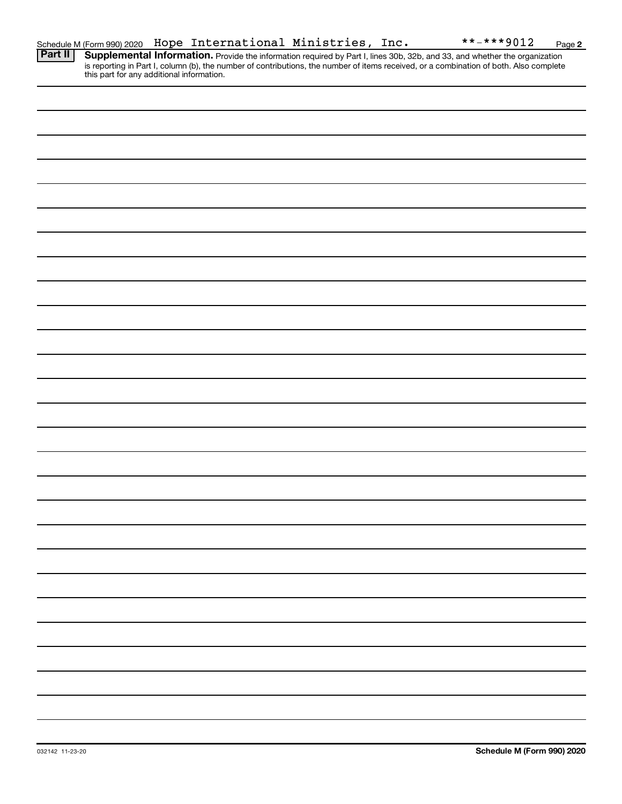Provide the information required by Part I, lines 30b, 32b, and 33, and whether the organization is reporting in Part I, column (b), the number of contributions, the number of items received, or a combination of both. Also complete this part for any additional information. **Part II Supplemental Information.**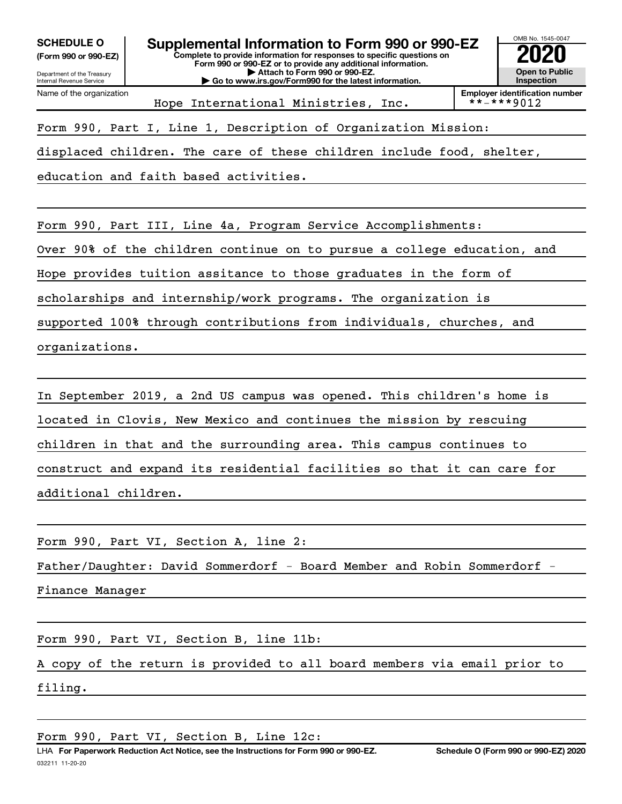**(Form 990 or 990-EZ)**



**Employer identification number**<br>\* \* - \* \* \* 9 0 1 2

Form 990, Part I, Line 1, Description of Organization Mission:

displaced children. The care of these children include food, shelter,

Hope International Ministries, Inc.

education and faith based activities.

Form 990, Part III, Line 4a, Program Service Accomplishments:

Over 90% of the children continue on to pursue a college education, and

Hope provides tuition assitance to those graduates in the form of

scholarships and internship/work programs. The organization is

supported 100% through contributions from individuals, churches, and organizations.

In September 2019, a 2nd US campus was opened. This children's home is located in Clovis, New Mexico and continues the mission by rescuing children in that and the surrounding area. This campus continues to construct and expand its residential facilities so that it can care for additional children.

Form 990, Part VI, Section A, line 2:

Father/Daughter: David Sommerdorf - Board Member and Robin Sommerdorf -

Finance Manager

Form 990, Part VI, Section B, line 11b:

A copy of the return is provided to all board members via email prior to filing.

Form 990, Part VI, Section B, Line 12c: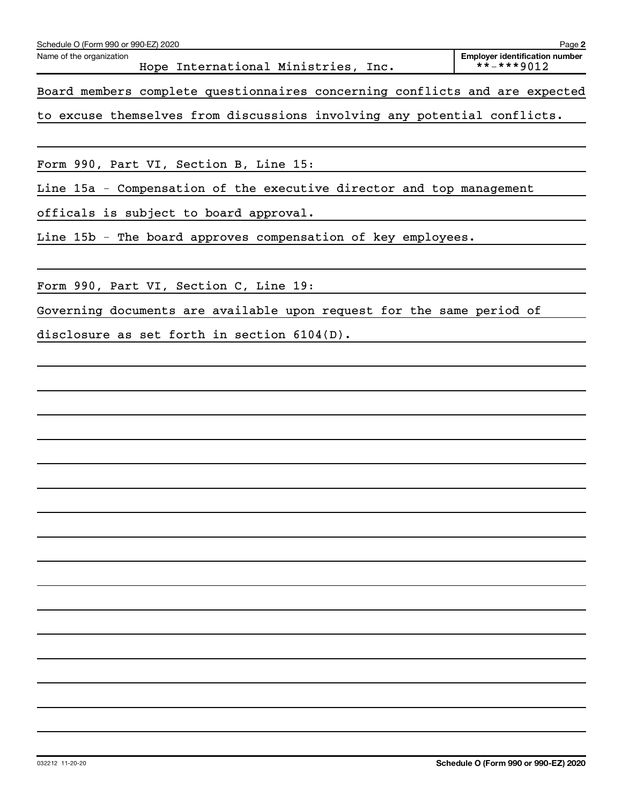| Schedule O (Form 990 or 990-EZ) 2020<br>Page 2 |                          |  |  |  |                                |      |  |                  |                                       |  |  |  |
|------------------------------------------------|--------------------------|--|--|--|--------------------------------|------|--|------------------|---------------------------------------|--|--|--|
|                                                | Name of the organization |  |  |  | Hope International Ministries, | Inc. |  | $***$ $***$ 9012 | <b>Employer identification number</b> |  |  |  |
|                                                |                          |  |  |  |                                |      |  |                  |                                       |  |  |  |

Board members complete questionnaires concerning conflicts and are expected

to excuse themselves from discussions involving any potential conflicts.

Form 990, Part VI, Section B, Line 15:

Line 15a - Compensation of the executive director and top management

officals is subject to board approval.

Line 15b - The board approves compensation of key employees.

Form 990, Part VI, Section C, Line 19:

Governing documents are available upon request for the same period of

disclosure as set forth in section 6104(D).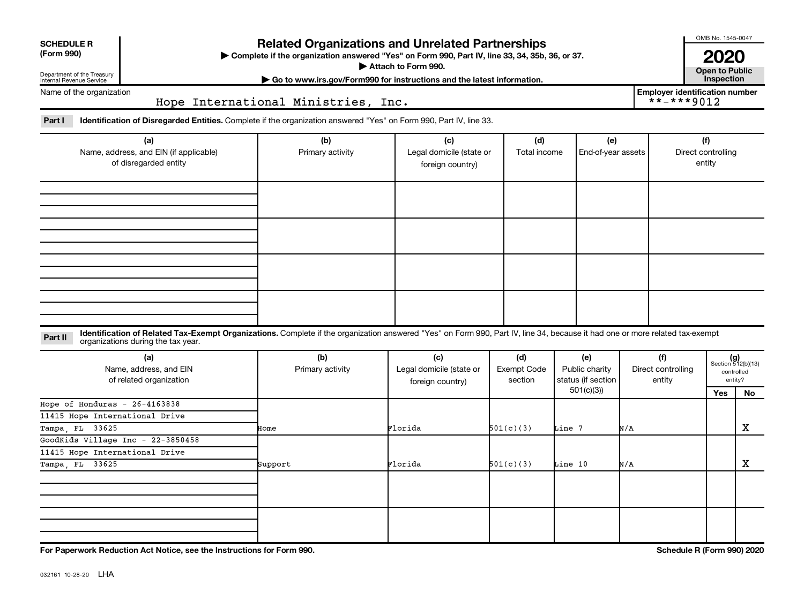| <b>SCHEDULE R</b> |  |
|-------------------|--|
|                   |  |

Department of the Treasury Internal Revenue Service

## **Related Organizations and Unrelated Partnerships**

**(Form 990) Complete if the organization answered "Yes" on Form 990, Part IV, line 33, 34, 35b, 36, or 37.** |

■ Attach to Form 990. **Dependent of Attach to Form 990.** Open to Public

**| Go to www.irs.gov/Form990 for instructions and the latest information. Inspection**

**Employer identification number**<br> $\star \star - \star \star \star 9012$ 

OMB No. 1545-0047

**2020**<br>Open to Public

Name of the organization

Hope International Ministries, Inc.

Part I ldentification of Disregarded Entities. Complete if the organization answered "Yes" on Form 990, Part IV, line 33.

| (a)<br>Name, address, and EIN (if applicable)<br>of disregarded entity | (b)<br>Primary activity | (c)<br>Legal domicile (state or<br>foreign country) | (d)<br>Total income | (e)<br>End-of-year assets | (f)<br>Direct controlling<br>entity |
|------------------------------------------------------------------------|-------------------------|-----------------------------------------------------|---------------------|---------------------------|-------------------------------------|
|                                                                        |                         |                                                     |                     |                           |                                     |
|                                                                        |                         |                                                     |                     |                           |                                     |
|                                                                        |                         |                                                     |                     |                           |                                     |
|                                                                        |                         |                                                     |                     |                           |                                     |

### **Part II** Identification of Related Tax-Exempt Organizations. Complete if the organization answered "Yes" on Form 990, Part IV, line 34, because it had one or more related tax-exempt<br>Part II acconizations during the tax ye organizations during the tax year.

| (a)<br>Name, address, and EIN<br>of related organization | (b)<br>Primary activity               | (c)<br>Legal domicile (state or<br>foreign country) | (d)<br>Exempt Code<br>section | (e)<br>Public charity<br>status (if section | (f)<br>Direct controlling<br>entity |     | $(g)$<br>Section 512(b)(13)<br>controlled<br>entity? |
|----------------------------------------------------------|---------------------------------------|-----------------------------------------------------|-------------------------------|---------------------------------------------|-------------------------------------|-----|------------------------------------------------------|
|                                                          | Florida<br>Home<br>Florida<br>Support |                                                     |                               | 501(c)(3))                                  |                                     | Yes | No                                                   |
| Hope of Honduras $-26-4163838$                           |                                       |                                                     |                               |                                             |                                     |     |                                                      |
| 11415 Hope International Drive                           |                                       |                                                     |                               |                                             |                                     |     |                                                      |
| Tampa, FL 33625                                          |                                       |                                                     | 501(c)(3)                     | Line 7                                      | N/A                                 |     | X                                                    |
| GoodKids Village Inc $-22-3850458$                       |                                       |                                                     |                               |                                             |                                     |     |                                                      |
| 11415 Hope International Drive                           |                                       |                                                     |                               |                                             |                                     |     |                                                      |
| Tampa, FL 33625                                          |                                       |                                                     | 501(c)(3)                     | Line 10                                     | N/A                                 |     | X                                                    |
|                                                          |                                       |                                                     |                               |                                             |                                     |     |                                                      |
|                                                          |                                       |                                                     |                               |                                             |                                     |     |                                                      |
|                                                          |                                       |                                                     |                               |                                             |                                     |     |                                                      |
|                                                          |                                       |                                                     |                               |                                             |                                     |     |                                                      |

**For Paperwork Reduction Act Notice, see the Instructions for Form 990. Schedule R (Form 990) 2020**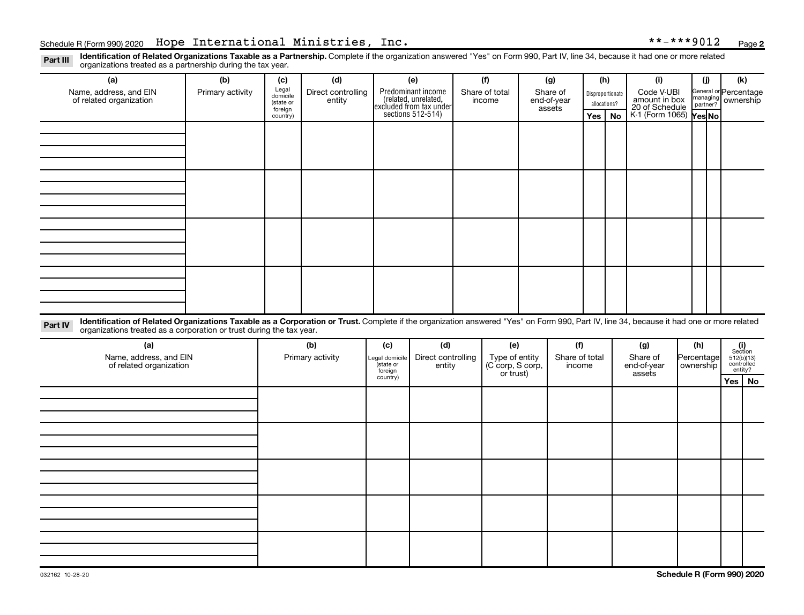Part III Identification of Related Organizations Taxable as a Partnership. Complete if the organization answered "Yes" on Form 990, Part IV, line 34, because it had one or more related<br>Read to the organizations tracted as organizations treated as a partnership during the tax year.

| organizations treated as a partnership during the tax year.                                                                                                                                                                                                                 |                  |                     |                    |                      |                                                                                            |        |                                    |                       |                |              |                  |                                               |            |           |                                                         |    |
|-----------------------------------------------------------------------------------------------------------------------------------------------------------------------------------------------------------------------------------------------------------------------------|------------------|---------------------|--------------------|----------------------|--------------------------------------------------------------------------------------------|--------|------------------------------------|-----------------------|----------------|--------------|------------------|-----------------------------------------------|------------|-----------|---------------------------------------------------------|----|
| (a)                                                                                                                                                                                                                                                                         | (b)              | (c)                 | (d)                | (e)                  |                                                                                            | (f)    |                                    | (g)                   |                | (h)          |                  | (i)                                           |            | (i)       | (k)                                                     |    |
| Name, address, and EIN                                                                                                                                                                                                                                                      | Primary activity | Legal<br>domicile   | Direct controlling |                      | Predominant income<br>(related, unrelated,<br>excluded from tax under<br>sections 512-514) |        | Share of total                     |                       | Share of       |              | Disproportionate | Code V-UBI<br>amount in box<br>20 of Schedule |            |           | General or Percentage<br>managing ownership<br>partner? |    |
| of related organization                                                                                                                                                                                                                                                     |                  | (state or           | entity             |                      |                                                                                            | income |                                    | end-of-year<br>assets |                | allocations? |                  |                                               |            |           |                                                         |    |
|                                                                                                                                                                                                                                                                             |                  | foreign<br>country) |                    |                      |                                                                                            |        |                                    |                       |                | Yes          | No               | K-1 (Form 1065) Yes No                        |            |           |                                                         |    |
|                                                                                                                                                                                                                                                                             |                  |                     |                    |                      |                                                                                            |        |                                    |                       |                |              |                  |                                               |            |           |                                                         |    |
|                                                                                                                                                                                                                                                                             |                  |                     |                    |                      |                                                                                            |        |                                    |                       |                |              |                  |                                               |            |           |                                                         |    |
|                                                                                                                                                                                                                                                                             |                  |                     |                    |                      |                                                                                            |        |                                    |                       |                |              |                  |                                               |            |           |                                                         |    |
|                                                                                                                                                                                                                                                                             |                  |                     |                    |                      |                                                                                            |        |                                    |                       |                |              |                  |                                               |            |           |                                                         |    |
|                                                                                                                                                                                                                                                                             |                  |                     |                    |                      |                                                                                            |        |                                    |                       |                |              |                  |                                               |            |           |                                                         |    |
|                                                                                                                                                                                                                                                                             |                  |                     |                    |                      |                                                                                            |        |                                    |                       |                |              |                  |                                               |            |           |                                                         |    |
|                                                                                                                                                                                                                                                                             |                  |                     |                    |                      |                                                                                            |        |                                    |                       |                |              |                  |                                               |            |           |                                                         |    |
|                                                                                                                                                                                                                                                                             |                  |                     |                    |                      |                                                                                            |        |                                    |                       |                |              |                  |                                               |            |           |                                                         |    |
|                                                                                                                                                                                                                                                                             |                  |                     |                    |                      |                                                                                            |        |                                    |                       |                |              |                  |                                               |            |           |                                                         |    |
|                                                                                                                                                                                                                                                                             |                  |                     |                    |                      |                                                                                            |        |                                    |                       |                |              |                  |                                               |            |           |                                                         |    |
|                                                                                                                                                                                                                                                                             |                  |                     |                    |                      |                                                                                            |        |                                    |                       |                |              |                  |                                               |            |           |                                                         |    |
|                                                                                                                                                                                                                                                                             |                  |                     |                    |                      |                                                                                            |        |                                    |                       |                |              |                  |                                               |            |           |                                                         |    |
|                                                                                                                                                                                                                                                                             |                  |                     |                    |                      |                                                                                            |        |                                    |                       |                |              |                  |                                               |            |           |                                                         |    |
|                                                                                                                                                                                                                                                                             |                  |                     |                    |                      |                                                                                            |        |                                    |                       |                |              |                  |                                               |            |           |                                                         |    |
|                                                                                                                                                                                                                                                                             |                  |                     |                    |                      |                                                                                            |        |                                    |                       |                |              |                  |                                               |            |           |                                                         |    |
|                                                                                                                                                                                                                                                                             |                  |                     |                    |                      |                                                                                            |        |                                    |                       |                |              |                  |                                               |            |           |                                                         |    |
|                                                                                                                                                                                                                                                                             |                  |                     |                    |                      |                                                                                            |        |                                    |                       |                |              |                  |                                               |            |           |                                                         |    |
| Identification of Related Organizations Taxable as a Corporation or Trust. Complete if the organization answered "Yes" on Form 990, Part IV, line 34, because it had one or more related<br>Part IV<br>organizations treated as a corporation or trust during the tax year. |                  |                     |                    |                      |                                                                                            |        |                                    |                       |                |              |                  |                                               |            |           |                                                         |    |
| (a)                                                                                                                                                                                                                                                                         |                  | (b)                 |                    | (c)                  | (d)                                                                                        |        | (e)                                |                       | (f)            |              |                  | (g)                                           | (h)        |           | (i)<br>Section                                          |    |
| Name, address, and EIN                                                                                                                                                                                                                                                      |                  |                     | Primary activity   | Legal domicile       | Direct controlling                                                                         |        | Type of entity<br>(C corp, S corp, |                       | Share of total |              |                  | Share of                                      | Percentage |           |                                                         |    |
| of related organization                                                                                                                                                                                                                                                     |                  |                     |                    | (state or<br>foreign | entity                                                                                     |        |                                    |                       | income         |              |                  | end-of-year                                   |            | ownership | $512(b)(13)$ controlled<br>entity?                      |    |
|                                                                                                                                                                                                                                                                             |                  |                     |                    | country)             |                                                                                            |        | or trust)                          |                       |                |              |                  | assets                                        |            |           | Yes                                                     | No |
|                                                                                                                                                                                                                                                                             |                  |                     |                    |                      |                                                                                            |        |                                    |                       |                |              |                  |                                               |            |           |                                                         |    |
|                                                                                                                                                                                                                                                                             |                  |                     |                    |                      |                                                                                            |        |                                    |                       |                |              |                  |                                               |            |           |                                                         |    |
|                                                                                                                                                                                                                                                                             |                  |                     |                    |                      |                                                                                            |        |                                    |                       |                |              |                  |                                               |            |           |                                                         |    |
|                                                                                                                                                                                                                                                                             |                  |                     |                    |                      |                                                                                            |        |                                    |                       |                |              |                  |                                               |            |           |                                                         |    |
|                                                                                                                                                                                                                                                                             |                  |                     |                    |                      |                                                                                            |        |                                    |                       |                |              |                  |                                               |            |           |                                                         |    |
|                                                                                                                                                                                                                                                                             |                  |                     |                    |                      |                                                                                            |        |                                    |                       |                |              |                  |                                               |            |           |                                                         |    |
|                                                                                                                                                                                                                                                                             |                  |                     |                    |                      |                                                                                            |        |                                    |                       |                |              |                  |                                               |            |           |                                                         |    |
|                                                                                                                                                                                                                                                                             |                  |                     |                    |                      |                                                                                            |        |                                    |                       |                |              |                  |                                               |            |           |                                                         |    |
|                                                                                                                                                                                                                                                                             |                  |                     |                    |                      |                                                                                            |        |                                    |                       |                |              |                  |                                               |            |           |                                                         |    |
|                                                                                                                                                                                                                                                                             |                  |                     |                    |                      |                                                                                            |        |                                    |                       |                |              |                  |                                               |            |           |                                                         |    |
|                                                                                                                                                                                                                                                                             |                  |                     |                    |                      |                                                                                            |        |                                    |                       |                |              |                  |                                               |            |           |                                                         |    |
|                                                                                                                                                                                                                                                                             |                  |                     |                    |                      |                                                                                            |        |                                    |                       |                |              |                  |                                               |            |           |                                                         |    |
|                                                                                                                                                                                                                                                                             |                  |                     |                    |                      |                                                                                            |        |                                    |                       |                |              |                  |                                               |            |           |                                                         |    |
|                                                                                                                                                                                                                                                                             |                  |                     |                    |                      |                                                                                            |        |                                    |                       |                |              |                  |                                               |            |           |                                                         |    |
|                                                                                                                                                                                                                                                                             |                  |                     |                    |                      |                                                                                            |        |                                    |                       |                |              |                  |                                               |            |           |                                                         |    |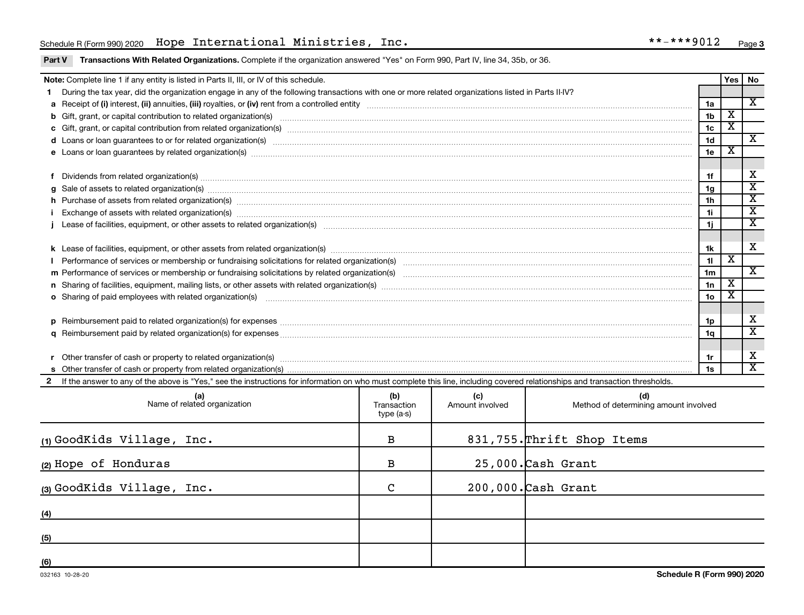## Schedule R (Form 990) 2020 Page Hope International Ministries, Inc. \*\*-\*\*\*9012

Part V Transactions With Related Organizations. Complete if the organization answered "Yes" on Form 990, Part IV, line 34, 35b, or 36.

|                                                                                                                                                                                                                                                        | Note: Complete line 1 if any entity is listed in Parts II, III, or IV of this schedule.                                                                                                                                        |                                  |                        |                                              |                 |                         | Yes   No                    |  |  |  |
|--------------------------------------------------------------------------------------------------------------------------------------------------------------------------------------------------------------------------------------------------------|--------------------------------------------------------------------------------------------------------------------------------------------------------------------------------------------------------------------------------|----------------------------------|------------------------|----------------------------------------------|-----------------|-------------------------|-----------------------------|--|--|--|
|                                                                                                                                                                                                                                                        | During the tax year, did the organization engage in any of the following transactions with one or more related organizations listed in Parts II-IV?                                                                            |                                  |                        |                                              |                 |                         |                             |  |  |  |
|                                                                                                                                                                                                                                                        |                                                                                                                                                                                                                                |                                  |                        |                                              | 1a              |                         | X                           |  |  |  |
| b Gift, grant, or capital contribution to related organization(s) manufaction contribution to related organization(s) manufaction contribution for elated organization(s) manufactured contraction contribution of the contrac                         |                                                                                                                                                                                                                                |                                  |                        |                                              |                 |                         |                             |  |  |  |
|                                                                                                                                                                                                                                                        |                                                                                                                                                                                                                                |                                  |                        |                                              |                 |                         |                             |  |  |  |
| 1c<br>1 <sub>d</sub><br>d Loans or loan guarantees to or for related organization(s) www.communities.com/www.communities.com/www.communities.com/www.communities.com/www.communities.com/www.communities.com/www.communities.com/www.communities.com/w |                                                                                                                                                                                                                                |                                  |                        |                                              |                 |                         |                             |  |  |  |
|                                                                                                                                                                                                                                                        | e Loans or loan guarantees by related organization(s) manufaction(s) and contain a substitution of the substitution of the substitution of the substitution of the substitution of the substitution of the substitution of the |                                  |                        |                                              | 1e              | х                       |                             |  |  |  |
|                                                                                                                                                                                                                                                        |                                                                                                                                                                                                                                |                                  |                        |                                              |                 |                         |                             |  |  |  |
| 1f                                                                                                                                                                                                                                                     |                                                                                                                                                                                                                                |                                  |                        |                                              |                 |                         |                             |  |  |  |
|                                                                                                                                                                                                                                                        | g Sale of assets to related organization(s) www.assettion.com/www.assettion.com/www.assettion.com/www.assettion.com/www.assettion.com/www.assettion.com/www.assettion.com/www.assettion.com/www.assettion.com/www.assettion.co |                                  |                        |                                              | 1g              |                         | $\overline{\textnormal{x}}$ |  |  |  |
|                                                                                                                                                                                                                                                        | h Purchase of assets from related organization(s) manufactured content to content the content of assets from related organization(s) manufactured content to content the content of the content of the content of the content  |                                  |                        |                                              | 1 <sub>h</sub>  |                         | $\overline{\mathbf{X}}$     |  |  |  |
|                                                                                                                                                                                                                                                        |                                                                                                                                                                                                                                |                                  |                        |                                              | 11              |                         | $\overline{\mathbf{X}}$     |  |  |  |
| 1j                                                                                                                                                                                                                                                     |                                                                                                                                                                                                                                |                                  |                        |                                              |                 |                         |                             |  |  |  |
|                                                                                                                                                                                                                                                        |                                                                                                                                                                                                                                |                                  |                        |                                              |                 |                         |                             |  |  |  |
| 1k                                                                                                                                                                                                                                                     |                                                                                                                                                                                                                                |                                  |                        |                                              |                 |                         |                             |  |  |  |
|                                                                                                                                                                                                                                                        |                                                                                                                                                                                                                                |                                  |                        |                                              | 11              | $\overline{\textbf{X}}$ |                             |  |  |  |
|                                                                                                                                                                                                                                                        |                                                                                                                                                                                                                                |                                  |                        |                                              | 1 <sub>m</sub>  |                         | $\overline{\mathbf{x}}$     |  |  |  |
|                                                                                                                                                                                                                                                        |                                                                                                                                                                                                                                |                                  |                        |                                              | 1n              | $\overline{\textbf{x}}$ |                             |  |  |  |
|                                                                                                                                                                                                                                                        | <b>o</b> Sharing of paid employees with related organization(s)                                                                                                                                                                |                                  |                        |                                              | 10 <sub>o</sub> | $\overline{\textbf{x}}$ |                             |  |  |  |
|                                                                                                                                                                                                                                                        |                                                                                                                                                                                                                                |                                  |                        |                                              |                 |                         |                             |  |  |  |
|                                                                                                                                                                                                                                                        | p Reimbursement paid to related organization(s) for expenses [1111] and the content of the content of the content of the content of the content of the content of the content of the content of the content of the content of  |                                  |                        |                                              | 1p              |                         | X                           |  |  |  |
|                                                                                                                                                                                                                                                        |                                                                                                                                                                                                                                |                                  |                        |                                              | 1a              |                         | $\overline{\textbf{x}}$     |  |  |  |
|                                                                                                                                                                                                                                                        |                                                                                                                                                                                                                                |                                  |                        |                                              |                 |                         |                             |  |  |  |
|                                                                                                                                                                                                                                                        | Other transfer of cash or property to related organization(s) www.communicallycommunicallycommunicallycommunicallycommunicallycommunicallycommunicallycommunicallycommunicallycommunicallycommunicallycommunicallycommunically |                                  |                        |                                              | 1r              |                         | X                           |  |  |  |
|                                                                                                                                                                                                                                                        |                                                                                                                                                                                                                                |                                  |                        |                                              | 1s              |                         | $\overline{\mathbf{x}}$     |  |  |  |
|                                                                                                                                                                                                                                                        | If the answer to any of the above is "Yes," see the instructions for information on who must complete this line, including covered relationships and transaction thresholds.                                                   |                                  |                        |                                              |                 |                         |                             |  |  |  |
|                                                                                                                                                                                                                                                        | (a)<br>Name of related organization                                                                                                                                                                                            | (b)<br>Transaction<br>type (a-s) | (c)<br>Amount involved | (d)<br>Method of determining amount involved |                 |                         |                             |  |  |  |

|                            | type (a-3)   |                            |
|----------------------------|--------------|----------------------------|
| (1) GoodKids Village, Inc. | $\, {\bf B}$ | 831,755. Thrift Shop Items |
| (2) Hope of Honduras       | $\, {\bf B}$ | $25,000$ . Cash Grant      |
| (3) GoodKids Village, Inc. | C            | $200,000$ . Cash Grant     |
| (4)                        |              |                            |
| (5)                        |              |                            |
| (6)                        |              |                            |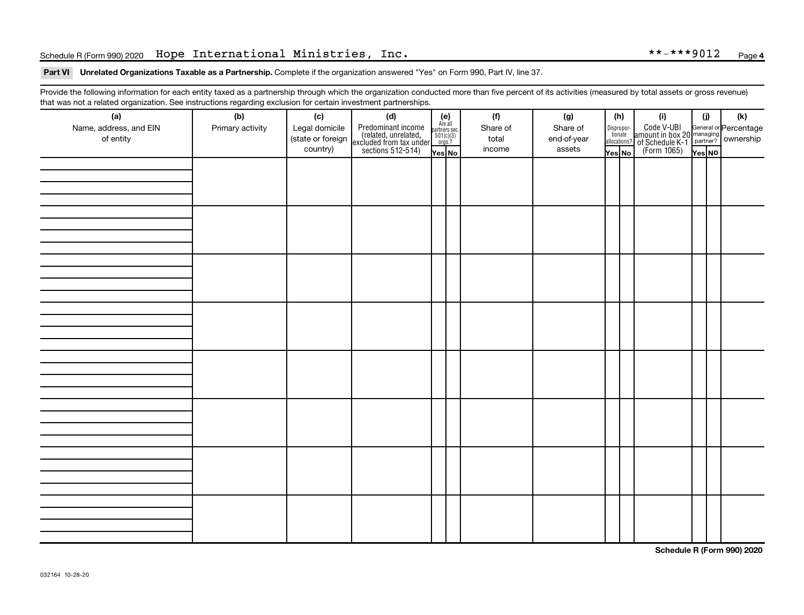## Schedule R (Form 990) 2020 Page Hope International Ministries, Inc. \*\*-\*\*\*9012

### Part VI Unrelated Organizations Taxable as a Partnership. Complete if the organization answered "Yes" on Form 990, Part IV, line 37.

Provide the following information for each entity taxed as a partnership through which the organization conducted more than five percent of its activities (measured by total assets or gross revenue) that was not a related organization. See instructions regarding exclusion for certain investment partnerships.

| <br>(a)                | (b)              | (c)               | . <b>. .</b><br><br>(d)                                                                    |                                                          | (f)      | (g)         | (h)                                      | (i)                                                                                                 | (i)    | $(\mathsf{k})$ |  |  |
|------------------------|------------------|-------------------|--------------------------------------------------------------------------------------------|----------------------------------------------------------|----------|-------------|------------------------------------------|-----------------------------------------------------------------------------------------------------|--------|----------------|--|--|
| Name, address, and EIN | Primary activity | Legal domicile    |                                                                                            | (e)<br>Are all<br>partners sec.<br>$501(c)(3)$<br>orgs.? | Share of | Share of    |                                          |                                                                                                     |        |                |  |  |
| of entity              |                  | (state or foreign |                                                                                            |                                                          | total    | end-of-year | $\fbox{Disproper} \label{eq:disproport}$ |                                                                                                     |        |                |  |  |
|                        |                  | country)          | Predominant income<br>(related, unrelated,<br>excluded from tax under<br>sections 512-514) |                                                          | income   | assets      | allocations?                             | Code V-UBI<br>amount in box 20 managing<br>of Schedule K-1<br>(Form 1065)<br>$\sqrt{\text{res}}$ No |        |                |  |  |
|                        |                  |                   |                                                                                            | Yes No                                                   |          |             | Yes No                                   |                                                                                                     | Yes NO |                |  |  |
|                        |                  |                   |                                                                                            |                                                          |          |             |                                          |                                                                                                     |        |                |  |  |
|                        |                  |                   |                                                                                            |                                                          |          |             |                                          |                                                                                                     |        |                |  |  |
|                        |                  |                   |                                                                                            |                                                          |          |             |                                          |                                                                                                     |        |                |  |  |
|                        |                  |                   |                                                                                            |                                                          |          |             |                                          |                                                                                                     |        |                |  |  |
|                        |                  |                   |                                                                                            |                                                          |          |             |                                          |                                                                                                     |        |                |  |  |
|                        |                  |                   |                                                                                            |                                                          |          |             |                                          |                                                                                                     |        |                |  |  |
|                        |                  |                   |                                                                                            |                                                          |          |             |                                          |                                                                                                     |        |                |  |  |
|                        |                  |                   |                                                                                            |                                                          |          |             |                                          |                                                                                                     |        |                |  |  |
|                        |                  |                   |                                                                                            |                                                          |          |             |                                          |                                                                                                     |        |                |  |  |
|                        |                  |                   |                                                                                            |                                                          |          |             |                                          |                                                                                                     |        |                |  |  |
|                        |                  |                   |                                                                                            |                                                          |          |             |                                          |                                                                                                     |        |                |  |  |
|                        |                  |                   |                                                                                            |                                                          |          |             |                                          |                                                                                                     |        |                |  |  |
|                        |                  |                   |                                                                                            |                                                          |          |             |                                          |                                                                                                     |        |                |  |  |
|                        |                  |                   |                                                                                            |                                                          |          |             |                                          |                                                                                                     |        |                |  |  |
|                        |                  |                   |                                                                                            |                                                          |          |             |                                          |                                                                                                     |        |                |  |  |
|                        |                  |                   |                                                                                            |                                                          |          |             |                                          |                                                                                                     |        |                |  |  |
|                        |                  |                   |                                                                                            |                                                          |          |             |                                          |                                                                                                     |        |                |  |  |
|                        |                  |                   |                                                                                            |                                                          |          |             |                                          |                                                                                                     |        |                |  |  |
|                        |                  |                   |                                                                                            |                                                          |          |             |                                          |                                                                                                     |        |                |  |  |
|                        |                  |                   |                                                                                            |                                                          |          |             |                                          |                                                                                                     |        |                |  |  |
|                        |                  |                   |                                                                                            |                                                          |          |             |                                          |                                                                                                     |        |                |  |  |
|                        |                  |                   |                                                                                            |                                                          |          |             |                                          |                                                                                                     |        |                |  |  |
|                        |                  |                   |                                                                                            |                                                          |          |             |                                          |                                                                                                     |        |                |  |  |
|                        |                  |                   |                                                                                            |                                                          |          |             |                                          |                                                                                                     |        |                |  |  |
|                        |                  |                   |                                                                                            |                                                          |          |             |                                          |                                                                                                     |        |                |  |  |
|                        |                  |                   |                                                                                            |                                                          |          |             |                                          |                                                                                                     |        |                |  |  |
|                        |                  |                   |                                                                                            |                                                          |          |             |                                          |                                                                                                     |        |                |  |  |
|                        |                  |                   |                                                                                            |                                                          |          |             |                                          |                                                                                                     |        |                |  |  |
|                        |                  |                   |                                                                                            |                                                          |          |             |                                          |                                                                                                     |        |                |  |  |
|                        |                  |                   |                                                                                            |                                                          |          |             |                                          |                                                                                                     |        |                |  |  |
|                        |                  |                   |                                                                                            |                                                          |          |             |                                          |                                                                                                     |        |                |  |  |
|                        |                  |                   |                                                                                            |                                                          |          |             |                                          |                                                                                                     |        |                |  |  |
|                        |                  |                   |                                                                                            |                                                          |          |             |                                          |                                                                                                     |        |                |  |  |
|                        |                  |                   |                                                                                            |                                                          |          |             |                                          |                                                                                                     |        |                |  |  |
|                        |                  |                   |                                                                                            |                                                          |          |             |                                          |                                                                                                     |        |                |  |  |

**Schedule R (Form 990) 2020**